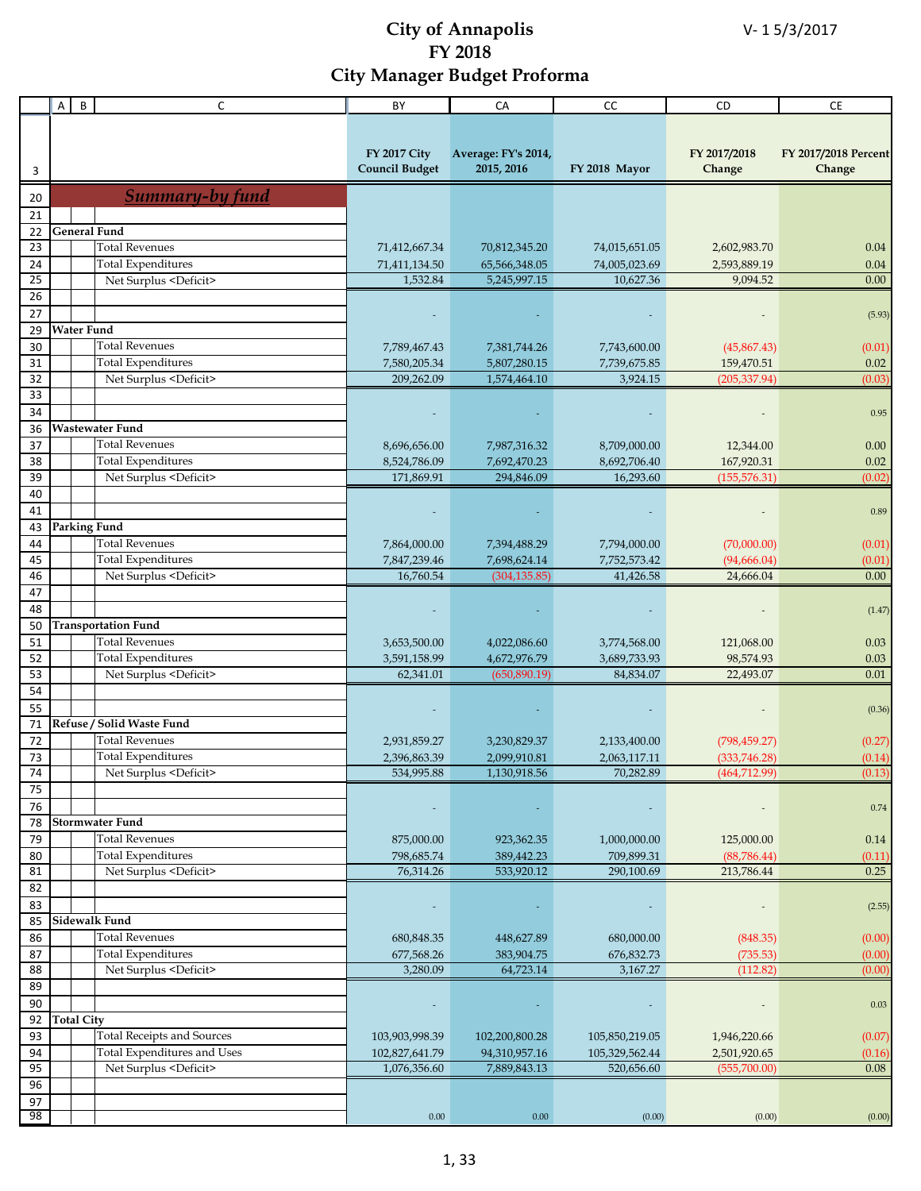| <b>FY 2017 City</b><br>FY 2017/2018<br>FY 2017/2018 Percent<br>Average: FY's 2014,<br>2015, 2016<br><b>Council Budget</b><br>FY 2018 Mayor<br>Change<br>Change<br>3<br>Summary-by fund<br>20<br>21<br><b>General Fund</b><br>22<br>23<br><b>Total Revenues</b><br>71,412,667.34<br>70,812,345.20<br>74,015,651.05<br>2,602,983.70<br>0.04<br><b>Total Expenditures</b><br>24<br>65,566,348.05<br>74,005,023.69<br>2,593,889.19<br>0.04<br>71,411,134.50<br>$\overline{25}$<br>1,532.84<br>5,245,997.15<br>10,627.36<br>9,094.52<br>0.00<br>Net Surplus <deficit><br/>26<br/>27<br/>(5.93)<br/><b>Water Fund</b><br/>29<br/><b>Total Revenues</b><br/>30<br/>7,789,467.43<br/>7,381,744.26<br/>7,743,600.00<br/>(45,867.43)<br/>(0.01)<br/><b>Total Expenditures</b><br/>31<br/>159,470.51<br/>0.02<br/>7,580,205.34<br/>5,807,280.15<br/>7,739,675.85<br/>32<br/>Net Surplus <deficit><br/>209,262.09<br/>1,574,464.10<br/>3,924.15<br/>(205, 337.94)<br/>(0.03)<br/>33<br/>34<br/>0.95<br/>Wastewater Fund<br/>36<br/>37<br/><b>Total Revenues</b><br/>8,696,656.00<br/>7,987,316.32<br/>8,709,000.00<br/>12,344.00<br/>0.00<br/><b>Total Expenditures</b><br/>38<br/>8,524,786.09<br/>7,692,470.23<br/>8,692,706.40<br/>167,920.31<br/>0.02<br/>39<br/>294,846.09<br/>Net Surplus <deficit><br/>171,869.91<br/>16,293.60<br/>(155, 576, 31)<br/>(0.02)<br/>40<br/>41<br/>0.89<br/><b>Parking Fund</b><br/>43<br/><b>Total Revenues</b><br/>(70,000.00)<br/>44<br/>7,864,000.00<br/>7,394,488.29<br/>7,794,000.00<br/>(0.01)<br/>45<br/><b>Total Expenditures</b><br/>7,847,239.46<br/>7,698,624.14<br/>7,752,573.42<br/>(94, 666.04)<br/>(0.01)<br/>Net Surplus <deficit><br/>46<br/>16,760.54<br/>(304, 135.85)<br/>41,426.58<br/>24,666.04<br/>0.00<br/>47<br/>48<br/>(1.47)<br/><b>Transportation Fund</b><br/>50<br/><b>Total Revenues</b><br/>51<br/>3,653,500.00<br/>4,022,086.60<br/>3,774,568.00<br/>121,068.00<br/>0.03<br/>52<br/><b>Total Expenditures</b><br/>3,591,158.99<br/>4,672,976.79<br/>3,689,733.93<br/>98,574.93<br/>0.03<br/>53<br/>0.01<br/>62,341.01<br/>(650, 890.19)<br/>84,834.07<br/>22,493.07<br/>Net Surplus <deficit><br/>54<br/>55<br/>(0.36)<br/>Refuse / Solid Waste Fund<br/>71<br/><b>Total Revenues</b><br/>72<br/>2,931,859.27<br/>3,230,829.37<br/>2,133,400.00<br/>(798, 459.27)<br/>(0.27)<br/>73<br/><b>Total Expenditures</b><br/>2,396,863.39<br/>2,099,910.81<br/>2,063,117.11<br/>(333,746.28)<br/>(0.14)<br/>74<br/>Net Surplus <deficit><br/>534,995.88<br/>1,130,918.56<br/>70,282.89<br/>(464, 712.99)<br/>(0.13)<br/>75<br/>76<br/>0.74<br/><b>Stormwater Fund</b><br/>78<br/><b>Total Revenues</b><br/>79<br/>875,000.00<br/>923,362.35<br/>1,000,000.00<br/>125,000.00<br/>0.14<br/><b>Total Expenditures</b><br/>80<br/>709,899.31<br/>(88, 786.44)<br/>798,685.74<br/>389,442.23<br/>(0.11)<br/>Net Surplus <deficit><br/>76,314.26<br/>533,920.12<br/>0.25<br/>81<br/>290,100.69<br/>213,786.44<br/>82<br/>83<br/>(2.55)<br/><b>Sidewalk Fund</b><br/>85<br/>86<br/><b>Total Revenues</b><br/>680,848.35<br/>448,627.89<br/>680,000.00<br/>(848.35)<br/>(0.00)<br/><b>Total Expenditures</b><br/>87<br/>677,568.26<br/>383,904.75<br/>676,832.73<br/>(735.53)<br/>(0.00)<br/>88<br/>Net Surplus <deficit><br/>3,280.09<br/>64,723.14<br/>3,167.27<br/>(112.82)<br/>(0.00)<br/>89<br/>90<br/>0.03<br/><b>Total City</b><br/>92<br/>93<br/><b>Total Receipts and Sources</b><br/>103,903,998.39<br/>102,200,800.28<br/>105,850,219.05<br/>1,946,220.66<br/>(0.07)<br/>Total Expenditures and Uses<br/>94<br/>102,827,641.79<br/>94,310,957.16<br/>105,329,562.44<br/>2,501,920.65<br/>(0.16)<br/>Net Surplus <deficit><br/>95<br/><math display="inline">0.08\,</math><br/>1,076,356.60<br/>7,889,843.13<br/>520,656.60<br/>(555,700.00)<br/>96<br/>97<br/>98<br/><math display="inline">0.00\,</math><br/>0.00<br/>(0.00)<br/>(0.00)<br/>(0.00)</deficit></deficit></deficit></deficit></deficit></deficit></deficit></deficit></deficit> | A | $\sf B$ | C | BY | CA | cc | CD | CE |
|-----------------------------------------------------------------------------------------------------------------------------------------------------------------------------------------------------------------------------------------------------------------------------------------------------------------------------------------------------------------------------------------------------------------------------------------------------------------------------------------------------------------------------------------------------------------------------------------------------------------------------------------------------------------------------------------------------------------------------------------------------------------------------------------------------------------------------------------------------------------------------------------------------------------------------------------------------------------------------------------------------------------------------------------------------------------------------------------------------------------------------------------------------------------------------------------------------------------------------------------------------------------------------------------------------------------------------------------------------------------------------------------------------------------------------------------------------------------------------------------------------------------------------------------------------------------------------------------------------------------------------------------------------------------------------------------------------------------------------------------------------------------------------------------------------------------------------------------------------------------------------------------------------------------------------------------------------------------------------------------------------------------------------------------------------------------------------------------------------------------------------------------------------------------------------------------------------------------------------------------------------------------------------------------------------------------------------------------------------------------------------------------------------------------------------------------------------------------------------------------------------------------------------------------------------------------------------------------------------------------------------------------------------------------------------------------------------------------------------------------------------------------------------------------------------------------------------------------------------------------------------------------------------------------------------------------------------------------------------------------------------------------------------------------------------------------------------------------------------------------------------------------------------------------------------------------------------------------------------------------------------------------------------------------------------------------------------------------------------------------------------------------------------------------------------------------------------------------------------------------------------------------------------------------------------------------------------------------------------------------------------------------------------------------------------------------------------------------------------------------------------------------------------------------------------------------------------------------------------------------------------------------------------------------------------------------------------------------------------------------------------|---|---------|---|----|----|----|----|----|
|                                                                                                                                                                                                                                                                                                                                                                                                                                                                                                                                                                                                                                                                                                                                                                                                                                                                                                                                                                                                                                                                                                                                                                                                                                                                                                                                                                                                                                                                                                                                                                                                                                                                                                                                                                                                                                                                                                                                                                                                                                                                                                                                                                                                                                                                                                                                                                                                                                                                                                                                                                                                                                                                                                                                                                                                                                                                                                                                                                                                                                                                                                                                                                                                                                                                                                                                                                                                                                                                                                                                                                                                                                                                                                                                                                                                                                                                                                                                                                                                     |   |         |   |    |    |    |    |    |
|                                                                                                                                                                                                                                                                                                                                                                                                                                                                                                                                                                                                                                                                                                                                                                                                                                                                                                                                                                                                                                                                                                                                                                                                                                                                                                                                                                                                                                                                                                                                                                                                                                                                                                                                                                                                                                                                                                                                                                                                                                                                                                                                                                                                                                                                                                                                                                                                                                                                                                                                                                                                                                                                                                                                                                                                                                                                                                                                                                                                                                                                                                                                                                                                                                                                                                                                                                                                                                                                                                                                                                                                                                                                                                                                                                                                                                                                                                                                                                                                     |   |         |   |    |    |    |    |    |
|                                                                                                                                                                                                                                                                                                                                                                                                                                                                                                                                                                                                                                                                                                                                                                                                                                                                                                                                                                                                                                                                                                                                                                                                                                                                                                                                                                                                                                                                                                                                                                                                                                                                                                                                                                                                                                                                                                                                                                                                                                                                                                                                                                                                                                                                                                                                                                                                                                                                                                                                                                                                                                                                                                                                                                                                                                                                                                                                                                                                                                                                                                                                                                                                                                                                                                                                                                                                                                                                                                                                                                                                                                                                                                                                                                                                                                                                                                                                                                                                     |   |         |   |    |    |    |    |    |
|                                                                                                                                                                                                                                                                                                                                                                                                                                                                                                                                                                                                                                                                                                                                                                                                                                                                                                                                                                                                                                                                                                                                                                                                                                                                                                                                                                                                                                                                                                                                                                                                                                                                                                                                                                                                                                                                                                                                                                                                                                                                                                                                                                                                                                                                                                                                                                                                                                                                                                                                                                                                                                                                                                                                                                                                                                                                                                                                                                                                                                                                                                                                                                                                                                                                                                                                                                                                                                                                                                                                                                                                                                                                                                                                                                                                                                                                                                                                                                                                     |   |         |   |    |    |    |    |    |
|                                                                                                                                                                                                                                                                                                                                                                                                                                                                                                                                                                                                                                                                                                                                                                                                                                                                                                                                                                                                                                                                                                                                                                                                                                                                                                                                                                                                                                                                                                                                                                                                                                                                                                                                                                                                                                                                                                                                                                                                                                                                                                                                                                                                                                                                                                                                                                                                                                                                                                                                                                                                                                                                                                                                                                                                                                                                                                                                                                                                                                                                                                                                                                                                                                                                                                                                                                                                                                                                                                                                                                                                                                                                                                                                                                                                                                                                                                                                                                                                     |   |         |   |    |    |    |    |    |
|                                                                                                                                                                                                                                                                                                                                                                                                                                                                                                                                                                                                                                                                                                                                                                                                                                                                                                                                                                                                                                                                                                                                                                                                                                                                                                                                                                                                                                                                                                                                                                                                                                                                                                                                                                                                                                                                                                                                                                                                                                                                                                                                                                                                                                                                                                                                                                                                                                                                                                                                                                                                                                                                                                                                                                                                                                                                                                                                                                                                                                                                                                                                                                                                                                                                                                                                                                                                                                                                                                                                                                                                                                                                                                                                                                                                                                                                                                                                                                                                     |   |         |   |    |    |    |    |    |
|                                                                                                                                                                                                                                                                                                                                                                                                                                                                                                                                                                                                                                                                                                                                                                                                                                                                                                                                                                                                                                                                                                                                                                                                                                                                                                                                                                                                                                                                                                                                                                                                                                                                                                                                                                                                                                                                                                                                                                                                                                                                                                                                                                                                                                                                                                                                                                                                                                                                                                                                                                                                                                                                                                                                                                                                                                                                                                                                                                                                                                                                                                                                                                                                                                                                                                                                                                                                                                                                                                                                                                                                                                                                                                                                                                                                                                                                                                                                                                                                     |   |         |   |    |    |    |    |    |
|                                                                                                                                                                                                                                                                                                                                                                                                                                                                                                                                                                                                                                                                                                                                                                                                                                                                                                                                                                                                                                                                                                                                                                                                                                                                                                                                                                                                                                                                                                                                                                                                                                                                                                                                                                                                                                                                                                                                                                                                                                                                                                                                                                                                                                                                                                                                                                                                                                                                                                                                                                                                                                                                                                                                                                                                                                                                                                                                                                                                                                                                                                                                                                                                                                                                                                                                                                                                                                                                                                                                                                                                                                                                                                                                                                                                                                                                                                                                                                                                     |   |         |   |    |    |    |    |    |
|                                                                                                                                                                                                                                                                                                                                                                                                                                                                                                                                                                                                                                                                                                                                                                                                                                                                                                                                                                                                                                                                                                                                                                                                                                                                                                                                                                                                                                                                                                                                                                                                                                                                                                                                                                                                                                                                                                                                                                                                                                                                                                                                                                                                                                                                                                                                                                                                                                                                                                                                                                                                                                                                                                                                                                                                                                                                                                                                                                                                                                                                                                                                                                                                                                                                                                                                                                                                                                                                                                                                                                                                                                                                                                                                                                                                                                                                                                                                                                                                     |   |         |   |    |    |    |    |    |
|                                                                                                                                                                                                                                                                                                                                                                                                                                                                                                                                                                                                                                                                                                                                                                                                                                                                                                                                                                                                                                                                                                                                                                                                                                                                                                                                                                                                                                                                                                                                                                                                                                                                                                                                                                                                                                                                                                                                                                                                                                                                                                                                                                                                                                                                                                                                                                                                                                                                                                                                                                                                                                                                                                                                                                                                                                                                                                                                                                                                                                                                                                                                                                                                                                                                                                                                                                                                                                                                                                                                                                                                                                                                                                                                                                                                                                                                                                                                                                                                     |   |         |   |    |    |    |    |    |
|                                                                                                                                                                                                                                                                                                                                                                                                                                                                                                                                                                                                                                                                                                                                                                                                                                                                                                                                                                                                                                                                                                                                                                                                                                                                                                                                                                                                                                                                                                                                                                                                                                                                                                                                                                                                                                                                                                                                                                                                                                                                                                                                                                                                                                                                                                                                                                                                                                                                                                                                                                                                                                                                                                                                                                                                                                                                                                                                                                                                                                                                                                                                                                                                                                                                                                                                                                                                                                                                                                                                                                                                                                                                                                                                                                                                                                                                                                                                                                                                     |   |         |   |    |    |    |    |    |
|                                                                                                                                                                                                                                                                                                                                                                                                                                                                                                                                                                                                                                                                                                                                                                                                                                                                                                                                                                                                                                                                                                                                                                                                                                                                                                                                                                                                                                                                                                                                                                                                                                                                                                                                                                                                                                                                                                                                                                                                                                                                                                                                                                                                                                                                                                                                                                                                                                                                                                                                                                                                                                                                                                                                                                                                                                                                                                                                                                                                                                                                                                                                                                                                                                                                                                                                                                                                                                                                                                                                                                                                                                                                                                                                                                                                                                                                                                                                                                                                     |   |         |   |    |    |    |    |    |
|                                                                                                                                                                                                                                                                                                                                                                                                                                                                                                                                                                                                                                                                                                                                                                                                                                                                                                                                                                                                                                                                                                                                                                                                                                                                                                                                                                                                                                                                                                                                                                                                                                                                                                                                                                                                                                                                                                                                                                                                                                                                                                                                                                                                                                                                                                                                                                                                                                                                                                                                                                                                                                                                                                                                                                                                                                                                                                                                                                                                                                                                                                                                                                                                                                                                                                                                                                                                                                                                                                                                                                                                                                                                                                                                                                                                                                                                                                                                                                                                     |   |         |   |    |    |    |    |    |
|                                                                                                                                                                                                                                                                                                                                                                                                                                                                                                                                                                                                                                                                                                                                                                                                                                                                                                                                                                                                                                                                                                                                                                                                                                                                                                                                                                                                                                                                                                                                                                                                                                                                                                                                                                                                                                                                                                                                                                                                                                                                                                                                                                                                                                                                                                                                                                                                                                                                                                                                                                                                                                                                                                                                                                                                                                                                                                                                                                                                                                                                                                                                                                                                                                                                                                                                                                                                                                                                                                                                                                                                                                                                                                                                                                                                                                                                                                                                                                                                     |   |         |   |    |    |    |    |    |
|                                                                                                                                                                                                                                                                                                                                                                                                                                                                                                                                                                                                                                                                                                                                                                                                                                                                                                                                                                                                                                                                                                                                                                                                                                                                                                                                                                                                                                                                                                                                                                                                                                                                                                                                                                                                                                                                                                                                                                                                                                                                                                                                                                                                                                                                                                                                                                                                                                                                                                                                                                                                                                                                                                                                                                                                                                                                                                                                                                                                                                                                                                                                                                                                                                                                                                                                                                                                                                                                                                                                                                                                                                                                                                                                                                                                                                                                                                                                                                                                     |   |         |   |    |    |    |    |    |
|                                                                                                                                                                                                                                                                                                                                                                                                                                                                                                                                                                                                                                                                                                                                                                                                                                                                                                                                                                                                                                                                                                                                                                                                                                                                                                                                                                                                                                                                                                                                                                                                                                                                                                                                                                                                                                                                                                                                                                                                                                                                                                                                                                                                                                                                                                                                                                                                                                                                                                                                                                                                                                                                                                                                                                                                                                                                                                                                                                                                                                                                                                                                                                                                                                                                                                                                                                                                                                                                                                                                                                                                                                                                                                                                                                                                                                                                                                                                                                                                     |   |         |   |    |    |    |    |    |
|                                                                                                                                                                                                                                                                                                                                                                                                                                                                                                                                                                                                                                                                                                                                                                                                                                                                                                                                                                                                                                                                                                                                                                                                                                                                                                                                                                                                                                                                                                                                                                                                                                                                                                                                                                                                                                                                                                                                                                                                                                                                                                                                                                                                                                                                                                                                                                                                                                                                                                                                                                                                                                                                                                                                                                                                                                                                                                                                                                                                                                                                                                                                                                                                                                                                                                                                                                                                                                                                                                                                                                                                                                                                                                                                                                                                                                                                                                                                                                                                     |   |         |   |    |    |    |    |    |
|                                                                                                                                                                                                                                                                                                                                                                                                                                                                                                                                                                                                                                                                                                                                                                                                                                                                                                                                                                                                                                                                                                                                                                                                                                                                                                                                                                                                                                                                                                                                                                                                                                                                                                                                                                                                                                                                                                                                                                                                                                                                                                                                                                                                                                                                                                                                                                                                                                                                                                                                                                                                                                                                                                                                                                                                                                                                                                                                                                                                                                                                                                                                                                                                                                                                                                                                                                                                                                                                                                                                                                                                                                                                                                                                                                                                                                                                                                                                                                                                     |   |         |   |    |    |    |    |    |
|                                                                                                                                                                                                                                                                                                                                                                                                                                                                                                                                                                                                                                                                                                                                                                                                                                                                                                                                                                                                                                                                                                                                                                                                                                                                                                                                                                                                                                                                                                                                                                                                                                                                                                                                                                                                                                                                                                                                                                                                                                                                                                                                                                                                                                                                                                                                                                                                                                                                                                                                                                                                                                                                                                                                                                                                                                                                                                                                                                                                                                                                                                                                                                                                                                                                                                                                                                                                                                                                                                                                                                                                                                                                                                                                                                                                                                                                                                                                                                                                     |   |         |   |    |    |    |    |    |
|                                                                                                                                                                                                                                                                                                                                                                                                                                                                                                                                                                                                                                                                                                                                                                                                                                                                                                                                                                                                                                                                                                                                                                                                                                                                                                                                                                                                                                                                                                                                                                                                                                                                                                                                                                                                                                                                                                                                                                                                                                                                                                                                                                                                                                                                                                                                                                                                                                                                                                                                                                                                                                                                                                                                                                                                                                                                                                                                                                                                                                                                                                                                                                                                                                                                                                                                                                                                                                                                                                                                                                                                                                                                                                                                                                                                                                                                                                                                                                                                     |   |         |   |    |    |    |    |    |
|                                                                                                                                                                                                                                                                                                                                                                                                                                                                                                                                                                                                                                                                                                                                                                                                                                                                                                                                                                                                                                                                                                                                                                                                                                                                                                                                                                                                                                                                                                                                                                                                                                                                                                                                                                                                                                                                                                                                                                                                                                                                                                                                                                                                                                                                                                                                                                                                                                                                                                                                                                                                                                                                                                                                                                                                                                                                                                                                                                                                                                                                                                                                                                                                                                                                                                                                                                                                                                                                                                                                                                                                                                                                                                                                                                                                                                                                                                                                                                                                     |   |         |   |    |    |    |    |    |
|                                                                                                                                                                                                                                                                                                                                                                                                                                                                                                                                                                                                                                                                                                                                                                                                                                                                                                                                                                                                                                                                                                                                                                                                                                                                                                                                                                                                                                                                                                                                                                                                                                                                                                                                                                                                                                                                                                                                                                                                                                                                                                                                                                                                                                                                                                                                                                                                                                                                                                                                                                                                                                                                                                                                                                                                                                                                                                                                                                                                                                                                                                                                                                                                                                                                                                                                                                                                                                                                                                                                                                                                                                                                                                                                                                                                                                                                                                                                                                                                     |   |         |   |    |    |    |    |    |
|                                                                                                                                                                                                                                                                                                                                                                                                                                                                                                                                                                                                                                                                                                                                                                                                                                                                                                                                                                                                                                                                                                                                                                                                                                                                                                                                                                                                                                                                                                                                                                                                                                                                                                                                                                                                                                                                                                                                                                                                                                                                                                                                                                                                                                                                                                                                                                                                                                                                                                                                                                                                                                                                                                                                                                                                                                                                                                                                                                                                                                                                                                                                                                                                                                                                                                                                                                                                                                                                                                                                                                                                                                                                                                                                                                                                                                                                                                                                                                                                     |   |         |   |    |    |    |    |    |
|                                                                                                                                                                                                                                                                                                                                                                                                                                                                                                                                                                                                                                                                                                                                                                                                                                                                                                                                                                                                                                                                                                                                                                                                                                                                                                                                                                                                                                                                                                                                                                                                                                                                                                                                                                                                                                                                                                                                                                                                                                                                                                                                                                                                                                                                                                                                                                                                                                                                                                                                                                                                                                                                                                                                                                                                                                                                                                                                                                                                                                                                                                                                                                                                                                                                                                                                                                                                                                                                                                                                                                                                                                                                                                                                                                                                                                                                                                                                                                                                     |   |         |   |    |    |    |    |    |
|                                                                                                                                                                                                                                                                                                                                                                                                                                                                                                                                                                                                                                                                                                                                                                                                                                                                                                                                                                                                                                                                                                                                                                                                                                                                                                                                                                                                                                                                                                                                                                                                                                                                                                                                                                                                                                                                                                                                                                                                                                                                                                                                                                                                                                                                                                                                                                                                                                                                                                                                                                                                                                                                                                                                                                                                                                                                                                                                                                                                                                                                                                                                                                                                                                                                                                                                                                                                                                                                                                                                                                                                                                                                                                                                                                                                                                                                                                                                                                                                     |   |         |   |    |    |    |    |    |
|                                                                                                                                                                                                                                                                                                                                                                                                                                                                                                                                                                                                                                                                                                                                                                                                                                                                                                                                                                                                                                                                                                                                                                                                                                                                                                                                                                                                                                                                                                                                                                                                                                                                                                                                                                                                                                                                                                                                                                                                                                                                                                                                                                                                                                                                                                                                                                                                                                                                                                                                                                                                                                                                                                                                                                                                                                                                                                                                                                                                                                                                                                                                                                                                                                                                                                                                                                                                                                                                                                                                                                                                                                                                                                                                                                                                                                                                                                                                                                                                     |   |         |   |    |    |    |    |    |
|                                                                                                                                                                                                                                                                                                                                                                                                                                                                                                                                                                                                                                                                                                                                                                                                                                                                                                                                                                                                                                                                                                                                                                                                                                                                                                                                                                                                                                                                                                                                                                                                                                                                                                                                                                                                                                                                                                                                                                                                                                                                                                                                                                                                                                                                                                                                                                                                                                                                                                                                                                                                                                                                                                                                                                                                                                                                                                                                                                                                                                                                                                                                                                                                                                                                                                                                                                                                                                                                                                                                                                                                                                                                                                                                                                                                                                                                                                                                                                                                     |   |         |   |    |    |    |    |    |
|                                                                                                                                                                                                                                                                                                                                                                                                                                                                                                                                                                                                                                                                                                                                                                                                                                                                                                                                                                                                                                                                                                                                                                                                                                                                                                                                                                                                                                                                                                                                                                                                                                                                                                                                                                                                                                                                                                                                                                                                                                                                                                                                                                                                                                                                                                                                                                                                                                                                                                                                                                                                                                                                                                                                                                                                                                                                                                                                                                                                                                                                                                                                                                                                                                                                                                                                                                                                                                                                                                                                                                                                                                                                                                                                                                                                                                                                                                                                                                                                     |   |         |   |    |    |    |    |    |
|                                                                                                                                                                                                                                                                                                                                                                                                                                                                                                                                                                                                                                                                                                                                                                                                                                                                                                                                                                                                                                                                                                                                                                                                                                                                                                                                                                                                                                                                                                                                                                                                                                                                                                                                                                                                                                                                                                                                                                                                                                                                                                                                                                                                                                                                                                                                                                                                                                                                                                                                                                                                                                                                                                                                                                                                                                                                                                                                                                                                                                                                                                                                                                                                                                                                                                                                                                                                                                                                                                                                                                                                                                                                                                                                                                                                                                                                                                                                                                                                     |   |         |   |    |    |    |    |    |
|                                                                                                                                                                                                                                                                                                                                                                                                                                                                                                                                                                                                                                                                                                                                                                                                                                                                                                                                                                                                                                                                                                                                                                                                                                                                                                                                                                                                                                                                                                                                                                                                                                                                                                                                                                                                                                                                                                                                                                                                                                                                                                                                                                                                                                                                                                                                                                                                                                                                                                                                                                                                                                                                                                                                                                                                                                                                                                                                                                                                                                                                                                                                                                                                                                                                                                                                                                                                                                                                                                                                                                                                                                                                                                                                                                                                                                                                                                                                                                                                     |   |         |   |    |    |    |    |    |
|                                                                                                                                                                                                                                                                                                                                                                                                                                                                                                                                                                                                                                                                                                                                                                                                                                                                                                                                                                                                                                                                                                                                                                                                                                                                                                                                                                                                                                                                                                                                                                                                                                                                                                                                                                                                                                                                                                                                                                                                                                                                                                                                                                                                                                                                                                                                                                                                                                                                                                                                                                                                                                                                                                                                                                                                                                                                                                                                                                                                                                                                                                                                                                                                                                                                                                                                                                                                                                                                                                                                                                                                                                                                                                                                                                                                                                                                                                                                                                                                     |   |         |   |    |    |    |    |    |
|                                                                                                                                                                                                                                                                                                                                                                                                                                                                                                                                                                                                                                                                                                                                                                                                                                                                                                                                                                                                                                                                                                                                                                                                                                                                                                                                                                                                                                                                                                                                                                                                                                                                                                                                                                                                                                                                                                                                                                                                                                                                                                                                                                                                                                                                                                                                                                                                                                                                                                                                                                                                                                                                                                                                                                                                                                                                                                                                                                                                                                                                                                                                                                                                                                                                                                                                                                                                                                                                                                                                                                                                                                                                                                                                                                                                                                                                                                                                                                                                     |   |         |   |    |    |    |    |    |
|                                                                                                                                                                                                                                                                                                                                                                                                                                                                                                                                                                                                                                                                                                                                                                                                                                                                                                                                                                                                                                                                                                                                                                                                                                                                                                                                                                                                                                                                                                                                                                                                                                                                                                                                                                                                                                                                                                                                                                                                                                                                                                                                                                                                                                                                                                                                                                                                                                                                                                                                                                                                                                                                                                                                                                                                                                                                                                                                                                                                                                                                                                                                                                                                                                                                                                                                                                                                                                                                                                                                                                                                                                                                                                                                                                                                                                                                                                                                                                                                     |   |         |   |    |    |    |    |    |
|                                                                                                                                                                                                                                                                                                                                                                                                                                                                                                                                                                                                                                                                                                                                                                                                                                                                                                                                                                                                                                                                                                                                                                                                                                                                                                                                                                                                                                                                                                                                                                                                                                                                                                                                                                                                                                                                                                                                                                                                                                                                                                                                                                                                                                                                                                                                                                                                                                                                                                                                                                                                                                                                                                                                                                                                                                                                                                                                                                                                                                                                                                                                                                                                                                                                                                                                                                                                                                                                                                                                                                                                                                                                                                                                                                                                                                                                                                                                                                                                     |   |         |   |    |    |    |    |    |
|                                                                                                                                                                                                                                                                                                                                                                                                                                                                                                                                                                                                                                                                                                                                                                                                                                                                                                                                                                                                                                                                                                                                                                                                                                                                                                                                                                                                                                                                                                                                                                                                                                                                                                                                                                                                                                                                                                                                                                                                                                                                                                                                                                                                                                                                                                                                                                                                                                                                                                                                                                                                                                                                                                                                                                                                                                                                                                                                                                                                                                                                                                                                                                                                                                                                                                                                                                                                                                                                                                                                                                                                                                                                                                                                                                                                                                                                                                                                                                                                     |   |         |   |    |    |    |    |    |
|                                                                                                                                                                                                                                                                                                                                                                                                                                                                                                                                                                                                                                                                                                                                                                                                                                                                                                                                                                                                                                                                                                                                                                                                                                                                                                                                                                                                                                                                                                                                                                                                                                                                                                                                                                                                                                                                                                                                                                                                                                                                                                                                                                                                                                                                                                                                                                                                                                                                                                                                                                                                                                                                                                                                                                                                                                                                                                                                                                                                                                                                                                                                                                                                                                                                                                                                                                                                                                                                                                                                                                                                                                                                                                                                                                                                                                                                                                                                                                                                     |   |         |   |    |    |    |    |    |
|                                                                                                                                                                                                                                                                                                                                                                                                                                                                                                                                                                                                                                                                                                                                                                                                                                                                                                                                                                                                                                                                                                                                                                                                                                                                                                                                                                                                                                                                                                                                                                                                                                                                                                                                                                                                                                                                                                                                                                                                                                                                                                                                                                                                                                                                                                                                                                                                                                                                                                                                                                                                                                                                                                                                                                                                                                                                                                                                                                                                                                                                                                                                                                                                                                                                                                                                                                                                                                                                                                                                                                                                                                                                                                                                                                                                                                                                                                                                                                                                     |   |         |   |    |    |    |    |    |
|                                                                                                                                                                                                                                                                                                                                                                                                                                                                                                                                                                                                                                                                                                                                                                                                                                                                                                                                                                                                                                                                                                                                                                                                                                                                                                                                                                                                                                                                                                                                                                                                                                                                                                                                                                                                                                                                                                                                                                                                                                                                                                                                                                                                                                                                                                                                                                                                                                                                                                                                                                                                                                                                                                                                                                                                                                                                                                                                                                                                                                                                                                                                                                                                                                                                                                                                                                                                                                                                                                                                                                                                                                                                                                                                                                                                                                                                                                                                                                                                     |   |         |   |    |    |    |    |    |
|                                                                                                                                                                                                                                                                                                                                                                                                                                                                                                                                                                                                                                                                                                                                                                                                                                                                                                                                                                                                                                                                                                                                                                                                                                                                                                                                                                                                                                                                                                                                                                                                                                                                                                                                                                                                                                                                                                                                                                                                                                                                                                                                                                                                                                                                                                                                                                                                                                                                                                                                                                                                                                                                                                                                                                                                                                                                                                                                                                                                                                                                                                                                                                                                                                                                                                                                                                                                                                                                                                                                                                                                                                                                                                                                                                                                                                                                                                                                                                                                     |   |         |   |    |    |    |    |    |
|                                                                                                                                                                                                                                                                                                                                                                                                                                                                                                                                                                                                                                                                                                                                                                                                                                                                                                                                                                                                                                                                                                                                                                                                                                                                                                                                                                                                                                                                                                                                                                                                                                                                                                                                                                                                                                                                                                                                                                                                                                                                                                                                                                                                                                                                                                                                                                                                                                                                                                                                                                                                                                                                                                                                                                                                                                                                                                                                                                                                                                                                                                                                                                                                                                                                                                                                                                                                                                                                                                                                                                                                                                                                                                                                                                                                                                                                                                                                                                                                     |   |         |   |    |    |    |    |    |
|                                                                                                                                                                                                                                                                                                                                                                                                                                                                                                                                                                                                                                                                                                                                                                                                                                                                                                                                                                                                                                                                                                                                                                                                                                                                                                                                                                                                                                                                                                                                                                                                                                                                                                                                                                                                                                                                                                                                                                                                                                                                                                                                                                                                                                                                                                                                                                                                                                                                                                                                                                                                                                                                                                                                                                                                                                                                                                                                                                                                                                                                                                                                                                                                                                                                                                                                                                                                                                                                                                                                                                                                                                                                                                                                                                                                                                                                                                                                                                                                     |   |         |   |    |    |    |    |    |
|                                                                                                                                                                                                                                                                                                                                                                                                                                                                                                                                                                                                                                                                                                                                                                                                                                                                                                                                                                                                                                                                                                                                                                                                                                                                                                                                                                                                                                                                                                                                                                                                                                                                                                                                                                                                                                                                                                                                                                                                                                                                                                                                                                                                                                                                                                                                                                                                                                                                                                                                                                                                                                                                                                                                                                                                                                                                                                                                                                                                                                                                                                                                                                                                                                                                                                                                                                                                                                                                                                                                                                                                                                                                                                                                                                                                                                                                                                                                                                                                     |   |         |   |    |    |    |    |    |
|                                                                                                                                                                                                                                                                                                                                                                                                                                                                                                                                                                                                                                                                                                                                                                                                                                                                                                                                                                                                                                                                                                                                                                                                                                                                                                                                                                                                                                                                                                                                                                                                                                                                                                                                                                                                                                                                                                                                                                                                                                                                                                                                                                                                                                                                                                                                                                                                                                                                                                                                                                                                                                                                                                                                                                                                                                                                                                                                                                                                                                                                                                                                                                                                                                                                                                                                                                                                                                                                                                                                                                                                                                                                                                                                                                                                                                                                                                                                                                                                     |   |         |   |    |    |    |    |    |
|                                                                                                                                                                                                                                                                                                                                                                                                                                                                                                                                                                                                                                                                                                                                                                                                                                                                                                                                                                                                                                                                                                                                                                                                                                                                                                                                                                                                                                                                                                                                                                                                                                                                                                                                                                                                                                                                                                                                                                                                                                                                                                                                                                                                                                                                                                                                                                                                                                                                                                                                                                                                                                                                                                                                                                                                                                                                                                                                                                                                                                                                                                                                                                                                                                                                                                                                                                                                                                                                                                                                                                                                                                                                                                                                                                                                                                                                                                                                                                                                     |   |         |   |    |    |    |    |    |
|                                                                                                                                                                                                                                                                                                                                                                                                                                                                                                                                                                                                                                                                                                                                                                                                                                                                                                                                                                                                                                                                                                                                                                                                                                                                                                                                                                                                                                                                                                                                                                                                                                                                                                                                                                                                                                                                                                                                                                                                                                                                                                                                                                                                                                                                                                                                                                                                                                                                                                                                                                                                                                                                                                                                                                                                                                                                                                                                                                                                                                                                                                                                                                                                                                                                                                                                                                                                                                                                                                                                                                                                                                                                                                                                                                                                                                                                                                                                                                                                     |   |         |   |    |    |    |    |    |
|                                                                                                                                                                                                                                                                                                                                                                                                                                                                                                                                                                                                                                                                                                                                                                                                                                                                                                                                                                                                                                                                                                                                                                                                                                                                                                                                                                                                                                                                                                                                                                                                                                                                                                                                                                                                                                                                                                                                                                                                                                                                                                                                                                                                                                                                                                                                                                                                                                                                                                                                                                                                                                                                                                                                                                                                                                                                                                                                                                                                                                                                                                                                                                                                                                                                                                                                                                                                                                                                                                                                                                                                                                                                                                                                                                                                                                                                                                                                                                                                     |   |         |   |    |    |    |    |    |
|                                                                                                                                                                                                                                                                                                                                                                                                                                                                                                                                                                                                                                                                                                                                                                                                                                                                                                                                                                                                                                                                                                                                                                                                                                                                                                                                                                                                                                                                                                                                                                                                                                                                                                                                                                                                                                                                                                                                                                                                                                                                                                                                                                                                                                                                                                                                                                                                                                                                                                                                                                                                                                                                                                                                                                                                                                                                                                                                                                                                                                                                                                                                                                                                                                                                                                                                                                                                                                                                                                                                                                                                                                                                                                                                                                                                                                                                                                                                                                                                     |   |         |   |    |    |    |    |    |
|                                                                                                                                                                                                                                                                                                                                                                                                                                                                                                                                                                                                                                                                                                                                                                                                                                                                                                                                                                                                                                                                                                                                                                                                                                                                                                                                                                                                                                                                                                                                                                                                                                                                                                                                                                                                                                                                                                                                                                                                                                                                                                                                                                                                                                                                                                                                                                                                                                                                                                                                                                                                                                                                                                                                                                                                                                                                                                                                                                                                                                                                                                                                                                                                                                                                                                                                                                                                                                                                                                                                                                                                                                                                                                                                                                                                                                                                                                                                                                                                     |   |         |   |    |    |    |    |    |
|                                                                                                                                                                                                                                                                                                                                                                                                                                                                                                                                                                                                                                                                                                                                                                                                                                                                                                                                                                                                                                                                                                                                                                                                                                                                                                                                                                                                                                                                                                                                                                                                                                                                                                                                                                                                                                                                                                                                                                                                                                                                                                                                                                                                                                                                                                                                                                                                                                                                                                                                                                                                                                                                                                                                                                                                                                                                                                                                                                                                                                                                                                                                                                                                                                                                                                                                                                                                                                                                                                                                                                                                                                                                                                                                                                                                                                                                                                                                                                                                     |   |         |   |    |    |    |    |    |
|                                                                                                                                                                                                                                                                                                                                                                                                                                                                                                                                                                                                                                                                                                                                                                                                                                                                                                                                                                                                                                                                                                                                                                                                                                                                                                                                                                                                                                                                                                                                                                                                                                                                                                                                                                                                                                                                                                                                                                                                                                                                                                                                                                                                                                                                                                                                                                                                                                                                                                                                                                                                                                                                                                                                                                                                                                                                                                                                                                                                                                                                                                                                                                                                                                                                                                                                                                                                                                                                                                                                                                                                                                                                                                                                                                                                                                                                                                                                                                                                     |   |         |   |    |    |    |    |    |
|                                                                                                                                                                                                                                                                                                                                                                                                                                                                                                                                                                                                                                                                                                                                                                                                                                                                                                                                                                                                                                                                                                                                                                                                                                                                                                                                                                                                                                                                                                                                                                                                                                                                                                                                                                                                                                                                                                                                                                                                                                                                                                                                                                                                                                                                                                                                                                                                                                                                                                                                                                                                                                                                                                                                                                                                                                                                                                                                                                                                                                                                                                                                                                                                                                                                                                                                                                                                                                                                                                                                                                                                                                                                                                                                                                                                                                                                                                                                                                                                     |   |         |   |    |    |    |    |    |
|                                                                                                                                                                                                                                                                                                                                                                                                                                                                                                                                                                                                                                                                                                                                                                                                                                                                                                                                                                                                                                                                                                                                                                                                                                                                                                                                                                                                                                                                                                                                                                                                                                                                                                                                                                                                                                                                                                                                                                                                                                                                                                                                                                                                                                                                                                                                                                                                                                                                                                                                                                                                                                                                                                                                                                                                                                                                                                                                                                                                                                                                                                                                                                                                                                                                                                                                                                                                                                                                                                                                                                                                                                                                                                                                                                                                                                                                                                                                                                                                     |   |         |   |    |    |    |    |    |
|                                                                                                                                                                                                                                                                                                                                                                                                                                                                                                                                                                                                                                                                                                                                                                                                                                                                                                                                                                                                                                                                                                                                                                                                                                                                                                                                                                                                                                                                                                                                                                                                                                                                                                                                                                                                                                                                                                                                                                                                                                                                                                                                                                                                                                                                                                                                                                                                                                                                                                                                                                                                                                                                                                                                                                                                                                                                                                                                                                                                                                                                                                                                                                                                                                                                                                                                                                                                                                                                                                                                                                                                                                                                                                                                                                                                                                                                                                                                                                                                     |   |         |   |    |    |    |    |    |
|                                                                                                                                                                                                                                                                                                                                                                                                                                                                                                                                                                                                                                                                                                                                                                                                                                                                                                                                                                                                                                                                                                                                                                                                                                                                                                                                                                                                                                                                                                                                                                                                                                                                                                                                                                                                                                                                                                                                                                                                                                                                                                                                                                                                                                                                                                                                                                                                                                                                                                                                                                                                                                                                                                                                                                                                                                                                                                                                                                                                                                                                                                                                                                                                                                                                                                                                                                                                                                                                                                                                                                                                                                                                                                                                                                                                                                                                                                                                                                                                     |   |         |   |    |    |    |    |    |
|                                                                                                                                                                                                                                                                                                                                                                                                                                                                                                                                                                                                                                                                                                                                                                                                                                                                                                                                                                                                                                                                                                                                                                                                                                                                                                                                                                                                                                                                                                                                                                                                                                                                                                                                                                                                                                                                                                                                                                                                                                                                                                                                                                                                                                                                                                                                                                                                                                                                                                                                                                                                                                                                                                                                                                                                                                                                                                                                                                                                                                                                                                                                                                                                                                                                                                                                                                                                                                                                                                                                                                                                                                                                                                                                                                                                                                                                                                                                                                                                     |   |         |   |    |    |    |    |    |
|                                                                                                                                                                                                                                                                                                                                                                                                                                                                                                                                                                                                                                                                                                                                                                                                                                                                                                                                                                                                                                                                                                                                                                                                                                                                                                                                                                                                                                                                                                                                                                                                                                                                                                                                                                                                                                                                                                                                                                                                                                                                                                                                                                                                                                                                                                                                                                                                                                                                                                                                                                                                                                                                                                                                                                                                                                                                                                                                                                                                                                                                                                                                                                                                                                                                                                                                                                                                                                                                                                                                                                                                                                                                                                                                                                                                                                                                                                                                                                                                     |   |         |   |    |    |    |    |    |
|                                                                                                                                                                                                                                                                                                                                                                                                                                                                                                                                                                                                                                                                                                                                                                                                                                                                                                                                                                                                                                                                                                                                                                                                                                                                                                                                                                                                                                                                                                                                                                                                                                                                                                                                                                                                                                                                                                                                                                                                                                                                                                                                                                                                                                                                                                                                                                                                                                                                                                                                                                                                                                                                                                                                                                                                                                                                                                                                                                                                                                                                                                                                                                                                                                                                                                                                                                                                                                                                                                                                                                                                                                                                                                                                                                                                                                                                                                                                                                                                     |   |         |   |    |    |    |    |    |
|                                                                                                                                                                                                                                                                                                                                                                                                                                                                                                                                                                                                                                                                                                                                                                                                                                                                                                                                                                                                                                                                                                                                                                                                                                                                                                                                                                                                                                                                                                                                                                                                                                                                                                                                                                                                                                                                                                                                                                                                                                                                                                                                                                                                                                                                                                                                                                                                                                                                                                                                                                                                                                                                                                                                                                                                                                                                                                                                                                                                                                                                                                                                                                                                                                                                                                                                                                                                                                                                                                                                                                                                                                                                                                                                                                                                                                                                                                                                                                                                     |   |         |   |    |    |    |    |    |
|                                                                                                                                                                                                                                                                                                                                                                                                                                                                                                                                                                                                                                                                                                                                                                                                                                                                                                                                                                                                                                                                                                                                                                                                                                                                                                                                                                                                                                                                                                                                                                                                                                                                                                                                                                                                                                                                                                                                                                                                                                                                                                                                                                                                                                                                                                                                                                                                                                                                                                                                                                                                                                                                                                                                                                                                                                                                                                                                                                                                                                                                                                                                                                                                                                                                                                                                                                                                                                                                                                                                                                                                                                                                                                                                                                                                                                                                                                                                                                                                     |   |         |   |    |    |    |    |    |
|                                                                                                                                                                                                                                                                                                                                                                                                                                                                                                                                                                                                                                                                                                                                                                                                                                                                                                                                                                                                                                                                                                                                                                                                                                                                                                                                                                                                                                                                                                                                                                                                                                                                                                                                                                                                                                                                                                                                                                                                                                                                                                                                                                                                                                                                                                                                                                                                                                                                                                                                                                                                                                                                                                                                                                                                                                                                                                                                                                                                                                                                                                                                                                                                                                                                                                                                                                                                                                                                                                                                                                                                                                                                                                                                                                                                                                                                                                                                                                                                     |   |         |   |    |    |    |    |    |
|                                                                                                                                                                                                                                                                                                                                                                                                                                                                                                                                                                                                                                                                                                                                                                                                                                                                                                                                                                                                                                                                                                                                                                                                                                                                                                                                                                                                                                                                                                                                                                                                                                                                                                                                                                                                                                                                                                                                                                                                                                                                                                                                                                                                                                                                                                                                                                                                                                                                                                                                                                                                                                                                                                                                                                                                                                                                                                                                                                                                                                                                                                                                                                                                                                                                                                                                                                                                                                                                                                                                                                                                                                                                                                                                                                                                                                                                                                                                                                                                     |   |         |   |    |    |    |    |    |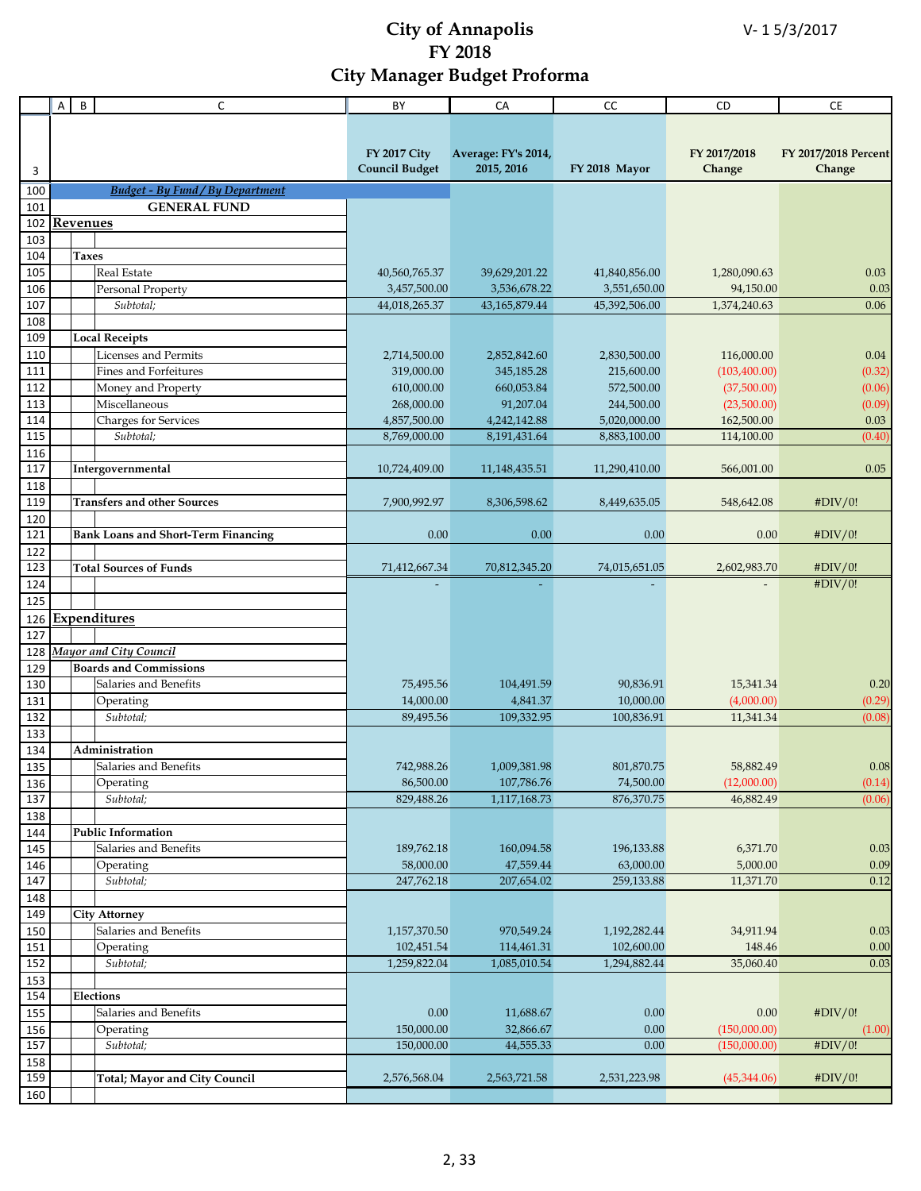|                   | A               | B            | C                                          | BY                      | CA                         | cc                      | CD                       | CE                   |
|-------------------|-----------------|--------------|--------------------------------------------|-------------------------|----------------------------|-------------------------|--------------------------|----------------------|
|                   |                 |              |                                            |                         |                            |                         |                          |                      |
|                   |                 |              |                                            |                         |                            |                         |                          |                      |
|                   |                 |              |                                            | <b>FY 2017 City</b>     | Average: FY's 2014,        |                         | FY 2017/2018             | FY 2017/2018 Percent |
| 3                 |                 |              |                                            | <b>Council Budget</b>   | 2015, 2016                 | FY 2018 Mayor           | Change                   | Change               |
| 100               |                 |              | <b>Budget - By Fund / By Department</b>    |                         |                            |                         |                          |                      |
| 101               |                 |              | <b>GENERAL FUND</b>                        |                         |                            |                         |                          |                      |
| 102               | <b>Revenues</b> |              |                                            |                         |                            |                         |                          |                      |
| 103               |                 |              |                                            |                         |                            |                         |                          |                      |
| 104               |                 | <b>Taxes</b> |                                            |                         |                            |                         |                          |                      |
| 105               |                 |              | Real Estate                                | 40,560,765.37           | 39,629,201.22              | 41,840,856.00           | 1,280,090.63             | 0.03                 |
| 106               |                 |              | Personal Property                          | 3,457,500.00            | 3,536,678.22               | 3,551,650.00            | 94,150.00                | 0.03                 |
| 107               |                 |              | Subtotal:                                  | 44,018,265.37           | 43,165,879.44              | 45,392,506.00           | 1,374,240.63             | 0.06                 |
| 108               |                 |              |                                            |                         |                            |                         |                          |                      |
| 109               |                 |              | <b>Local Receipts</b>                      |                         |                            |                         |                          |                      |
| 110               |                 |              | <b>Licenses and Permits</b>                | 2,714,500.00            | 2,852,842.60               | 2,830,500.00            | 116,000.00               | $0.04\,$             |
| 111               |                 |              | Fines and Forfeitures                      | 319,000.00              | 345,185.28                 | 215,600.00              | (103, 400.00)            | (0.32)               |
| $\frac{112}{112}$ |                 |              | Money and Property                         | 610,000.00              | 660,053.84                 | 572,500.00              | (37,500.00)              | (0.06)               |
| 113               |                 |              | Miscellaneous                              | 268,000.00              | 91,207.04                  | 244,500.00              | (23,500.00)              | (0.09)               |
| 114               |                 |              | Charges for Services                       | 4,857,500.00            | 4,242,142.88               | 5,020,000.00            | 162,500.00               | 0.03                 |
| 115               |                 |              | Subtotal;                                  | 8,769,000.00            | 8,191,431.64               | 8,883,100.00            | 114,100.00               | (0.40)               |
| 116               |                 |              |                                            |                         |                            |                         |                          |                      |
| 117               |                 |              | Intergovernmental                          | 10,724,409.00           | 11,148,435.51              | 11,290,410.00           | 566,001.00               | 0.05                 |
| 118               |                 |              |                                            |                         |                            |                         |                          |                      |
| 119               |                 |              | <b>Transfers and other Sources</b>         | 7,900,992.97            | 8,306,598.62               | 8,449,635.05            | 548,642.08               | #DIV/0!              |
| 120               |                 |              |                                            |                         |                            |                         |                          |                      |
| 121               |                 |              | <b>Bank Loans and Short-Term Financing</b> | 0.00                    | 0.00                       | 0.00                    | 0.00                     | #DIV/0!              |
| 122               |                 |              |                                            |                         |                            |                         |                          |                      |
| 123               |                 |              | <b>Total Sources of Funds</b>              | 71,412,667.34           | 70,812,345.20              | 74,015,651.05           | 2,602,983.70             | #DIV/0!              |
| 124               |                 |              |                                            |                         |                            |                         |                          | #DIV/0!              |
| 125               |                 |              |                                            |                         |                            |                         |                          |                      |
| 126               |                 |              | <b>Expenditures</b>                        |                         |                            |                         |                          |                      |
| 127               |                 |              |                                            |                         |                            |                         |                          |                      |
| 128               |                 |              | Mayor and City Council                     |                         |                            |                         |                          |                      |
| 129               |                 |              | <b>Boards and Commissions</b>              |                         |                            |                         |                          |                      |
| 130               |                 |              | Salaries and Benefits                      | 75,495.56               | 104,491.59                 | 90.836.91               | 15,341.34                | 0.20                 |
| 131               |                 |              | Operating                                  | 14,000.00               | 4,841.37                   | 10,000.00               | (4,000.00)               | (0.29)               |
| 132               |                 |              | Subtotal;                                  | 89,495.56               | 109,332.95                 | 100,836.91              | 11,341.34                | (0.08)               |
| 133               |                 |              |                                            |                         |                            |                         |                          |                      |
| 134               |                 |              | Administration                             |                         |                            |                         |                          |                      |
| 135               |                 |              | Salaries and Benefits                      | 742,988.26              | 1,009,381.98               | 801,870.75              | 58,882.49                | $0.08\,$             |
| 136               |                 |              | Operating<br>Subtotal;                     | 86,500.00<br>829,488.26 | 107,786.76<br>1,117,168.73 | 74,500.00<br>876,370.75 | (12,000.00)<br>46,882.49 | (0.14)               |
| 137               |                 |              |                                            |                         |                            |                         |                          | (0.06)               |
| 138               |                 |              | <b>Public Information</b>                  |                         |                            |                         |                          |                      |
| 144<br>145        |                 |              | Salaries and Benefits                      | 189,762.18              | 160,094.58                 | 196,133.88              | 6,371.70                 | 0.03                 |
| 146               |                 |              | Operating                                  | 58,000.00               | 47,559.44                  | 63,000.00               | 5,000.00                 | 0.09                 |
| 147               |                 |              | Subtotal;                                  | 247,762.18              | 207,654.02                 | 259,133.88              | 11,371.70                | 0.12                 |
| 148               |                 |              |                                            |                         |                            |                         |                          |                      |
| 149               |                 |              | <b>City Attorney</b>                       |                         |                            |                         |                          |                      |
| 150               |                 |              | Salaries and Benefits                      | 1,157,370.50            | 970,549.24                 | 1,192,282.44            | 34,911.94                | 0.03                 |
| 151               |                 |              | Operating                                  | 102,451.54              | 114,461.31                 | 102,600.00              | 148.46                   | 0.00                 |
| 152               |                 |              | Subtotal;                                  | 1,259,822.04            | 1,085,010.54               | 1,294,882.44            | 35,060.40                | 0.03                 |
| 153               |                 |              |                                            |                         |                            |                         |                          |                      |
| 154               |                 |              | <b>Elections</b>                           |                         |                            |                         |                          |                      |
| 155               |                 |              | Salaries and Benefits                      | 0.00                    | 11,688.67                  | 0.00                    | 0.00                     | #DIV/0!              |
| 156               |                 |              | Operating                                  | 150,000.00              | 32,866.67                  | 0.00                    | (150,000.00)             | (1.00)               |
| 157               |                 |              | Subtotal;                                  | 150,000.00              | 44,555.33                  | 0.00                    | (150,000.00)             | #DIV/0!              |
| 158               |                 |              |                                            |                         |                            |                         |                          |                      |
| 159               |                 |              | <b>Total; Mayor and City Council</b>       | 2,576,568.04            | 2,563,721.58               | 2,531,223.98            | (45,344.06)              | #DIV/0!              |
| 160               |                 |              |                                            |                         |                            |                         |                          |                      |
|                   |                 |              |                                            |                         |                            |                         |                          |                      |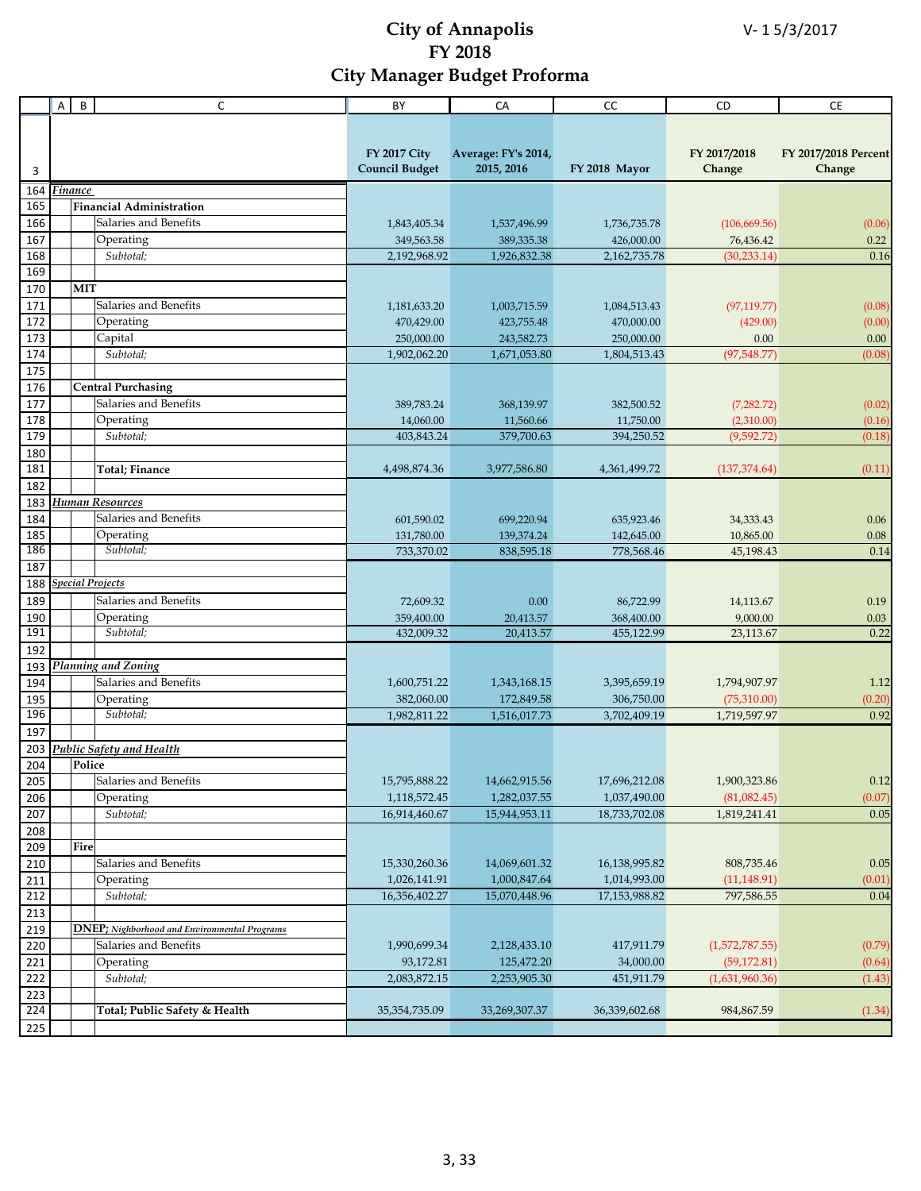|                  | A | $\sf B$ | C                                                    | BY                                           | CA                                | $\mathsf{CC}$              | CD                          | CE                             |
|------------------|---|---------|------------------------------------------------------|----------------------------------------------|-----------------------------------|----------------------------|-----------------------------|--------------------------------|
|                  |   |         |                                                      |                                              |                                   |                            |                             |                                |
| 3                |   |         |                                                      | <b>FY 2017 City</b><br><b>Council Budget</b> | Average: FY's 2014,<br>2015, 2016 | FY 2018 Mayor              | FY 2017/2018<br>Change      | FY 2017/2018 Percent<br>Change |
|                  |   | Finance |                                                      |                                              |                                   |                            |                             |                                |
| 164<br>165       |   |         | <b>Financial Administration</b>                      |                                              |                                   |                            |                             |                                |
| 166              |   |         | Salaries and Benefits                                | 1,843,405.34                                 | 1,537,496.99                      | 1,736,735.78               | (106, 669.56)               | (0.06)                         |
| 167              |   |         | Operating                                            | 349,563.58                                   | 389,335.38                        | 426,000.00                 | 76,436.42                   | 0.22                           |
| 168              |   |         | Subtotal;                                            | 2,192,968.92                                 | 1,926,832.38                      | 2,162,735.78               | (30, 233.14)                | 0.16                           |
| 169              |   |         |                                                      |                                              |                                   |                            |                             |                                |
| 170              |   | MIT     |                                                      |                                              |                                   |                            |                             |                                |
| 171              |   |         | Salaries and Benefits                                | 1,181,633.20                                 | 1,003,715.59                      | 1,084,513.43               | (97, 119.77)                | (0.08)                         |
| 172              |   |         | Operating                                            | 470,429.00                                   | 423,755.48                        | 470,000.00                 | (429.00)                    | (0.00)                         |
| 173              |   |         | Capital                                              | 250,000.00                                   | 243,582.73                        | 250,000.00                 | 0.00                        | 0.00                           |
| 174              |   |         | Subtotal:                                            | 1,902,062.20                                 | 1,671,053.80                      | 1,804,513.43               | (97,548.77)                 | (0.08)                         |
| 175              |   |         |                                                      |                                              |                                   |                            |                             |                                |
| 176              |   |         | <b>Central Purchasing</b>                            |                                              |                                   |                            |                             |                                |
| 177              |   |         | Salaries and Benefits                                | 389,783.24                                   | 368,139.97                        | 382,500.52                 | (7,282.72)                  | (0.02)                         |
| 178              |   |         | Operating                                            | 14,060.00                                    | 11,560.66                         | 11,750.00                  | (2,310.00)                  | (0.16)                         |
| 179              |   |         | Subtotal;                                            | 403,843.24                                   | 379,700.63                        | 394,250.52                 | (9,592,72)                  | (0.18)                         |
| 180              |   |         |                                                      |                                              |                                   |                            |                             |                                |
| 181              |   |         | <b>Total</b> ; Finance                               | 4,498,874.36                                 | 3,977,586.80                      | 4,361,499.72               | (137, 374.64)               | (0.11)                         |
| 182              |   |         |                                                      |                                              |                                   |                            |                             |                                |
| 183              |   |         | Human Resources                                      |                                              |                                   |                            |                             |                                |
| 184              |   |         | Salaries and Benefits                                | 601,590.02                                   | 699,220.94                        | 635,923.46                 | 34,333.43                   | 0.06                           |
| 185              |   |         | Operating                                            | 131,780.00                                   | 139,374.24                        | 142,645.00                 | 10,865.00                   | 0.08                           |
| 186              |   |         | Subtotal;                                            | 733,370.02                                   | 838,595.18                        | 778,568.46                 | 45,198.43                   | 0.14                           |
| 187              |   |         |                                                      |                                              |                                   |                            |                             |                                |
| 188              |   |         | <b>Special Projects</b>                              |                                              |                                   |                            |                             |                                |
| 189              |   |         | Salaries and Benefits                                | 72,609.32                                    | 0.00                              | 86,722.99                  | 14,113.67                   | 0.19                           |
| 190              |   |         | Operating                                            | 359,400.00                                   | 20,413.57                         | 368,400.00                 | 9,000.00                    | 0.03                           |
| 191              |   |         | Subtotal;                                            | 432,009.32                                   | 20,413.57                         | 455,122.99                 | 23,113.67                   | 0.22                           |
| 192              |   |         |                                                      |                                              |                                   |                            |                             |                                |
| 193              |   |         | Planning and Zoning                                  |                                              |                                   |                            |                             |                                |
| 194              |   |         | Salaries and Benefits                                | 1,600,751.22                                 | 1,343,168.15                      | 3,395,659.19               | 1,794,907.97                | 1.12                           |
| 195<br>196       |   |         | Operating<br>Subtotal;                               | 382,060.00<br>1,982,811.22                   | 172,849.58<br>1,516,017.73        | 306,750.00<br>3,702,409.19 | (75,310.00)<br>1,719,597.97 | (0.20)<br>0.92                 |
| 197              |   |         |                                                      |                                              |                                   |                            |                             |                                |
| 203              |   |         | <b>Public Safety and Health</b>                      |                                              |                                   |                            |                             |                                |
| 204              |   | Police  |                                                      |                                              |                                   |                            |                             |                                |
| 205              |   |         | Salaries and Benefits                                | 15,795,888.22                                | 14,662,915.56                     | 17,696,212.08              | 1,900,323.86                | 0.12                           |
| 206              |   |         | Operating                                            | 1,118,572.45                                 | 1,282,037.55                      | 1,037,490.00               | (81,082.45)                 | (0.07)                         |
| 207              |   |         | Subtotal;                                            | 16,914,460.67                                | 15,944,953.11                     | 18,733,702.08              | 1,819,241.41                | 0.05                           |
| 208              |   |         |                                                      |                                              |                                   |                            |                             |                                |
| 209              |   | Fire    |                                                      |                                              |                                   |                            |                             |                                |
| 210              |   |         | Salaries and Benefits                                | 15,330,260.36                                | 14,069,601.32                     | 16,138,995.82              | 808,735.46                  | 0.05                           |
| 211              |   |         | Operating                                            | 1,026,141.91                                 | 1,000,847.64                      | 1,014,993.00               | (11, 148.91)                | (0.01)                         |
| 212              |   |         | Subtotal;                                            | 16,356,402.27                                | 15,070,448.96                     | 17,153,988.82              | 797,586.55                  | 0.04                           |
| 213              |   |         |                                                      |                                              |                                   |                            |                             |                                |
| 219              |   |         | <b>DNEP</b> ; Nighborhood and Environmental Programs |                                              |                                   |                            |                             |                                |
| 220              |   |         | Salaries and Benefits                                | 1,990,699.34                                 | 2,128,433.10                      | 417,911.79                 | (1,572,787.55)              | (0.79)                         |
| 221              |   |         | Operating                                            | 93,172.81                                    | 125,472.20                        | 34,000.00                  | (59, 172.81)                | (0.64)                         |
| 222              |   |         | Subtotal;                                            | 2,083,872.15                                 | 2,253,905.30                      | 451,911.79                 | (1,631,960.36)              | (1.43)                         |
| $\overline{223}$ |   |         |                                                      |                                              |                                   |                            |                             |                                |
| 224              |   |         | Total; Public Safety & Health                        | 35, 354, 735.09                              | 33,269,307.37                     | 36,339,602.68              | 984,867.59                  | (1.34)                         |
| 225              |   |         |                                                      |                                              |                                   |                            |                             |                                |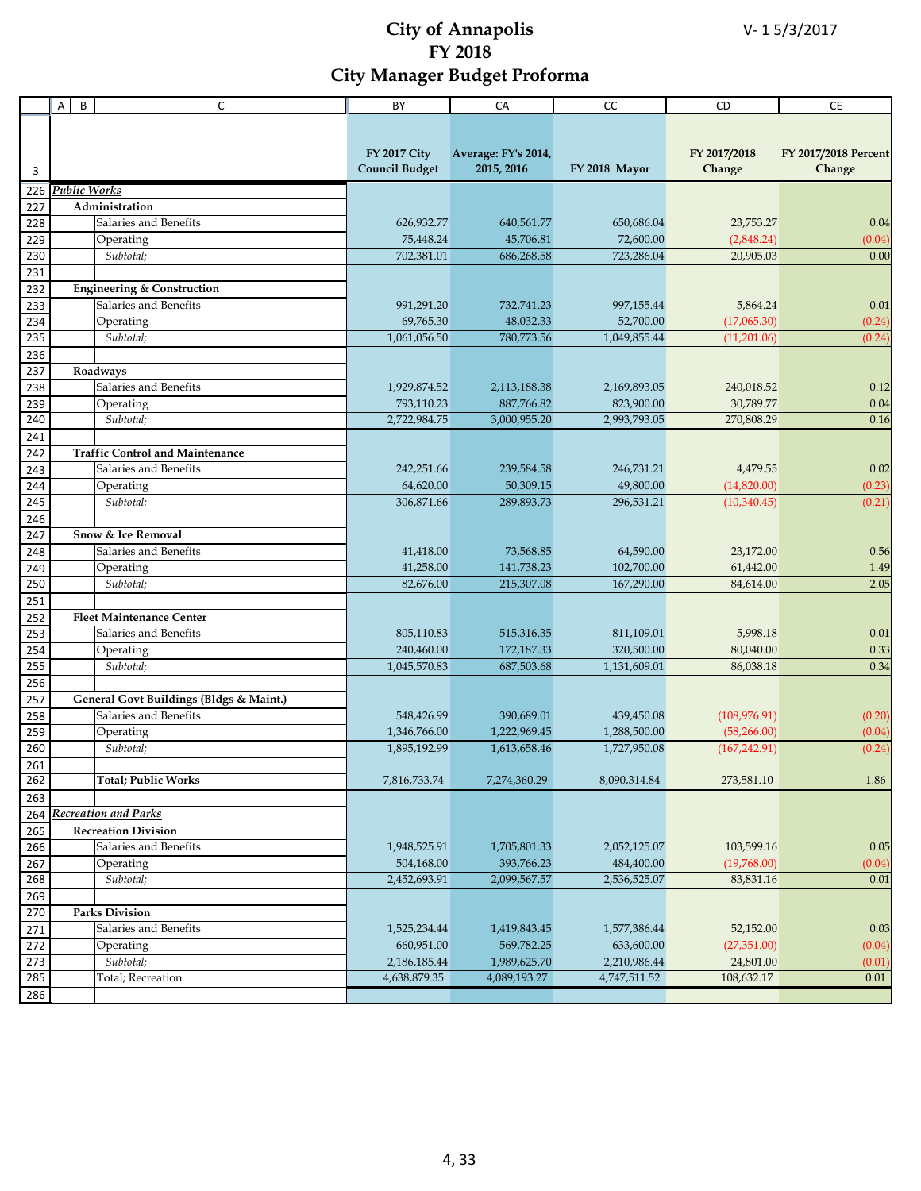|            | A | $\, {\bf B}$ | $\mathsf{C}$                            | BY                                           | CA                                | CC            | CD                     | CE                             |
|------------|---|--------------|-----------------------------------------|----------------------------------------------|-----------------------------------|---------------|------------------------|--------------------------------|
|            |   |              |                                         |                                              |                                   |               |                        |                                |
| 3          |   |              |                                         | <b>FY 2017 City</b><br><b>Council Budget</b> | Average: FY's 2014,<br>2015, 2016 | FY 2018 Mayor | FY 2017/2018<br>Change | FY 2017/2018 Percent<br>Change |
| 226        |   |              | Public Works                            |                                              |                                   |               |                        |                                |
| 227        |   |              | Administration                          |                                              |                                   |               |                        |                                |
| 228        |   |              | Salaries and Benefits                   | 626,932.77                                   | 640,561.77                        | 650,686.04    | 23,753.27              | 0.04                           |
| 229        |   |              | Operating                               | 75,448.24                                    | 45,706.81                         | 72,600.00     | (2,848.24)             | (0.04)                         |
| 230        |   |              | Subtotal;                               | 702,381.01                                   | 686,268.58                        | 723,286.04    | 20,905.03              | 0.00                           |
| 231        |   |              |                                         |                                              |                                   |               |                        |                                |
| 232        |   |              | <b>Engineering &amp; Construction</b>   |                                              |                                   |               |                        |                                |
| 233        |   |              | Salaries and Benefits                   | 991,291.20                                   | 732,741.23                        | 997,155.44    | 5,864.24               | 0.01                           |
| 234        |   |              | Operating                               | 69,765.30                                    | 48,032.33                         | 52,700.00     | (17,065.30)            | (0.24)                         |
| 235        |   |              | Subtotal;                               | 1,061,056.50                                 | 780,773.56                        | 1,049,855.44  | (11,201.06)            | (0.24)                         |
| 236        |   |              |                                         |                                              |                                   |               |                        |                                |
| 237        |   |              | Roadways                                |                                              |                                   |               |                        |                                |
| 238        |   |              | Salaries and Benefits                   | 1,929,874.52                                 | 2,113,188.38                      | 2,169,893.05  | 240,018.52             | 0.12                           |
| 239        |   |              | Operating                               | 793,110.23                                   | 887,766.82                        | 823,900.00    | 30,789.77              | 0.04                           |
| 240        |   |              | Subtotal;                               | 2,722,984.75                                 | 3,000,955.20                      | 2,993,793.05  | 270,808.29             | 0.16                           |
| 241        |   |              |                                         |                                              |                                   |               |                        |                                |
| 242        |   |              | <b>Traffic Control and Maintenance</b>  |                                              |                                   | 246.731.21    |                        |                                |
| 243        |   |              | Salaries and Benefits                   | 242,251.66                                   | 239,584.58                        |               | 4,479.55               | 0.02                           |
| 244<br>245 |   |              | Operating<br>Subtotal;                  | 64,620.00                                    | 50,309.15                         | 49,800.00     | (14,820.00)            | (0.23)<br>(0.21)               |
|            |   |              |                                         | 306,871.66                                   | 289,893.73                        | 296,531.21    | (10,340.45)            |                                |
| 246        |   |              | <b>Snow &amp; Ice Removal</b>           |                                              |                                   |               |                        |                                |
| 247<br>248 |   |              | Salaries and Benefits                   | 41,418.00                                    | 73,568.85                         | 64,590.00     | 23,172.00              | 0.56                           |
| 249        |   |              | Operating                               | 41,258.00                                    | 141,738.23                        | 102,700.00    | 61,442.00              | 1.49                           |
| 250        |   |              | $\overline{Subtotal}$ ;                 | 82,676.00                                    | 215,307.08                        | 167,290.00    | 84,614.00              | 2.05                           |
| 251        |   |              |                                         |                                              |                                   |               |                        |                                |
| 252        |   |              | <b>Fleet Maintenance Center</b>         |                                              |                                   |               |                        |                                |
| 253        |   |              | Salaries and Benefits                   | 805,110.83                                   | 515,316.35                        | 811,109.01    | 5,998.18               | 0.01                           |
| 254        |   |              | Operating                               | 240,460.00                                   | 172,187.33                        | 320,500.00    | 80,040.00              | 0.33                           |
| 255        |   |              | Subtotal;                               | 1,045,570.83                                 | 687,503.68                        | 1,131,609.01  | 86,038.18              | 0.34                           |
| 256        |   |              |                                         |                                              |                                   |               |                        |                                |
| 257        |   |              | General Govt Buildings (Bldgs & Maint.) |                                              |                                   |               |                        |                                |
| 258        |   |              | Salaries and Benefits                   | 548,426.99                                   | 390,689.01                        | 439,450.08    | (108, 976.91)          | (0.20)                         |
| 259        |   |              | Operating                               | 1,346,766.00                                 | 1,222,969.45                      | 1,288,500.00  | (58, 266.00)           | (0.04)                         |
| 260        |   |              | Subtotal:                               | 1,895,192.99                                 | 1,613,658.46                      | 1,727,950.08  | (167, 242.91)          | (0.24)                         |
| 261        |   |              |                                         |                                              |                                   |               |                        |                                |
| 262        |   |              | <b>Total; Public Works</b>              | 7,816,733.74                                 | 7,274,360.29                      | 8,090,314.84  | 273,581.10             | 1.86                           |
| 263        |   |              |                                         |                                              |                                   |               |                        |                                |
| 264        |   |              | <b>Recreation and Parks</b>             |                                              |                                   |               |                        |                                |
| 265        |   |              | <b>Recreation Division</b>              |                                              |                                   |               |                        |                                |
| 266        |   |              | Salaries and Benefits                   | 1,948,525.91                                 | 1,705,801.33                      | 2,052,125.07  | 103,599.16             | 0.05                           |
| 267        |   |              | Operating                               | 504,168.00                                   | 393,766.23                        | 484,400.00    | (19,768.00)            | (0.04)                         |
| 268        |   |              | Subtotal;                               | 2,452,693.91                                 | 2,099,567.57                      | 2,536,525.07  | 83,831.16              | 0.01                           |
| 269        |   |              |                                         |                                              |                                   |               |                        |                                |
| 270        |   |              | <b>Parks Division</b>                   |                                              |                                   |               |                        |                                |
| 271        |   |              | Salaries and Benefits                   | 1,525,234.44                                 | 1,419,843.45                      | 1,577,386.44  | 52,152.00              | 0.03                           |
| 272        |   |              | Operating                               | 660,951.00                                   | 569,782.25                        | 633,600.00    | (27, 351.00)           | (0.04)                         |
| 273        |   |              | Subtotal;                               | 2,186,185.44                                 | 1,989,625.70                      | 2,210,986.44  | 24,801.00              | (0.01)                         |
| 285        |   |              | Total; Recreation                       | 4,638,879.35                                 | 4,089,193.27                      | 4,747,511.52  | 108,632.17             | 0.01                           |
| 286        |   |              |                                         |                                              |                                   |               |                        |                                |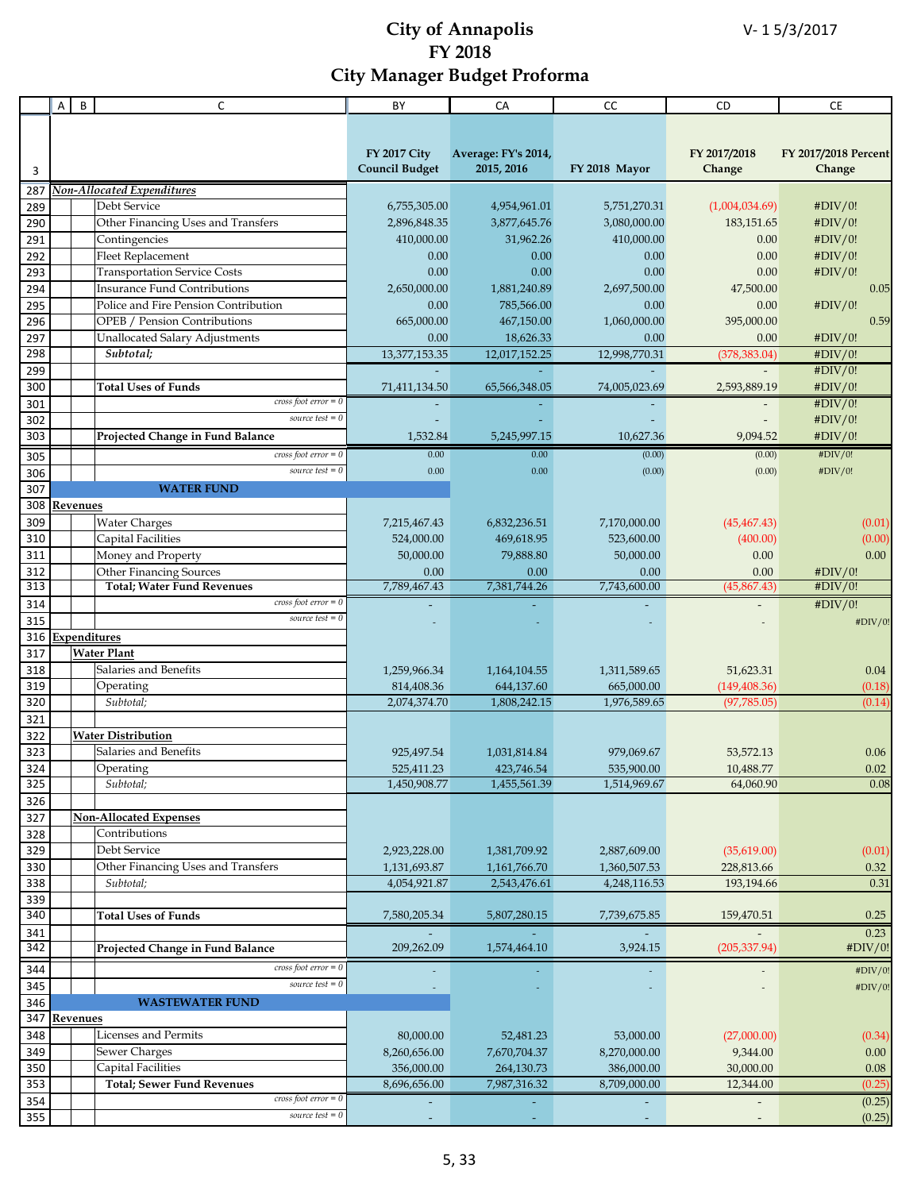|            | Α | B        | C                                                    | BY                    | CA                  | cc            | <b>CD</b>      | <b>CE</b>            |
|------------|---|----------|------------------------------------------------------|-----------------------|---------------------|---------------|----------------|----------------------|
|            |   |          |                                                      |                       |                     |               |                |                      |
|            |   |          |                                                      |                       |                     |               |                |                      |
|            |   |          |                                                      | <b>FY 2017 City</b>   | Average: FY's 2014, |               | FY 2017/2018   | FY 2017/2018 Percent |
| 3          |   |          |                                                      | <b>Council Budget</b> | 2015, 2016          | FY 2018 Mayor | Change         | Change               |
| 287        |   |          | Non-Allocated Expenditures                           |                       |                     |               |                |                      |
| 289        |   |          | Debt Service                                         | 6,755,305.00          | 4,954,961.01        | 5,751,270.31  | (1,004,034.69) | #DIV/0!              |
| 290        |   |          | Other Financing Uses and Transfers                   | 2,896,848.35          | 3,877,645.76        | 3,080,000.00  | 183, 151.65    | #DIV/0!              |
| 291        |   |          | Contingencies                                        | 410,000.00            | 31,962.26           | 410,000.00    | 0.00           | #DIV/0!              |
| 292        |   |          | Fleet Replacement                                    | 0.00                  | 0.00                | 0.00          | 0.00           | #DIV/0!              |
| 293        |   |          | <b>Transportation Service Costs</b>                  | 0.00                  | 0.00                | 0.00          | 0.00           | #DIV/0!              |
| 294        |   |          | <b>Insurance Fund Contributions</b>                  | 2,650,000.00          | 1,881,240.89        | 2,697,500.00  | 47,500.00      | 0.05                 |
| 295        |   |          | Police and Fire Pension Contribution                 | 0.00                  | 785,566.00          | 0.00          | 0.00           | #DIV/0!              |
| 296        |   |          | <b>OPEB</b> / Pension Contributions                  | 665,000.00            | 467,150.00          | 1,060,000.00  | 395,000.00     | 0.59                 |
| 297        |   |          | Unallocated Salary Adjustments                       | 0.00                  | 18,626.33           | 0.00          | 0.00           | #DIV/0!              |
| 298        |   |          | Subtotal;                                            | 13,377,153.35         | 12,017,152.25       | 12,998,770.31 | (378, 383.04)  | #DIV/0!              |
| 299        |   |          |                                                      |                       |                     |               |                | #DIV/0!              |
| 300        |   |          | <b>Total Uses of Funds</b><br>$cross foot error = 0$ | 71,411,134.50         | 65,566,348.05       | 74,005,023.69 | 2,593,889.19   | #DIV/0!              |
| 301<br>302 |   |          | source test $= 0$                                    |                       |                     |               |                | #DIV/0!<br>#DIV/0!   |
| 303        |   |          | Projected Change in Fund Balance                     | 1,532.84              | 5,245,997.15        | 10,627.36     | 9,094.52       | #DIV/0!              |
|            |   |          | $cross foot error = 0$                               | 0.00                  | 0.00                | (0.00)        | (0.00)         | #DIV/0!              |
| 305<br>306 |   |          | source test $= 0$                                    | $0.00\,$              | 0.00                | (0.00)        | (0.00)         | #DIV/0!              |
| 307        |   |          | <b>WATER FUND</b>                                    |                       |                     |               |                |                      |
| 308        |   | Revenues |                                                      |                       |                     |               |                |                      |
| 309        |   |          | <b>Water Charges</b>                                 | 7,215,467.43          | 6,832,236.51        | 7,170,000.00  | (45, 467, 43)  | (0.01)               |
| 310        |   |          | <b>Capital Facilities</b>                            | 524,000.00            | 469,618.95          | 523,600.00    | (400.00)       | (0.00)               |
| 311        |   |          | Money and Property                                   | 50,000.00             | 79,888.80           | 50,000.00     | 0.00           | 0.00                 |
| 312        |   |          | <b>Other Financing Sources</b>                       | 0.00                  | 0.00                | 0.00          | 0.00           | #DIV/0!              |
| 313        |   |          | <b>Total; Water Fund Revenues</b>                    | 7,789,467.43          | 7,381,744.26        | 7,743,600.00  | (45,867.43)    | #DIV/0!              |
| 314        |   |          | $cross foot error = 0$                               |                       |                     |               |                | #DIV/0!              |
| 315        |   |          | source test $= 0$                                    |                       |                     |               |                | #DIV/0!              |
| 316        |   |          | Expenditures                                         |                       |                     |               |                |                      |
| 317        |   |          | <b>Water Plant</b>                                   |                       |                     |               |                |                      |
| 318        |   |          | Salaries and Benefits                                | 1,259,966.34          | 1,164,104.55        | 1,311,589.65  | 51,623.31      | 0.04                 |
| 319        |   |          | Operating                                            | 814,408.36            | 644,137.60          | 665,000.00    | (149, 408.36)  | (0.18)               |
| 320        |   |          | Subtotal;                                            | 2,074,374.70          | 1,808,242.15        | 1,976,589.65  | (97, 785.05)   | (0.14)               |
| 321        |   |          |                                                      |                       |                     |               |                |                      |
| 322        |   |          | <b>Water Distribution</b>                            |                       |                     |               |                |                      |
| 323        |   |          | Salaries and Benefits                                | 925,497.54            | 1,031,814.84        | 979,069.67    | 53,572.13      | 0.06                 |
| 324        |   |          | Operating                                            | 525,411.23            | 423,746.54          | 535,900.00    | 10,488.77      | 0.02                 |
| 325        |   |          | Subtotal;                                            | 1,450,908.77          | 1,455,561.39        | 1,514,969.67  | 64,060.90      | 0.08                 |
| 326        |   |          | <b>Non-Allocated Expenses</b>                        |                       |                     |               |                |                      |
| 327<br>328 |   |          | Contributions                                        |                       |                     |               |                |                      |
| 329        |   |          | Debt Service                                         | 2,923,228.00          | 1,381,709.92        | 2,887,609.00  | (35,619.00)    | (0.01)               |
| 330        |   |          | Other Financing Uses and Transfers                   | 1,131,693.87          | 1,161,766.70        | 1,360,507.53  | 228,813.66     | 0.32                 |
| 338        |   |          | Subtotal;                                            | 4,054,921.87          | 2,543,476.61        | 4,248,116.53  | 193,194.66     | 0.31                 |
| 339        |   |          |                                                      |                       |                     |               |                |                      |
| 340        |   |          | <b>Total Uses of Funds</b>                           | 7,580,205.34          | 5,807,280.15        | 7,739,675.85  | 159,470.51     | 0.25                 |
| 341        |   |          |                                                      |                       |                     |               |                | 0.23                 |
| 342        |   |          | Projected Change in Fund Balance                     | 209,262.09            | 1,574,464.10        | 3,924.15      | (205, 337.94)  | #DIV/0!              |
| 344        |   |          | cross foot $error = 0$                               |                       |                     |               |                | #DIV/0!              |
| 345        |   |          | source test $= 0$                                    |                       |                     |               |                | #DIV/0!              |
| 346        |   |          | <b>WASTEWATER FUND</b>                               |                       |                     |               |                |                      |
| 347        |   | Revenues |                                                      |                       |                     |               |                |                      |
| 348        |   |          | <b>Licenses and Permits</b>                          | 80,000.00             | 52,481.23           | 53,000.00     | (27,000.00)    | (0.34)               |
| 349        |   |          | Sewer Charges                                        | 8,260,656.00          | 7,670,704.37        | 8,270,000.00  | 9,344.00       | 0.00                 |
| 350        |   |          | <b>Capital Facilities</b>                            | 356,000.00            | 264,130.73          | 386,000.00    | 30,000.00      | $0.08\,$             |
| 353        |   |          | <b>Total; Sewer Fund Revenues</b>                    | 8,696,656.00          | 7,987,316.32        | 8,709,000.00  | 12,344.00      | (0.25)               |
| 354        |   |          | $cross foot error = 0$                               |                       |                     |               |                | (0.25)               |
| 355        |   |          | source test $= 0$                                    |                       |                     |               |                | (0.25)               |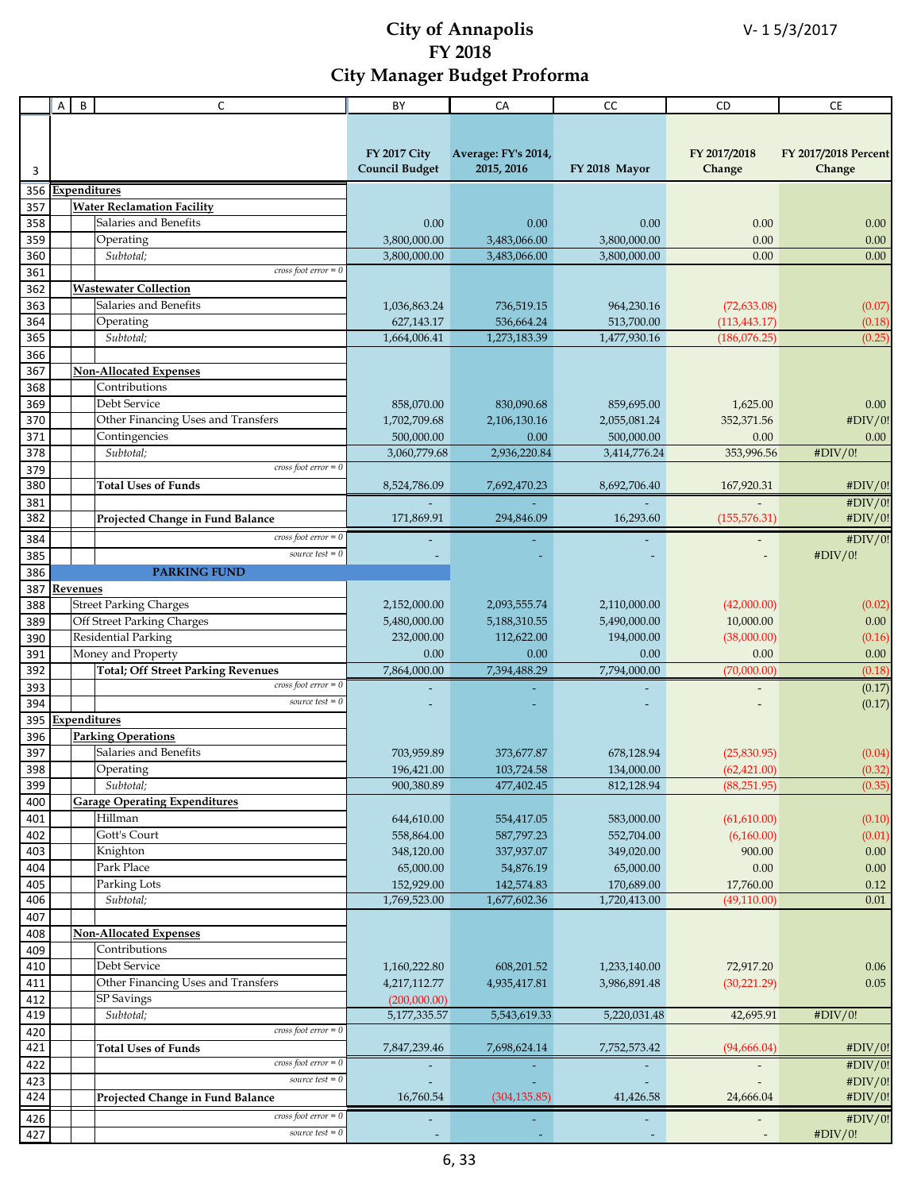|            | Α | B        | C                                                  | BY                                           | CA                                | CC                       | CD                          | <b>CE</b>                      |
|------------|---|----------|----------------------------------------------------|----------------------------------------------|-----------------------------------|--------------------------|-----------------------------|--------------------------------|
|            |   |          |                                                    |                                              |                                   |                          |                             |                                |
|            |   |          |                                                    |                                              |                                   |                          |                             |                                |
| 3          |   |          |                                                    | <b>FY 2017 City</b><br><b>Council Budget</b> | Average: FY's 2014,<br>2015, 2016 | FY 2018 Mayor            | FY 2017/2018<br>Change      | FY 2017/2018 Percent<br>Change |
| 356        |   |          | Expenditures                                       |                                              |                                   |                          |                             |                                |
| 357        |   |          | <b>Water Reclamation Facility</b>                  |                                              |                                   |                          |                             |                                |
| 358        |   |          | Salaries and Benefits                              | 0.00                                         | 0.00                              | 0.00                     | 0.00                        | 0.00                           |
| 359        |   |          | Operating                                          | 3,800,000.00                                 | 3,483,066.00                      | 3,800,000.00             | 0.00                        | 0.00                           |
| 360<br>361 |   |          | Subtotal;<br>cross foot $error = 0$                | 3,800,000.00                                 | 3,483,066.00                      | 3,800,000.00             | 0.00                        | 0.00                           |
| 362        |   |          | <b>Wastewater Collection</b>                       |                                              |                                   |                          |                             |                                |
| 363        |   |          | Salaries and Benefits                              | 1,036,863.24                                 | 736,519.15                        | 964,230.16               | (72, 633.08)                | (0.07)                         |
| 364        |   |          | Operating                                          | 627,143.17                                   | 536,664.24                        | 513,700.00               | (113, 443.17)               | (0.18)                         |
| 365        |   |          | Subtotal;                                          | 1,664,006.41                                 | 1,273,183.39                      | 1,477,930.16             | (186,076.25)                | (0.25)                         |
| 366        |   |          |                                                    |                                              |                                   |                          |                             |                                |
| 367        |   |          | <b>Non-Allocated Expenses</b>                      |                                              |                                   |                          |                             |                                |
| 368        |   |          | Contributions                                      |                                              |                                   |                          |                             |                                |
| 369        |   |          | Debt Service                                       | 858,070.00                                   | 830,090.68                        | 859,695.00               | 1,625.00                    | 0.00                           |
| 370        |   |          | Other Financing Uses and Transfers                 | 1,702,709.68                                 | 2,106,130.16                      | 2,055,081.24             | 352,371.56                  | #DIV/0!                        |
| 371        |   |          | Contingencies                                      | 500,000.00                                   | 0.00                              | 500,000.00               | 0.00                        | 0.00                           |
| 378        |   |          | Subtotal:<br>cross foot $error = 0$                | 3,060,779.68                                 | 2,936,220.84                      | 3,414,776.24             | 353,996.56                  | #DIV/0!                        |
| 379<br>380 |   |          | <b>Total Uses of Funds</b>                         | 8,524,786.09                                 | 7,692,470.23                      | 8,692,706.40             | 167,920.31                  | #DIV/0!                        |
| 381        |   |          |                                                    |                                              |                                   |                          |                             | #DIV/0!                        |
| 382        |   |          | Projected Change in Fund Balance                   | 171,869.91                                   | 294,846.09                        | 16,293.60                | (155, 576.31)               | #DIV/0!                        |
|            |   |          | cross foot $error = 0$                             |                                              |                                   |                          |                             |                                |
| 384<br>385 |   |          | source test $= 0$                                  |                                              |                                   |                          |                             | #DIV/0!<br>#DIV/0!             |
| 386        |   |          | <b>PARKING FUND</b>                                |                                              |                                   |                          |                             |                                |
| 387        |   | Revenues |                                                    |                                              |                                   |                          |                             |                                |
| 388        |   |          | <b>Street Parking Charges</b>                      | 2,152,000.00                                 | 2,093,555.74                      | 2,110,000.00             | (42,000.00)                 | (0.02)                         |
| 389        |   |          | Off Street Parking Charges                         | 5,480,000.00                                 | 5,188,310.55                      | 5,490,000.00             | 10,000.00                   | $0.00\,$                       |
| 390        |   |          | <b>Residential Parking</b>                         | 232,000.00                                   | 112,622.00                        | 194,000.00               | (38,000.00)                 | (0.16)                         |
| 391        |   |          | Money and Property                                 | 0.00                                         | 0.00                              | 0.00                     | 0.00                        | 0.00                           |
| 392        |   |          | <b>Total; Off Street Parking Revenues</b>          | 7,864,000.00                                 | 7,394,488.29                      | 7,794,000.00             | (70,000.00)                 | (0.18)                         |
| 393        |   |          | cross foot $error = 0$                             |                                              |                                   |                          |                             | (0.17)                         |
| 394        |   |          | source test $= 0$                                  |                                              |                                   |                          |                             | (0.17)                         |
| 395        |   |          | <b>Expenditures</b>                                |                                              |                                   |                          |                             |                                |
| 396<br>397 |   |          | <b>Parking Operations</b><br>Salaries and Benefits |                                              |                                   |                          |                             |                                |
| 398        |   |          | Operating                                          | 703,959.89<br>196,421.00                     | 373,677.87<br>103,724.58          | 678,128.94<br>134,000.00 | (25,830.95)<br>(62, 421.00) | (0.04)<br>(0.32)               |
| 399        |   |          | Subtotal;                                          | 900,380.89                                   | 477,402.45                        | 812,128.94               | (88, 251.95)                | (0.35)                         |
| 400        |   |          | <b>Garage Operating Expenditures</b>               |                                              |                                   |                          |                             |                                |
| 401        |   |          | Hillman                                            | 644,610.00                                   | 554,417.05                        | 583,000.00               | (61,610.00)                 | (0.10)                         |
| 402        |   |          | Gott's Court                                       | 558,864.00                                   | 587,797.23                        | 552,704.00               | (6,160.00)                  | (0.01)                         |
| 403        |   |          | Knighton                                           | 348,120.00                                   | 337,937.07                        | 349,020.00               | 900.00                      | $0.00\,$                       |
| 404        |   |          | Park Place                                         | 65,000.00                                    | 54,876.19                         | 65,000.00                | $0.00\,$                    | $0.00\,$                       |
| 405        |   |          | Parking Lots                                       | 152,929.00                                   | 142,574.83                        | 170,689.00               | 17,760.00                   | 0.12                           |
| 406        |   |          | Subtotal:                                          | 1,769,523.00                                 | 1,677,602.36                      | 1,720,413.00             | (49, 110.00)                | 0.01                           |
| 407        |   |          |                                                    |                                              |                                   |                          |                             |                                |
| 408        |   |          | <b>Non-Allocated Expenses</b>                      |                                              |                                   |                          |                             |                                |
| 409        |   |          | Contributions<br>Debt Service                      |                                              |                                   |                          |                             |                                |
| 410        |   |          | Other Financing Uses and Transfers                 | 1,160,222.80                                 | 608,201.52                        | 1,233,140.00             | 72,917.20                   | $0.06\,$<br>0.05               |
| 411<br>412 |   |          | <b>SP</b> Savings                                  | 4,217,112.77<br>(200,000.00)                 | 4,935,417.81                      | 3,986,891.48             | (30, 221.29)                |                                |
| 419        |   |          | Subtotal;                                          | 5,177,335.57                                 | 5,543,619.33                      | 5,220,031.48             | 42,695.91                   | #DIV/0!                        |
| 420        |   |          | $cross foot error = 0$                             |                                              |                                   |                          |                             |                                |
| 421        |   |          | <b>Total Uses of Funds</b>                         | 7,847,239.46                                 | 7,698,624.14                      | 7,752,573.42             | (94,666.04)                 | #DIV/0!                        |
| 422        |   |          | $cross foot error = 0$                             |                                              |                                   |                          |                             | #DIV/0!                        |
| 423        |   |          | source test $= 0$                                  |                                              |                                   |                          |                             | #DIV/0!                        |
| 424        |   |          | Projected Change in Fund Balance                   | 16,760.54                                    | (304, 135.85)                     | 41,426.58                | 24,666.04                   | #DIV/0!                        |
| 426        |   |          | $\cos$ foot $\overline{error} = 0$                 |                                              |                                   |                          |                             | #DIV/0!                        |
| 427        |   |          | source test $= 0$                                  |                                              |                                   |                          |                             | #DIV/0!                        |
|            |   |          |                                                    |                                              |                                   |                          |                             |                                |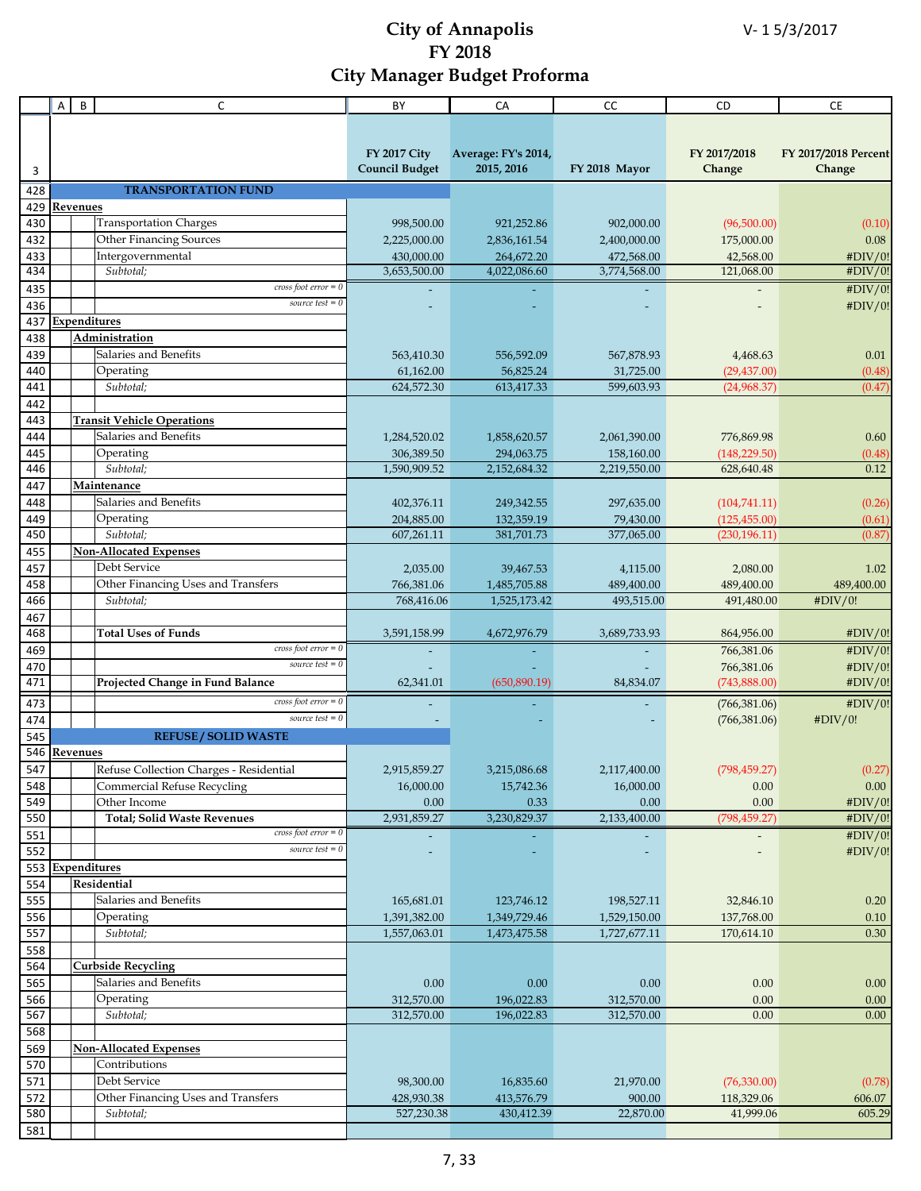|            | A        | B        | C                                                    | BY                         | CA                         | cc                         | CD                      | CE                   |
|------------|----------|----------|------------------------------------------------------|----------------------------|----------------------------|----------------------------|-------------------------|----------------------|
|            |          |          |                                                      |                            |                            |                            |                         |                      |
|            |          |          |                                                      |                            |                            |                            |                         |                      |
|            |          |          |                                                      | <b>FY 2017 City</b>        | Average: FY's 2014,        |                            | FY 2017/2018            | FY 2017/2018 Percent |
| 3          |          |          |                                                      | <b>Council Budget</b>      | 2015, 2016                 | FY 2018 Mayor              | Change                  | Change               |
| 428        |          |          | <b>TRANSPORTATION FUND</b>                           |                            |                            |                            |                         |                      |
| 429        |          |          |                                                      |                            |                            |                            |                         |                      |
| 430        |          | Revenues | <b>Transportation Charges</b>                        |                            |                            |                            |                         |                      |
|            |          |          |                                                      | 998,500.00                 | 921,252.86                 | 902,000.00                 | (96,500.00)             | (0.10)               |
| 432        |          |          | <b>Other Financing Sources</b>                       | 2,225,000.00               | 2,836,161.54               | 2,400,000.00               | 175,000.00              | 0.08                 |
| 433<br>434 |          |          | Intergovernmental<br>Subtotal;                       | 430,000.00<br>3,653,500.00 | 264,672.20<br>4,022,086.60 | 472,568.00<br>3,774,568.00 | 42,568.00<br>121,068.00 | #DIV/0!<br>#DIV/0!   |
|            |          |          | cross foot $error = 0$                               |                            |                            |                            |                         |                      |
| 435        |          |          | source test $= 0$                                    |                            |                            |                            |                         | #DIV/0!              |
| 436        |          |          |                                                      |                            |                            |                            |                         | #DIV/0!              |
| 437        |          |          | <b>Expenditures</b>                                  |                            |                            |                            |                         |                      |
| 438        |          |          | Administration                                       |                            |                            |                            |                         |                      |
| 439        |          |          | Salaries and Benefits                                | 563,410.30                 | 556,592.09                 | 567,878.93                 | 4,468.63                | 0.01                 |
| 440        |          |          | Operating                                            | 61,162.00                  | 56,825.24                  | 31,725.00                  | (29, 437.00)            | (0.48)               |
| 441        |          |          | Subtotal;                                            | 624,572.30                 | 613,417.33                 | 599,603.93                 | (24,968.37)             | (0.47)               |
| 442        |          |          |                                                      |                            |                            |                            |                         |                      |
| 443        |          |          | <b>Transit Vehicle Operations</b>                    |                            |                            |                            |                         |                      |
| 444        |          |          | Salaries and Benefits                                | 1,284,520.02               | 1,858,620.57               | 2,061,390.00               | 776,869.98              | 0.60                 |
| 445        |          |          | Operating                                            | 306,389.50                 | 294,063.75                 | 158,160.00                 | (148, 229.50)           | (0.48)<br>0.12       |
| 446        |          |          | Subtotal;                                            | 1,590,909.52               | 2,152,684.32               | 2,219,550.00               | 628,640.48              |                      |
| 447        |          |          | Maintenance                                          |                            |                            |                            |                         |                      |
| 448        |          |          | Salaries and Benefits                                | 402,376.11                 | 249,342.55                 | 297,635.00                 | (104, 741.11)           | (0.26)               |
| 449        |          |          | Operating                                            | 204,885.00                 | 132,359.19                 | 79,430.00                  | (125, 455.00)           | (0.61)               |
| 450        |          |          | Subtotal;                                            | 607,261.11                 | 381,701.73                 | 377,065.00                 | (230, 196.11)           | (0.87)               |
| 455        |          |          | Non-Allocated Expenses                               |                            |                            |                            |                         |                      |
| 457        |          |          | Debt Service                                         | 2,035.00                   | 39,467.53                  | 4,115.00                   | 2,080.00                | 1.02                 |
| 458        |          |          | Other Financing Uses and Transfers                   | 766,381.06                 | 1,485,705.88               | 489,400.00                 | 489,400.00              | 489,400.00           |
| 466        |          |          | Subtotal;                                            | 768,416.06                 | 1,525,173.42               | 493,515.00                 | 491,480.00              | #DIV/0!              |
| 467        |          |          |                                                      |                            |                            |                            |                         |                      |
| 468        |          |          | <b>Total Uses of Funds</b><br>cross foot $error = 0$ | 3,591,158.99               | 4,672,976.79               | 3,689,733.93               | 864,956.00              | #DIV/0!              |
| 469        |          |          | source test $= 0$                                    |                            |                            |                            | 766,381.06              | #DIV/0!              |
| 470        |          |          |                                                      |                            |                            |                            | 766,381.06              | #DIV/0!              |
| 471        |          |          | Projected Change in Fund Balance                     | 62,341.01                  | (650, 890.19)              | 84,834.07                  | (743,888.00)            | #DIV/0!              |
| 473        |          |          | cross foot error $= 0$                               |                            |                            |                            | (766, 381.06)           | #DIV/0!              |
| 474        |          |          | source test $= 0$                                    |                            |                            |                            | (766, 381.06)           | #DIV/0!              |
| 545        |          |          | <b>REFUSE / SOLID WASTE</b>                          |                            |                            |                            |                         |                      |
| 546        | Revenues |          |                                                      |                            |                            |                            |                         |                      |
| 547        |          |          | Refuse Collection Charges - Residential              | 2,915,859.27               | 3,215,086.68               | 2,117,400.00               | (798, 459.27)           | (0.27)               |
| 548        |          |          | Commercial Refuse Recycling                          | 16,000.00                  | 15,742.36                  | 16,000.00                  | 0.00                    | 0.00                 |
| 549        |          |          | Other Income                                         | 0.00                       | 0.33                       | 0.00                       | $0.00\,$                | #DIV/0!              |
| 550        |          |          | <b>Total; Solid Waste Revenues</b>                   | 2,931,859.27               | 3,230,829.37               | 2,133,400.00               | (798, 459.27)           | #DIV/0!              |
| 551        |          |          | $cross foot error = 0$                               |                            |                            |                            |                         | #DIV/0!              |
| 552        |          |          | source test $= 0$                                    |                            |                            |                            |                         | #DIV/0!              |
| 553        |          |          | <b>Expenditures</b>                                  |                            |                            |                            |                         |                      |
| 554        |          |          | Residential                                          |                            |                            |                            |                         |                      |
| 555        |          |          | Salaries and Benefits                                | 165,681.01                 | 123,746.12                 | 198,527.11                 | 32,846.10               | 0.20                 |
| 556        |          |          | Operating                                            | 1,391,382.00               | 1,349,729.46               | 1,529,150.00               | 137,768.00              | 0.10                 |
| 557        |          |          | Subtotal;                                            | 1,557,063.01               | 1,473,475.58               | 1,727,677.11               | 170,614.10              | 0.30                 |
| 558        |          |          |                                                      |                            |                            |                            |                         |                      |
| 564        |          |          | <b>Curbside Recycling</b>                            |                            |                            |                            |                         |                      |
| 565        |          |          | Salaries and Benefits                                | 0.00                       | 0.00                       | 0.00                       | 0.00                    | 0.00                 |
| 566        |          |          | Operating                                            | 312,570.00                 | 196,022.83                 | 312,570.00                 | 0.00                    | 0.00                 |
| 567        |          |          | Subtotal;                                            | 312,570.00                 | 196,022.83                 | 312,570.00                 | 0.00                    | 0.00                 |
| 568        |          |          |                                                      |                            |                            |                            |                         |                      |
| 569        |          |          | <b>Non-Allocated Expenses</b>                        |                            |                            |                            |                         |                      |
| 570        |          |          | Contributions                                        |                            |                            |                            |                         |                      |
| 571        |          |          | Debt Service                                         | 98,300.00                  | 16,835.60                  | 21,970.00                  | (76, 330.00)            | (0.78)               |
| 572        |          |          | Other Financing Uses and Transfers                   | 428,930.38                 | 413,576.79                 | 900.00                     | 118,329.06              | 606.07               |
| 580        |          |          | Subtotal;                                            | 527,230.38                 | 430,412.39                 | 22,870.00                  | 41,999.06               | 605.29               |
| 581        |          |          |                                                      |                            |                            |                            |                         |                      |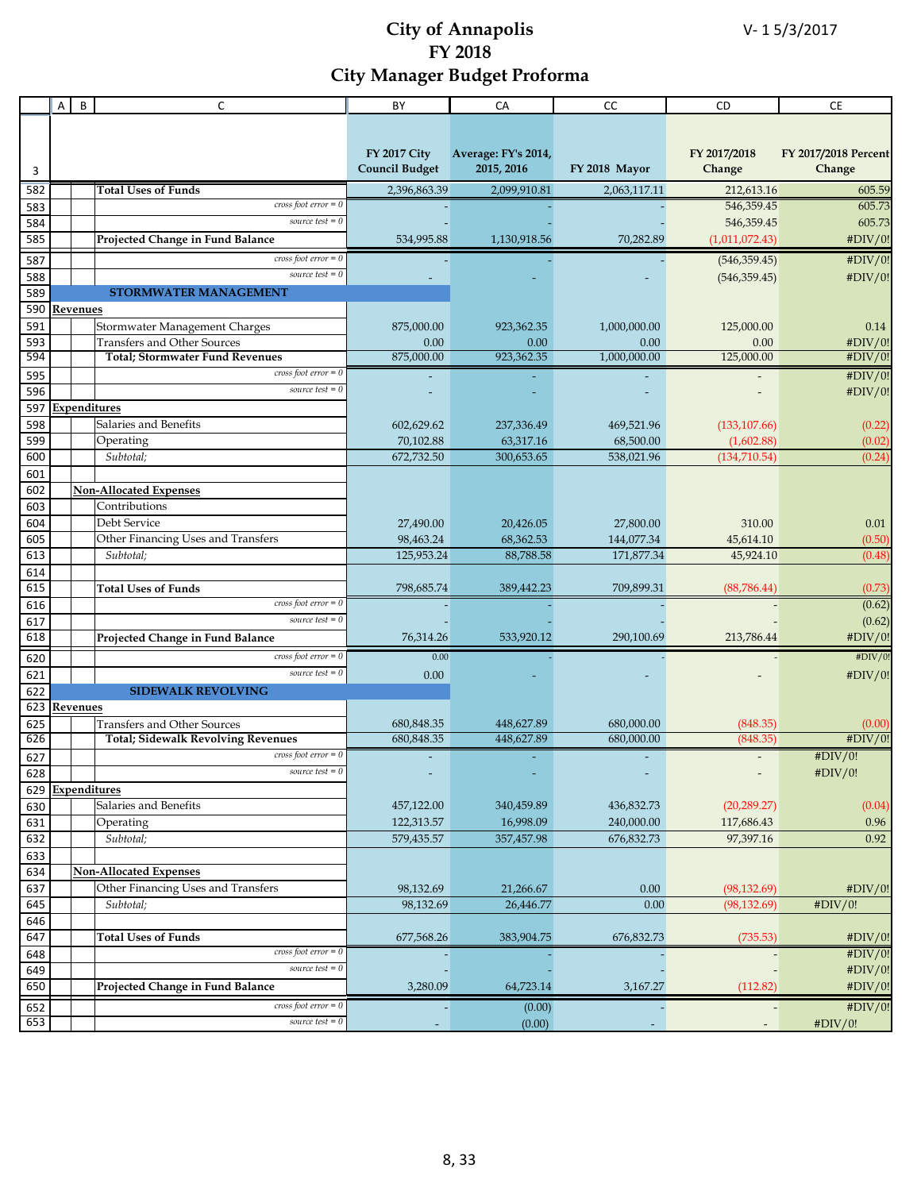|            | A | $\sf B$  | $\mathsf{C}$                                 | BY                      | CA                      | CC                      | CD                          | <b>CE</b>            |
|------------|---|----------|----------------------------------------------|-------------------------|-------------------------|-------------------------|-----------------------------|----------------------|
|            |   |          |                                              |                         |                         |                         |                             |                      |
|            |   |          |                                              |                         |                         |                         |                             |                      |
|            |   |          |                                              | <b>FY 2017 City</b>     | Average: FY's 2014,     |                         | FY 2017/2018                | FY 2017/2018 Percent |
| 3          |   |          |                                              | <b>Council Budget</b>   | 2015, 2016              | FY 2018 Mayor           | Change                      | Change               |
| 582        |   |          | Total Uses of Funds                          | 2,396,863.39            | 2,099,910.81            | 2,063,117.11            | 212,613.16                  | 605.59               |
| 583        |   |          | cross foot $error = 0$                       |                         |                         |                         | 546,359.45                  | 605.73               |
| 584        |   |          | source test $= 0$                            |                         |                         |                         | 546,359.45                  | 605.73               |
| 585        |   |          | Projected Change in Fund Balance             | 534,995.88              | 1,130,918.56            | 70,282.89               | (1,011,072.43)              | #DIV/0!              |
| 587        |   |          | $cross foot error = 0$                       |                         |                         |                         | (546, 359.45)               | #DIV/0!              |
| 588        |   |          | source test $= 0$                            |                         |                         |                         | (546, 359.45)               | #DIV/0!              |
| 589        |   |          | <b>STORMWATER MANAGEMENT</b>                 |                         |                         |                         |                             |                      |
| 590        |   | Revenues |                                              |                         |                         |                         |                             |                      |
| 591        |   |          | Stormwater Management Charges                | 875,000.00              | 923,362.35              | 1,000,000.00            | 125,000.00                  | 0.14                 |
| 593        |   |          | <b>Transfers and Other Sources</b>           | 0.00                    | 0.00                    | 0.00                    | 0.00                        | #DIV/0!              |
| 594        |   |          | <b>Total; Stormwater Fund Revenues</b>       | 875,000.00              | 923,362.35              | 1,000,000.00            | 125,000.00                  | #DIV/0!              |
| 595        |   |          | cross foot $error = 0$                       |                         |                         |                         |                             | #DIV/0!              |
| 596        |   |          | source test $= 0$                            |                         |                         |                         |                             | #DIV/0!              |
| 597        |   |          | <b>Expenditures</b><br>Salaries and Benefits |                         |                         |                         |                             |                      |
| 598<br>599 |   |          | Operating                                    | 602,629.62              | 237,336.49<br>63,317.16 | 469,521.96              | (133, 107.66)               | (0.22)               |
| 600        |   |          | Subtotal;                                    | 70,102.88<br>672,732.50 | 300,653.65              | 68,500.00<br>538,021.96 | (1,602.88)<br>(134, 710.54) | (0.02)<br>(0.24)     |
| 601        |   |          |                                              |                         |                         |                         |                             |                      |
| 602        |   |          | <b>Non-Allocated Expenses</b>                |                         |                         |                         |                             |                      |
| 603        |   |          | Contributions                                |                         |                         |                         |                             |                      |
| 604        |   |          | Debt Service                                 | 27,490.00               | 20,426.05               | 27,800.00               | 310.00                      | 0.01                 |
| 605        |   |          | Other Financing Uses and Transfers           | 98,463.24               | 68,362.53               | 144,077.34              | 45,614.10                   | (0.50)               |
| 613        |   |          | Subtotal;                                    | 125,953.24              | 88,788.58               | 171,877.34              | 45,924.10                   | (0.48)               |
| 614        |   |          |                                              |                         |                         |                         |                             |                      |
| 615        |   |          | <b>Total Uses of Funds</b>                   | 798,685.74              | 389,442.23              | 709,899.31              | (88, 786.44)                | (0.73)               |
| 616        |   |          | cross foot $error = 0$                       |                         |                         |                         |                             | (0.62)               |
| 617        |   |          | source test $= 0$                            |                         |                         |                         |                             | (0.62)               |
| 618        |   |          | Projected Change in Fund Balance             | 76,314.26               | 533,920.12              | 290,100.69              | 213,786.44                  | #DIV/0!              |
| 620        |   |          | $cross foot error = 0$                       | 0.00                    |                         |                         |                             | #DIV/0!              |
| 621        |   |          | source test $= 0$                            | 0.00                    |                         |                         |                             | #DIV/0!              |
| 622        |   |          | <b>SIDEWALK REVOLVING</b>                    |                         |                         |                         |                             |                      |
| 623        |   | Revenues |                                              |                         |                         |                         |                             |                      |
| 625        |   |          | <b>Transfers and Other Sources</b>           | 680,848.35              | 448,627.89              | 680,000.00              | (848.35)                    | (0.00)               |
| 626        |   |          | <b>Total; Sidewalk Revolving Revenues</b>    | 680,848.35              | 448,627.89              | 680,000.00              | (848.35)                    | #DIV/0!              |
| 627        |   |          | cross foot $error = 0$<br>source test $= 0$  |                         |                         |                         | $\overline{\phantom{a}}$    | #DIV/0!              |
| 628<br>629 |   |          | Expenditures                                 |                         |                         |                         |                             | #DIV/0!              |
| 630        |   |          | Salaries and Benefits                        | 457,122.00              | 340,459.89              | 436,832.73              | (20, 289.27)                | (0.04)               |
| 631        |   |          | Operating                                    | 122,313.57              | 16,998.09               | 240,000.00              | 117,686.43                  | 0.96                 |
| 632        |   |          | Subtotal;                                    | 579,435.57              | 357,457.98              | 676,832.73              | 97,397.16                   | 0.92                 |
| 633        |   |          |                                              |                         |                         |                         |                             |                      |
| 634        |   |          | <b>Non-Allocated Expenses</b>                |                         |                         |                         |                             |                      |
| 637        |   |          | Other Financing Uses and Transfers           | 98,132.69               | 21,266.67               | 0.00                    | (98, 132.69)                | #DIV/0!              |
| 645        |   |          | Subtotal;                                    | 98.132.69               | 26,446.77               | 0.00                    | (98, 132.69)                | #DIV/0!              |
| 646        |   |          |                                              |                         |                         |                         |                             |                      |
| 647        |   |          | <b>Total Uses of Funds</b>                   | 677,568.26              | 383,904.75              | 676,832.73              | (735.53)                    | #DIV/0!              |
| 648        |   |          | cross foot $error = 0$                       |                         |                         |                         |                             | #DIV/0!              |
| 649        |   |          | source test $= 0$                            |                         |                         |                         |                             | #DIV/0!              |
| 650        |   |          | Projected Change in Fund Balance             | 3,280.09                | 64,723.14               | 3,167.27                | (112.82)                    | #DIV/0!              |
| 652        |   |          | $cross foot error = 0$                       |                         | (0.00)                  |                         |                             | #DIV/0!              |
| 653        |   |          | source test $= 0$                            |                         | (0.00)                  |                         |                             | #DIV/0!              |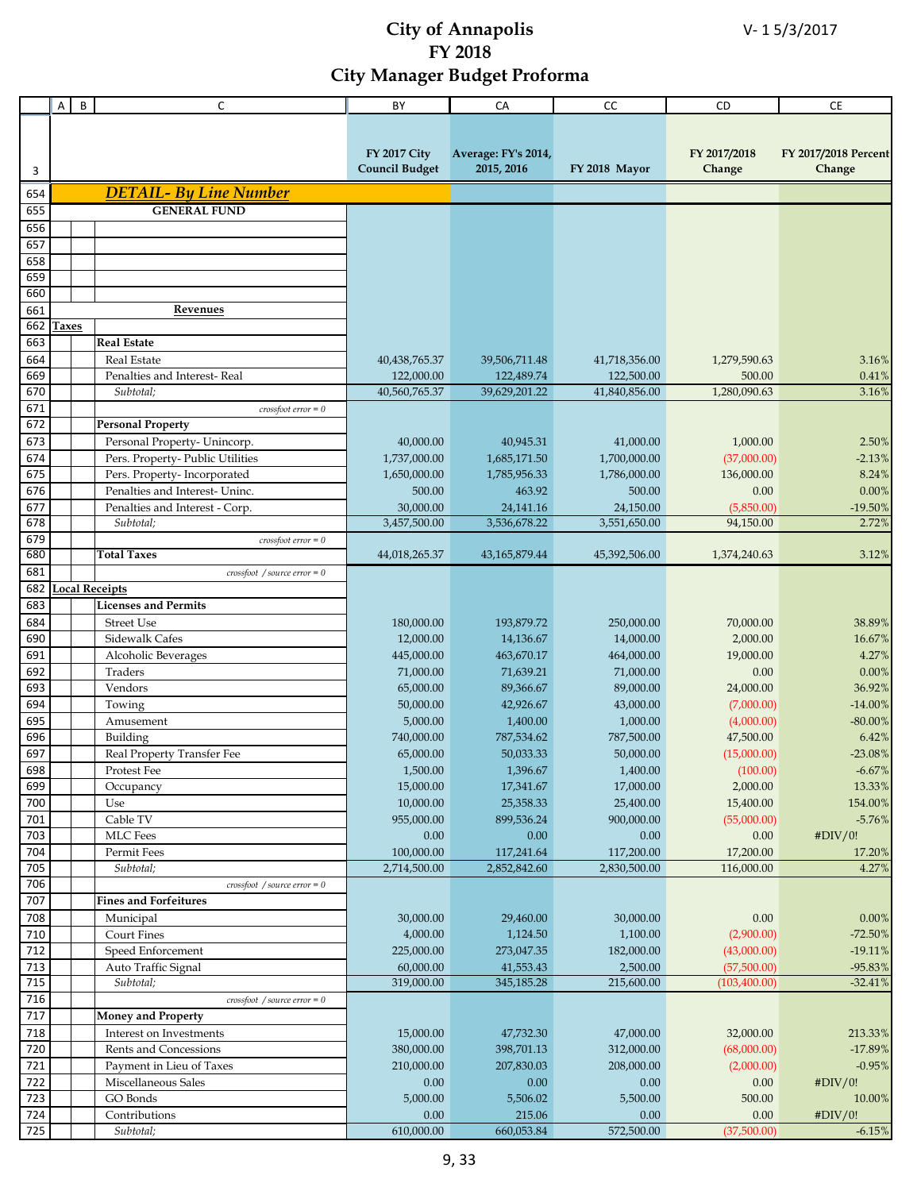|            | Α            | B | $\mathsf{C}$                                      | BY                    | CA                  | CC            | CD            | CE                   |
|------------|--------------|---|---------------------------------------------------|-----------------------|---------------------|---------------|---------------|----------------------|
|            |              |   |                                                   |                       |                     |               |               |                      |
|            |              |   |                                                   |                       |                     |               |               |                      |
|            |              |   |                                                   | <b>FY 2017 City</b>   | Average: FY's 2014, |               | FY 2017/2018  | FY 2017/2018 Percent |
| 3          |              |   |                                                   | <b>Council Budget</b> | 2015, 2016          | FY 2018 Mayor | Change        | Change               |
| 654        |              |   | <b>DETAIL- By Line Number</b>                     |                       |                     |               |               |                      |
| 655        |              |   | <b>GENERAL FUND</b>                               |                       |                     |               |               |                      |
|            |              |   |                                                   |                       |                     |               |               |                      |
| 656        |              |   |                                                   |                       |                     |               |               |                      |
| 657        |              |   |                                                   |                       |                     |               |               |                      |
| 658        |              |   |                                                   |                       |                     |               |               |                      |
| 659<br>660 |              |   |                                                   |                       |                     |               |               |                      |
|            |              |   |                                                   |                       |                     |               |               |                      |
| 661        |              |   | Revenues                                          |                       |                     |               |               |                      |
| 662        | <b>Taxes</b> |   |                                                   |                       |                     |               |               |                      |
| 663        |              |   | <b>Real Estate</b>                                |                       |                     |               |               |                      |
| 664        |              |   | <b>Real Estate</b>                                | 40,438,765.37         | 39,506,711.48       | 41,718,356.00 | 1,279,590.63  | 3.16%                |
| 669        |              |   | Penalties and Interest-Real                       | 122,000.00            | 122,489.74          | 122,500.00    | 500.00        | 0.41%                |
| 670        |              |   | Subtotal;                                         | 40,560,765.37         | 39,629,201.22       | 41,840,856.00 | 1,280,090.63  | 3.16%                |
| 671        |              |   | $crossfoot error = 0$                             |                       |                     |               |               |                      |
| 672        |              |   | <b>Personal Property</b>                          |                       |                     |               |               |                      |
| 673        |              |   | Personal Property- Unincorp.                      | 40,000.00             | 40,945.31           | 41,000.00     | 1,000.00      | 2.50%                |
| 674        |              |   | Pers. Property- Public Utilities                  | 1,737,000.00          | 1,685,171.50        | 1,700,000.00  | (37,000.00)   | $-2.13%$             |
| 675        |              |   | Pers. Property-Incorporated                       | 1,650,000.00          | 1,785,956.33        | 1,786,000.00  | 136,000.00    | 8.24%                |
| 676        |              |   | Penalties and Interest- Uninc.                    | 500.00                | 463.92              | 500.00        | 0.00          | 0.00%                |
| 677        |              |   | Penalties and Interest - Corp.                    | 30,000.00             | 24,141.16           | 24,150.00     | (5,850.00)    | $-19.50%$            |
| 678        |              |   | Subtotal;                                         | 3,457,500.00          | 3,536,678.22        | 3,551,650.00  | 94,150.00     | 2.72%                |
| 679        |              |   | $crossfoot error = 0$                             |                       |                     |               |               |                      |
| 680        |              |   | <b>Total Taxes</b>                                | 44,018,265.37         | 43,165,879.44       | 45,392,506.00 | 1,374,240.63  | 3.12%                |
| 681        |              |   | $crossfoot$ / source error = 0                    |                       |                     |               |               |                      |
| 682        |              |   | <b>Local Receipts</b>                             |                       |                     |               |               |                      |
| 683        |              |   | <b>Licenses and Permits</b>                       |                       |                     |               |               |                      |
| 684        |              |   | <b>Street Use</b>                                 | 180,000.00            | 193,879.72          | 250,000.00    | 70,000.00     | 38.89%               |
| 690        |              |   | Sidewalk Cafes                                    | 12,000.00             | 14,136.67           | 14,000.00     | 2,000.00      | 16.67%               |
| 691        |              |   | Alcoholic Beverages                               | 445,000.00            | 463,670.17          | 464,000.00    | 19,000.00     | 4.27%                |
| 692        |              |   | Traders                                           | 71,000.00             | 71,639.21           | 71,000.00     | 0.00          | 0.00%                |
| 693        |              |   | Vendors                                           | 65,000.00             | 89,366.67           | 89,000.00     | 24,000.00     | 36.92%               |
| 694        |              |   | Towing                                            | 50,000.00             | 42,926.67           | 43,000.00     | (7,000.00)    | $-14.00\%$           |
| 695        |              |   | Amusement                                         | 5,000.00              | 1,400.00            | 1,000.00      | (4,000.00)    | $-80.00\%$           |
| 696        |              |   | Building                                          | 740,000.00            | 787,534.62          | 787,500.00    | 47,500.00     | 6.42%                |
| 697        |              |   | Real Property Transfer Fee                        | 65,000.00             | 50,033.33           | 50,000.00     | (15,000.00)   | $-23.08%$            |
| 698        |              |   | Protest Fee                                       | 1,500.00              | 1,396.67            | 1,400.00      | (100.00)      | $-6.67\%$            |
| 699        |              |   | Occupancy                                         | 15,000.00             | 17,341.67           | 17,000.00     | 2,000.00      | 13.33%               |
| 700        |              |   | Use                                               | 10,000.00             | 25,358.33           | 25,400.00     | 15,400.00     | 154.00%              |
| 701        |              |   | Cable TV                                          | 955,000.00            | 899,536.24          | 900,000.00    | (55,000.00)   | $-5.76%$             |
| 703        |              |   | <b>MLC</b> Fees                                   | 0.00                  | 0.00                | 0.00          | 0.00          | #DIV/0!              |
| 704        |              |   | Permit Fees                                       | 100,000.00            | 117,241.64          | 117,200.00    | 17,200.00     | 17.20%               |
| 705        |              |   | Subtotal;                                         | 2,714,500.00          | 2,852,842.60        | 2,830,500.00  | 116,000.00    | 4.27%                |
| 706        |              |   | $crossfoot$ / source error = 0                    |                       |                     |               |               |                      |
| 707        |              |   | <b>Fines and Forfeitures</b>                      |                       |                     |               |               |                      |
| 708        |              |   | Municipal                                         | 30,000.00             | 29,460.00           | 30,000.00     | 0.00          | $0.00\%$             |
| 710        |              |   | <b>Court Fines</b>                                | 4,000.00              | 1,124.50            | 1,100.00      | (2,900.00)    | $-72.50%$            |
| 712        |              |   | Speed Enforcement                                 | 225,000.00            | 273,047.35          | 182,000.00    | (43,000.00)   | $-19.11%$            |
| 713        |              |   | Auto Traffic Signal                               | 60,000.00             | 41,553.43           | 2,500.00      | (57,500.00)   | $-95.83%$            |
| 715        |              |   | Subtotal;                                         | 319,000.00            | 345,185.28          | 215,600.00    | (103, 400.00) | $-32.41%$            |
| 716        |              |   | $\cos$ <i>crossfoot</i> / <i>source error</i> = 0 |                       |                     |               |               |                      |
| 717        |              |   | <b>Money and Property</b>                         |                       |                     |               |               |                      |
| 718        |              |   | Interest on Investments                           | 15,000.00             | 47,732.30           | 47,000.00     | 32,000.00     | 213.33%              |
| 720        |              |   | Rents and Concessions                             | 380,000.00            | 398,701.13          | 312,000.00    | (68,000.00)   | $-17.89%$            |
| 721        |              |   | Payment in Lieu of Taxes                          | 210,000.00            | 207,830.03          | 208,000.00    | (2,000.00)    | $-0.95%$             |
| 722        |              |   | Miscellaneous Sales                               | 0.00                  | 0.00                | $0.00\,$      | 0.00          | #DIV/0!              |
| 723        |              |   | GO Bonds                                          | 5,000.00              | 5,506.02            | 5,500.00      | 500.00        | 10.00%               |
| 724        |              |   | Contributions                                     | 0.00                  | 215.06              | 0.00          | 0.00          | #DIV/0!              |
| 725        |              |   | Subtotal;                                         | 610,000.00            | 660,053.84          | 572,500.00    | (37,500.00)   | $-6.15%$             |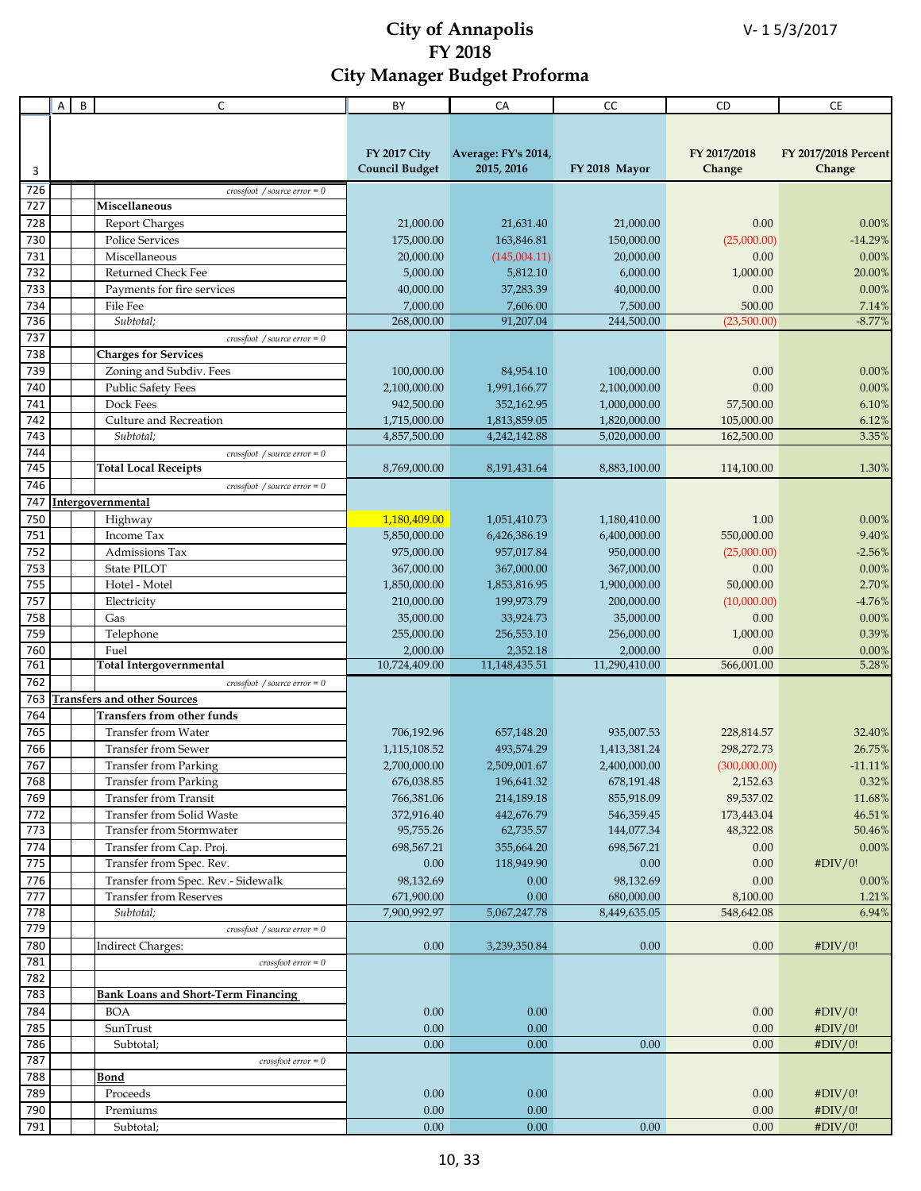|            | Α | B | C                                                             | BY                      | CA                      | CC                       | CD                      | CE                   |
|------------|---|---|---------------------------------------------------------------|-------------------------|-------------------------|--------------------------|-------------------------|----------------------|
|            |   |   |                                                               |                         |                         |                          |                         |                      |
|            |   |   |                                                               |                         |                         |                          |                         |                      |
|            |   |   |                                                               | <b>FY 2017 City</b>     | Average: FY's 2014,     |                          | FY 2017/2018            | FY 2017/2018 Percent |
| 3          |   |   |                                                               | <b>Council Budget</b>   | 2015, 2016              | FY 2018 Mayor            | Change                  | Change               |
| 726        |   |   | $crossfoot$ / source error = 0                                |                         |                         |                          |                         |                      |
| 727        |   |   | Miscellaneous                                                 |                         |                         |                          |                         |                      |
| 728        |   |   | <b>Report Charges</b>                                         | 21,000.00               | 21,631.40               | 21,000.00                | 0.00                    | 0.00%                |
| 730        |   |   | <b>Police Services</b>                                        | 175,000.00              | 163,846.81              | 150,000.00               | (25,000.00)             | $-14.29%$            |
| 731        |   |   | Miscellaneous                                                 | 20,000.00               | (145,004.11)            | 20,000.00                | 0.00                    | 0.00%                |
| 732        |   |   | <b>Returned Check Fee</b>                                     | 5,000.00                | 5,812.10                | 6,000.00                 | 1,000.00                | 20.00%               |
| 733        |   |   | Payments for fire services                                    | 40,000.00               | 37,283.39               | 40,000.00                | 0.00                    | 0.00%                |
| 734        |   |   | File Fee                                                      | 7,000.00                | 7,606.00                | 7,500.00                 | 500.00                  | 7.14%                |
| 736        |   |   | Subtotal;                                                     | 268,000.00              | 91,207.04               | 244,500.00               | (23,500.00)             | $-8.77%$             |
| 737        |   |   | $crossfoot$ / source error = 0                                |                         |                         |                          |                         |                      |
| 738        |   |   | <b>Charges for Services</b>                                   |                         |                         |                          |                         |                      |
| 739        |   |   | Zoning and Subdiv. Fees                                       | 100,000.00              | 84,954.10               | 100,000.00               | 0.00                    | 0.00%                |
| 740        |   |   | <b>Public Safety Fees</b>                                     | 2,100,000.00            | 1,991,166.77            | 2,100,000.00             | 0.00                    | 0.00%                |
| 741        |   |   | Dock Fees                                                     | 942,500.00              | 352,162.95              | 1,000,000.00             | 57,500.00               | 6.10%                |
| 742        |   |   | Culture and Recreation                                        | 1,715,000.00            | 1,813,859.05            | 1,820,000.00             | 105,000.00              | 6.12%                |
| 743<br>744 |   |   | Subtotal;                                                     | 4,857,500.00            | 4,242,142.88            | 5,020,000.00             | 162,500.00              | 3.35%                |
| 745        |   |   | $crossfoot$ / source error = 0<br><b>Total Local Receipts</b> | 8,769,000.00            | 8,191,431.64            | 8,883,100.00             | 114,100.00              | 1.30%                |
| 746        |   |   | $crossfoot$ / source error = 0                                |                         |                         |                          |                         |                      |
| 747        |   |   | Intergovernmental                                             |                         |                         |                          |                         |                      |
| 750        |   |   | Highway                                                       | 1,180,409.00            | 1,051,410.73            | 1,180,410.00             | 1.00                    | 0.00%                |
| 751        |   |   | Income Tax                                                    | 5,850,000.00            | 6,426,386.19            | 6,400,000.00             | 550,000.00              | 9.40%                |
| 752        |   |   | Admissions Tax                                                | 975,000.00              | 957,017.84              | 950,000.00               | (25,000.00)             | $-2.56%$             |
| 753        |   |   | State PILOT                                                   | 367,000.00              | 367,000.00              | 367,000.00               | 0.00                    | 0.00%                |
| 755        |   |   | Hotel - Motel                                                 | 1,850,000.00            | 1,853,816.95            | 1,900,000.00             | 50,000.00               | 2.70%                |
| 757        |   |   | Electricity                                                   | 210,000.00              | 199,973.79              | 200,000.00               | (10,000.00)             | $-4.76%$             |
| 758        |   |   | Gas                                                           | 35,000.00               | 33,924.73               | 35,000.00                | 0.00                    | 0.00%                |
| 759        |   |   | Telephone                                                     | 255,000.00              | 256,553.10              | 256,000.00               | 1,000.00                | 0.39%                |
| 760        |   |   | Fuel                                                          | 2,000.00                | 2,352.18                | 2,000.00                 | 0.00                    | 0.00%                |
| 761        |   |   | <b>Total Intergovernmental</b>                                | 10,724,409.00           | 11,148,435.51           | 11,290,410.00            | 566,001.00              | 5.28%                |
| 762        |   |   | $crossfoot$ / source error = 0                                |                         |                         |                          |                         |                      |
| 763        |   |   | <b>Transfers and other Sources</b>                            |                         |                         |                          |                         |                      |
| 764        |   |   | <b>Transfers from other funds</b>                             |                         |                         |                          |                         |                      |
| 765        |   |   | <b>Transfer from Water</b>                                    | 706,192.96              | 657,148.20              | 935,007.53               | 228,814.57              | 32.40%               |
| 766        |   |   | <b>Transfer from Sewer</b>                                    | 1,115,108.52            | 493,574.29              | 1,413,381.24             | 298,272.73              | 26.75%               |
| 767        |   |   | Transfer from Parking                                         | 2,700,000.00            | 2,509,001.67            | 2,400,000.00             | (300,000.00)            | $-11.11%$            |
| 768        |   |   | <b>Transfer from Parking</b>                                  | 676,038.85              | 196,641.32              | 678,191.48               | 2,152.63                | 0.32%                |
| 769        |   |   | <b>Transfer from Transit</b>                                  | 766,381.06              | 214,189.18              | 855,918.09               | 89,537.02               | 11.68%               |
| 772<br>773 |   |   | Transfer from Solid Waste<br>Transfer from Stormwater         | 372,916.40<br>95,755.26 | 442,676.79<br>62,735.57 | 546,359.45<br>144,077.34 | 173,443.04<br>48,322.08 | 46.51%<br>50.46%     |
| 774        |   |   |                                                               | 698,567.21              | 355,664.20              |                          |                         | 0.00%                |
| 775        |   |   | Transfer from Cap. Proj.<br>Transfer from Spec. Rev.          | 0.00                    | 118,949.90              | 698,567.21<br>0.00       | 0.00<br>0.00            | #DIV/0!              |
| 776        |   |   | Transfer from Spec. Rev.- Sidewalk                            | 98,132.69               | 0.00                    | 98,132.69                | 0.00                    | $0.00\%$             |
| 777        |   |   | <b>Transfer from Reserves</b>                                 | 671,900.00              | 0.00                    | 680,000.00               | 8,100.00                | 1.21%                |
| 778        |   |   | Subtotal;                                                     | 7,900,992.97            | 5,067,247.78            | 8,449,635.05             | 548,642.08              | 6.94%                |
| 779        |   |   | $crossfoot$ / source error = 0                                |                         |                         |                          |                         |                      |
| 780        |   |   | Indirect Charges:                                             | 0.00                    | 3,239,350.84            | 0.00                     | 0.00                    | #DIV/0!              |
| 781        |   |   | $\cos\theta$ crossfoot error = 0                              |                         |                         |                          |                         |                      |
| 782        |   |   |                                                               |                         |                         |                          |                         |                      |
| 783        |   |   | <b>Bank Loans and Short-Term Financing</b>                    |                         |                         |                          |                         |                      |
| 784        |   |   | <b>BOA</b>                                                    | 0.00                    | 0.00                    |                          | 0.00                    | #DIV/0!              |
| 785        |   |   | SunTrust                                                      | 0.00                    | 0.00                    |                          | 0.00                    | #DIV/0!              |
| 786        |   |   | Subtotal;                                                     | 0.00                    | 0.00                    | 0.00                     | 0.00                    | #DIV/0!              |
| 787        |   |   | $\cos\theta$ error = 0                                        |                         |                         |                          |                         |                      |
| 788        |   |   | <b>Bond</b>                                                   |                         |                         |                          |                         |                      |
| 789        |   |   | Proceeds                                                      | 0.00                    | 0.00                    |                          | 0.00                    | #DIV/0!              |
| 790        |   |   | Premiums                                                      | 0.00                    | 0.00                    |                          | 0.00                    | #DIV/0!              |
| 791        |   |   | Subtotal;                                                     | 0.00                    | 0.00                    | 0.00                     | 0.00                    | #DIV/0!              |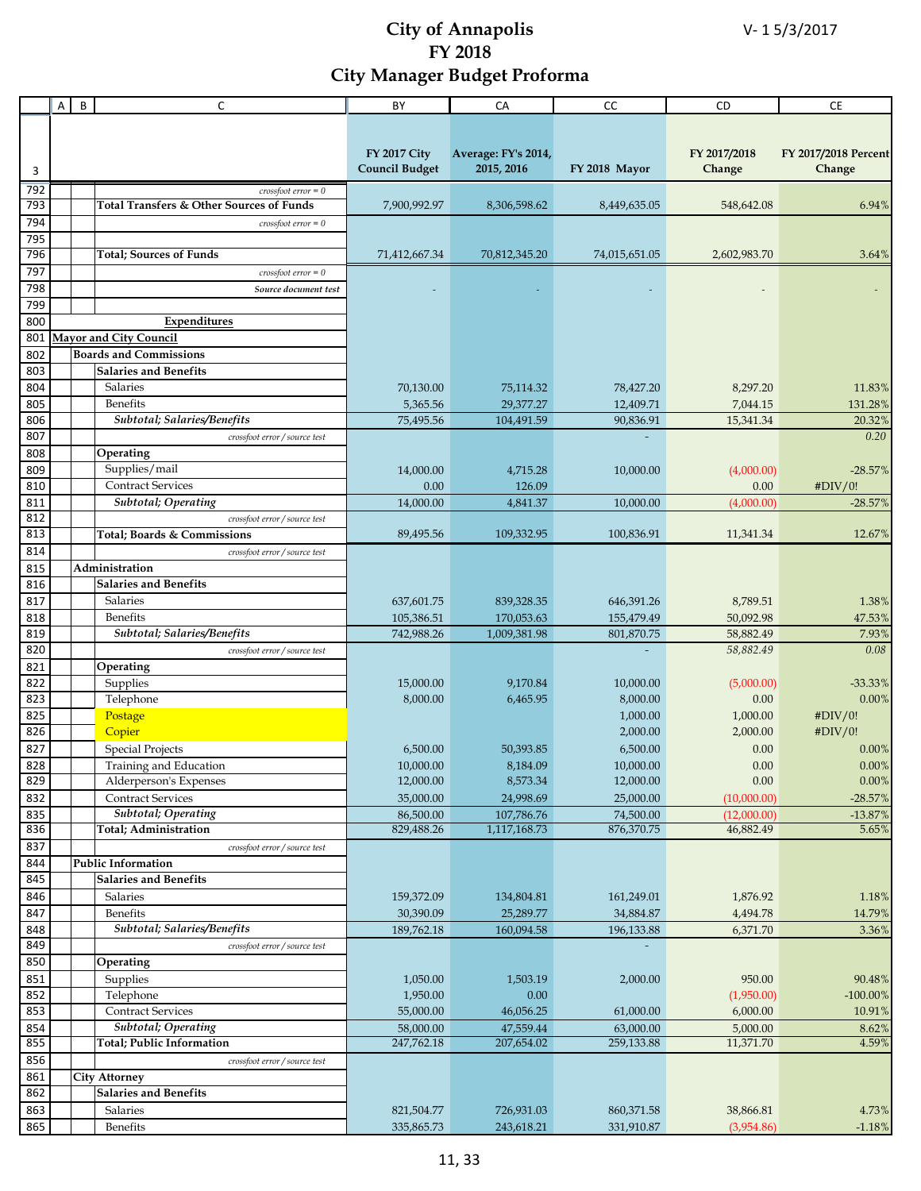|            | A | $\sf B$ | C                                        | BY                    | CA                  | CC            | CD                     | CE                   |
|------------|---|---------|------------------------------------------|-----------------------|---------------------|---------------|------------------------|----------------------|
|            |   |         |                                          |                       |                     |               |                        |                      |
|            |   |         |                                          |                       |                     |               |                        |                      |
|            |   |         |                                          | <b>FY 2017 City</b>   | Average: FY's 2014, |               | FY 2017/2018           | FY 2017/2018 Percent |
| 3          |   |         |                                          | <b>Council Budget</b> | 2015, 2016          | FY 2018 Mayor | Change                 | Change               |
|            |   |         |                                          |                       |                     |               |                        |                      |
| 792        |   |         | $\textit{crossfoot error} = 0$           |                       |                     |               |                        |                      |
| 793        |   |         | Total Transfers & Other Sources of Funds | 7,900,992.97          | 8,306,598.62        | 8,449,635.05  | 548,642.08             | 6.94%                |
| 794        |   |         | $crossfoot error = 0$                    |                       |                     |               |                        |                      |
| 795        |   |         |                                          |                       |                     |               |                        |                      |
| 796        |   |         | <b>Total</b> ; Sources of Funds          | 71,412,667.34         | 70,812,345.20       | 74,015,651.05 | 2,602,983.70           | 3.64%                |
| 797        |   |         | $crossfoot error = 0$                    |                       |                     |               |                        |                      |
| 798        |   |         | Source document test                     |                       |                     |               |                        |                      |
| 799        |   |         |                                          |                       |                     |               |                        |                      |
| 800        |   |         | Expenditures                             |                       |                     |               |                        |                      |
| 801        |   |         | <b>Mayor and City Council</b>            |                       |                     |               |                        |                      |
| 802        |   |         | <b>Boards and Commissions</b>            |                       |                     |               |                        |                      |
| 803        |   |         | <b>Salaries and Benefits</b>             |                       |                     |               |                        |                      |
| 804        |   |         | Salaries                                 | 70,130.00             | 75,114.32           | 78,427.20     | 8,297.20               | 11.83%               |
| 805        |   |         | <b>Benefits</b>                          | 5,365.56              | 29,377.27           | 12,409.71     | 7,044.15               | 131.28%              |
| 806        |   |         | Subtotal; Salaries/Benefits              | 75,495.56             | 104,491.59          | 90,836.91     | 15,341.34              | 20.32%               |
| 807        |   |         | crossfoot error / source test            |                       |                     |               |                        | 0.20                 |
| 808        |   |         | Operating                                |                       |                     |               |                        |                      |
| 809        |   |         | Supplies/mail                            | 14,000.00             | 4,715.28            | 10,000.00     | (4,000.00)             | $-28.57%$            |
| 810        |   |         | <b>Contract Services</b>                 | 0.00                  | 126.09              |               | 0.00                   | #DIV/0!              |
| 811        |   |         | <b>Subtotal</b> ; Operating              | 14,000.00             | 4,841.37            | 10,000.00     | (4,000.00)             | $-28.57%$            |
| 812        |   |         | crossfoot error / source test            |                       |                     |               |                        |                      |
| 813        |   |         | Total; Boards & Commissions              | 89,495.56             | 109,332.95          | 100,836.91    | 11,341.34              | 12.67%               |
| 814        |   |         | crossfoot error / source test            |                       |                     |               |                        |                      |
| 815        |   |         | Administration                           |                       |                     |               |                        |                      |
| 816        |   |         | <b>Salaries and Benefits</b>             |                       |                     |               |                        |                      |
| 817        |   |         | Salaries                                 | 637,601.75            | 839,328.35          | 646,391.26    | 8,789.51               | 1.38%                |
| 818        |   |         | Benefits                                 |                       | 170,053.63          |               | 50,092.98              |                      |
| 819        |   |         | Subtotal; Salaries/Benefits              | 105,386.51            |                     | 155,479.49    |                        | 47.53%               |
| 820        |   |         |                                          | 742,988.26            | 1,009,381.98        | 801,870.75    | 58,882.49<br>58,882.49 | 7.93%<br>0.08        |
|            |   |         | crossfoot error / source test            |                       |                     |               |                        |                      |
| 821        |   |         | Operating                                |                       |                     |               |                        |                      |
| 822<br>823 |   |         | Supplies                                 | 15,000.00             | 9,170.84            | 10,000.00     | (5,000.00)             | $-33.33%$            |
|            |   |         | Telephone                                | 8,000.00              | 6,465.95            | 8,000.00      | 0.00                   | 0.00%                |
| 825        |   |         | Postage                                  |                       |                     | 1,000.00      | 1,000.00               | #DIV/0!              |
| 826        |   |         | Copier                                   |                       |                     | 2,000.00      | 2,000.00               | #DIV/0!              |
| 827        |   |         | <b>Special Projects</b>                  | 6,500.00              | 50,393.85           | 6,500.00      | 0.00                   | 0.00%                |
| 828        |   |         | Training and Education                   | 10,000.00             | 8,184.09            | 10,000.00     | 0.00                   | $0.00\%$             |
| 829        |   |         | Alderperson's Expenses                   | 12,000.00             | 8,573.34            | 12,000.00     | 0.00                   | $0.00\%$             |
| 832        |   |         | <b>Contract Services</b>                 | 35,000.00             | 24,998.69           | 25,000.00     | (10,000.00)            | $-28.57%$            |
| 835        |   |         | <b>Subtotal</b> ; Operating              | 86,500.00             | 107,786.76          | 74,500.00     | (12,000.00)            | $-13.87%$            |
| 836        |   |         | <b>Total</b> ; Administration            | 829,488.26            | 1,117,168.73        | 876,370.75    | 46,882.49              | 5.65%                |
| 837        |   |         | crossfoot error / source test            |                       |                     |               |                        |                      |
| 844        |   |         | Public Information                       |                       |                     |               |                        |                      |
| 845        |   |         | <b>Salaries and Benefits</b>             |                       |                     |               |                        |                      |
| 846        |   |         | Salaries                                 | 159,372.09            | 134,804.81          | 161,249.01    | 1,876.92               | 1.18%                |
| 847        |   |         | Benefits                                 | 30,390.09             | 25,289.77           | 34,884.87     | 4,494.78               | 14.79%               |
| 848        |   |         | Subtotal; Salaries/Benefits              | 189,762.18            | 160,094.58          | 196,133.88    | 6,371.70               | 3.36%                |
| 849        |   |         | crossfoot error / source test            |                       |                     |               |                        |                      |
| 850        |   |         | Operating                                |                       |                     |               |                        |                      |
| 851        |   |         | Supplies                                 | 1,050.00              | 1,503.19            | 2,000.00      | 950.00                 | 90.48%               |
| 852        |   |         | Telephone                                | 1,950.00              | 0.00                |               | (1,950.00)             | $-100.00\%$          |
| 853        |   |         | <b>Contract Services</b>                 | 55,000.00             | 46,056.25           | 61,000.00     | 6,000.00               | 10.91%               |
| 854        |   |         | Subtotal; Operating                      | 58,000.00             | 47,559.44           | 63,000.00     | 5,000.00               | 8.62%                |
| 855        |   |         | Total; Public Information                | 247,762.18            | 207,654.02          | 259,133.88    | 11,371.70              | 4.59%                |
| 856        |   |         | crossfoot error / source test            |                       |                     |               |                        |                      |
| 861        |   |         | <b>City Attorney</b>                     |                       |                     |               |                        |                      |
| 862        |   |         | <b>Salaries and Benefits</b>             |                       |                     |               |                        |                      |
| 863        |   |         | Salaries                                 | 821,504.77            | 726,931.03          | 860,371.58    | 38,866.81              | $4.73\%$             |
| 865        |   |         | Benefits                                 | 335,865.73            | 243,618.21          | 331,910.87    | (3,954.86)             | $-1.18%$             |
|            |   |         |                                          |                       |                     |               |                        |                      |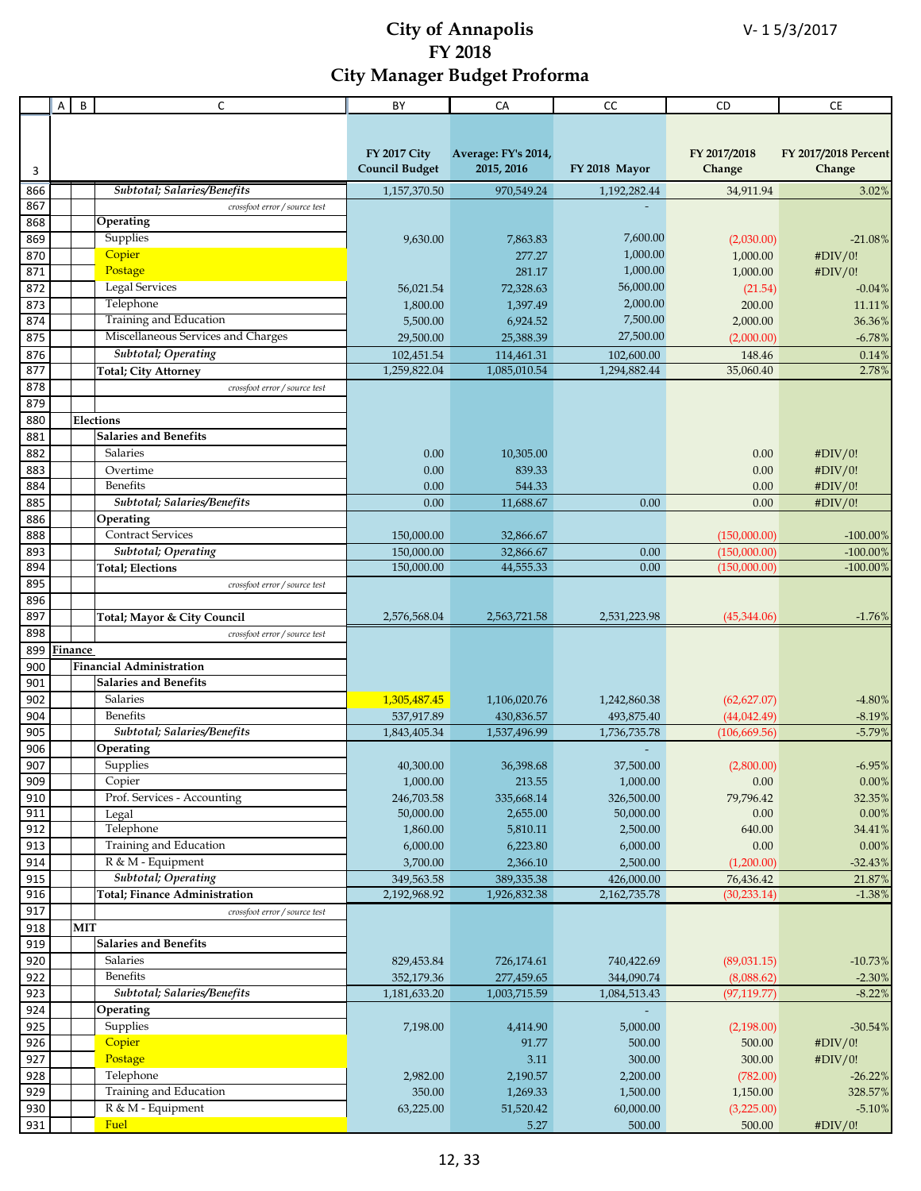|            | Α | B<br>C                                      | BY                       | CA                     | CC            | CD                           | CE                         |
|------------|---|---------------------------------------------|--------------------------|------------------------|---------------|------------------------------|----------------------------|
|            |   |                                             |                          |                        |               |                              |                            |
|            |   |                                             |                          |                        |               |                              |                            |
|            |   |                                             | <b>FY 2017 City</b>      | Average: FY's 2014,    |               | FY 2017/2018                 | FY 2017/2018 Percent       |
| 3          |   |                                             | <b>Council Budget</b>    | 2015, 2016             | FY 2018 Mayor | Change                       | Change                     |
| 866        |   | Subtotal; Salaries/Benefits                 | 1,157,370.50             | 970,549.24             | 1,192,282.44  | 34,911.94                    | 3.02%                      |
| 867        |   | crossfoot error / source test               |                          |                        |               |                              |                            |
| 868        |   | Operating                                   |                          |                        |               |                              |                            |
| 869        |   | Supplies                                    | 9,630.00                 | 7,863.83               | 7,600.00      | (2,030.00)                   | $-21.08%$                  |
| 870        |   | Copier                                      |                          | 277.27                 | 1,000.00      | 1,000.00                     | #DIV/0!                    |
| 871        |   | Postage                                     |                          | 281.17                 | 1,000.00      | 1,000.00                     | #DIV/0!                    |
| 872        |   | <b>Legal Services</b>                       | 56,021.54                | 72,328.63              | 56,000.00     | (21.54)                      | $-0.04%$                   |
| 873        |   | Telephone                                   | 1,800.00                 | 1,397.49               | 2,000.00      | 200.00                       | 11.11%                     |
| 874        |   | Training and Education                      | 5,500.00                 | 6,924.52               | 7,500.00      | 2,000.00                     | 36.36%                     |
| 875        |   | Miscellaneous Services and Charges          | 29,500.00                | 25,388.39              | 27,500.00     | (2,000.00)                   | $-6.78%$                   |
| 876        |   | <b>Subtotal</b> ; Operating                 | 102,451.54               | 114,461.31             | 102,600.00    | 148.46                       | 0.14%                      |
| 877        |   | <b>Total; City Attorney</b>                 | 1,259,822.04             | 1,085,010.54           | 1,294,882.44  | 35,060.40                    | 2.78%                      |
| 878        |   | crossfoot error / source test               |                          |                        |               |                              |                            |
| 879        |   |                                             |                          |                        |               |                              |                            |
| 880        |   | Elections                                   |                          |                        |               |                              |                            |
| 881        |   | <b>Salaries and Benefits</b>                |                          |                        |               |                              |                            |
| 882        |   | Salaries                                    | 0.00                     | 10,305.00              |               | 0.00                         | #DIV/0!                    |
| 883        |   | Overtime                                    | 0.00                     | 839.33                 |               | 0.00                         | #DIV/0!                    |
| 884        |   | Benefits                                    | 0.00                     | 544.33                 |               | 0.00                         | #DIV/0!                    |
| 885        |   | Subtotal; Salaries/Benefits                 | 0.00                     | 11,688.67              | 0.00          | 0.00                         | #DIV/0!                    |
| 886        |   | Operating<br><b>Contract Services</b>       |                          |                        |               |                              |                            |
| 888        |   | <b>Subtotal</b> ; Operating                 | 150,000.00               | 32,866.67              |               | (150,000.00)                 | $-100.00\%$                |
| 893<br>894 |   | <b>Total; Elections</b>                     | 150,000.00<br>150,000.00 | 32,866.67<br>44,555.33 | 0.00<br>0.00  | (150,000.00)<br>(150,000.00) | $-100.00\%$<br>$-100.00\%$ |
| 895        |   | crossfoot error / source test               |                          |                        |               |                              |                            |
| 896        |   |                                             |                          |                        |               |                              |                            |
| 897        |   | Total; Mayor & City Council                 | 2,576,568.04             | 2,563,721.58           | 2,531,223.98  | (45,344.06)                  | $-1.76%$                   |
| 898        |   | crossfoot error / source test               |                          |                        |               |                              |                            |
| 899        |   | Finance                                     |                          |                        |               |                              |                            |
| 900        |   | <b>Financial Administration</b>             |                          |                        |               |                              |                            |
| 901        |   | <b>Salaries and Benefits</b>                |                          |                        |               |                              |                            |
| 902        |   | Salaries                                    | 1,305,487.45             | 1,106,020.76           | 1,242,860.38  | (62, 627.07)                 | $-4.80\%$                  |
| 904        |   | <b>Benefits</b>                             | 537,917.89               | 430,836.57             | 493,875.40    | (44, 042.49)                 | $-8.19%$                   |
| 905        |   | Subtotal; Salaries/Benefits                 | 1,843,405.34             | 1,537,496.99           | 1,736,735.78  | (106, 669.56)                | $-5.79%$                   |
| 906        |   | Operating                                   |                          |                        |               |                              |                            |
| 907        |   | Supplies                                    | 40,300.00                | 36,398.68              | 37,500.00     | (2,800.00)                   | $-6.95%$                   |
| 909        |   | Copier                                      | 1,000.00                 | 213.55                 | 1,000.00      | 0.00                         | $0.00\%$                   |
| 910        |   | Prof. Services - Accounting                 | 246,703.58               | 335,668.14             | 326,500.00    | 79,796.42                    | 32.35%                     |
| 911        |   | Legal                                       | 50,000.00                | 2,655.00               | 50,000.00     | 0.00                         | 0.00%                      |
| 912        |   | Telephone                                   | 1,860.00                 | 5,810.11               | 2,500.00      | 640.00                       | 34.41%                     |
| 913        |   | Training and Education                      | 6,000.00                 | 6,223.80               | 6,000.00      | 0.00                         | 0.00%                      |
| 914        |   | R & M - Equipment                           | 3,700.00                 | 2,366.10               | 2,500.00      | (1,200.00)                   | $-32.43%$                  |
| 915<br>916 |   | <b>Subtotal</b> ; Operating                 | 349,563.58               | 389,335.38             | 426,000.00    | 76,436.42                    | 21.87%                     |
| 917        |   | Total; Finance Administration               | 2,192,968.92             | 1,926,832.38           | 2,162,735.78  | (30, 233.14)                 | $-1.38%$                   |
| 918        |   | crossfoot error / source test<br><b>MIT</b> |                          |                        |               |                              |                            |
| 919        |   | <b>Salaries and Benefits</b>                |                          |                        |               |                              |                            |
| 920        |   | Salaries                                    | 829,453.84               | 726,174.61             | 740,422.69    | (89,031.15)                  | $-10.73%$                  |
| 922        |   | Benefits                                    | 352,179.36               | 277,459.65             | 344,090.74    | (8,088.62)                   | $-2.30%$                   |
| 923        |   | Subtotal; Salaries/Benefits                 | 1,181,633.20             | 1,003,715.59           | 1,084,513.43  | (97, 119.77)                 | $-8.22%$                   |
| 924        |   | Operating                                   |                          |                        |               |                              |                            |
| 925        |   | Supplies                                    | 7,198.00                 | 4,414.90               | 5,000.00      | (2,198.00)                   | $-30.54%$                  |
| 926        |   | Copier                                      |                          | 91.77                  | 500.00        | 500.00                       | #DIV/0!                    |
| 927        |   | Postage                                     |                          | 3.11                   | 300.00        | 300.00                       | #DIV/0!                    |
| 928        |   | Telephone                                   | 2,982.00                 | 2,190.57               | 2,200.00      | (782.00)                     | $-26.22%$                  |
| 929        |   | Training and Education                      | 350.00                   | 1,269.33               | 1,500.00      | 1,150.00                     | 328.57%                    |
| 930        |   | R & M - Equipment                           | 63,225.00                | 51,520.42              | 60,000.00     | (3,225.00)                   | $-5.10%$                   |
| 931        |   | Fuel                                        |                          | 5.27                   | 500.00        | 500.00                       | #DIV/0!                    |
|            |   |                                             |                          |                        |               |                              |                            |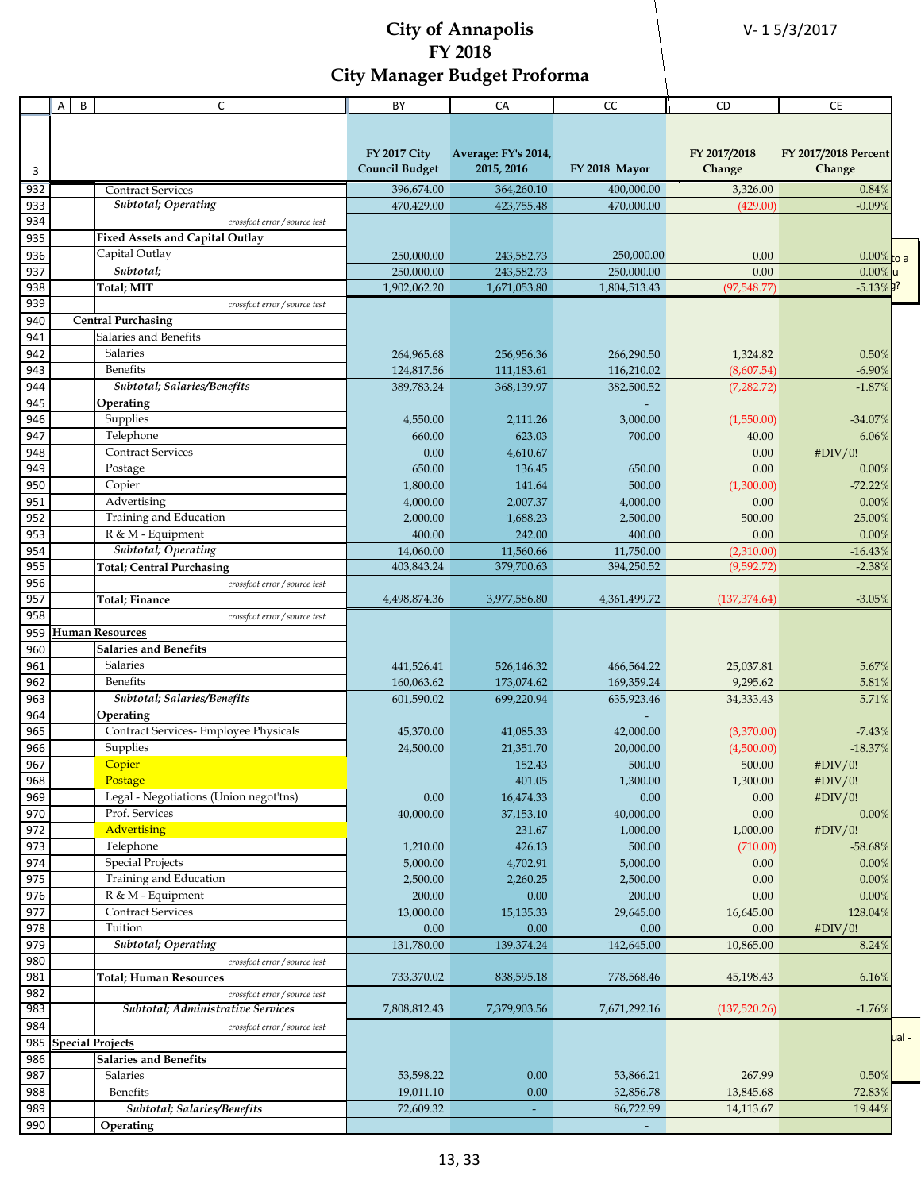V- 1 5/3/2017

|            | A | B | C                                                  | BY                       | СA                       | CC                       | CD                         | СE                    |       |
|------------|---|---|----------------------------------------------------|--------------------------|--------------------------|--------------------------|----------------------------|-----------------------|-------|
|            |   |   |                                                    |                          |                          |                          |                            |                       |       |
|            |   |   |                                                    |                          |                          |                          |                            |                       |       |
|            |   |   |                                                    | <b>FY 2017 City</b>      | Average: FY's 2014,      |                          | FY 2017/2018               | FY 2017/2018 Percent  |       |
| 3          |   |   |                                                    | <b>Council Budget</b>    | 2015, 2016               | FY 2018 Mayor            | Change                     | Change                |       |
| 932        |   |   | <b>Contract Services</b>                           | 396,674.00               | 364,260.10               | 400,000.00               | 3,326.00                   | 0.84%                 |       |
| 933        |   |   | Subtotal; Operating                                | 470,429.00               | 423,755.48               | 470,000.00               | (429.00)                   | $-0.09%$              |       |
| 934        |   |   | crossfoot error / source test                      |                          |                          |                          |                            |                       |       |
| 935        |   |   | <b>Fixed Assets and Capital Outlay</b>             |                          |                          |                          |                            |                       |       |
| 936        |   |   | Capital Outlay                                     | 250,000.00               | 243,582.73               | 250,000.00               | 0.00                       | $0.00\%$ to a         |       |
| 937        |   |   | Subtotal;                                          | 250,000.00               | 243,582.73               | 250,000.00               | 0.00                       | 0.00%                 |       |
| 938        |   |   | <b>Total</b> ; MIT                                 | 1,902,062.20             | 1,671,053.80             | 1,804,513.43             | (97,548.77)                | $-5.13\%$             |       |
| 939        |   |   | crossfoot error / source test                      |                          |                          |                          |                            |                       |       |
| 940        |   |   | <b>Central Purchasing</b><br>Salaries and Benefits |                          |                          |                          |                            |                       |       |
| 941<br>942 |   |   | <b>Salaries</b>                                    |                          |                          |                          |                            |                       |       |
| 943        |   |   | Benefits                                           | 264,965.68               | 256,956.36<br>111,183.61 | 266,290.50               | 1,324.82                   | 0.50%                 |       |
| 944        |   |   | Subtotal; Salaries/Benefits                        | 124,817.56<br>389,783.24 | 368,139.97               | 116,210.02<br>382,500.52 | (8,607.54)<br>(7, 282, 72) | $-6.90\%$<br>$-1.87%$ |       |
| 945        |   |   | Operating                                          |                          |                          |                          |                            |                       |       |
| 946        |   |   | Supplies                                           | 4,550.00                 | 2,111.26                 | 3,000.00                 | (1,550.00)                 | $-34.07%$             |       |
| 947        |   |   | Telephone                                          | 660.00                   | 623.03                   | 700.00                   | 40.00                      | 6.06%                 |       |
| 948        |   |   | <b>Contract Services</b>                           | 0.00                     | 4,610.67                 |                          | 0.00                       | #DIV/0!               |       |
| 949        |   |   | Postage                                            | 650.00                   | 136.45                   | 650.00                   | 0.00                       | 0.00%                 |       |
| 950        |   |   | Copier                                             | 1,800.00                 | 141.64                   | 500.00                   | (1,300.00)                 | $-72.22%$             |       |
| 951        |   |   | Advertising                                        | 4,000.00                 | 2,007.37                 | 4,000.00                 | 0.00                       | 0.00%                 |       |
| 952        |   |   | Training and Education                             | 2,000.00                 | 1,688.23                 | 2,500.00                 | 500.00                     | 25.00%                |       |
| 953        |   |   | R & M - Equipment                                  | 400.00                   | 242.00                   | 400.00                   | 0.00                       | 0.00%                 |       |
| 954        |   |   | <b>Subtotal</b> ; Operating                        | 14,060.00                | 11,560.66                | 11,750.00                | (2,310.00)                 | $-16.43%$             |       |
| 955        |   |   | <b>Total; Central Purchasing</b>                   | 403,843.24               | 379,700.63               | 394,250.52               | (9,592.72)                 | $-2.38%$              |       |
| 956        |   |   | crossfoot error / source test                      |                          |                          |                          |                            |                       |       |
| 957        |   |   | Total; Finance                                     | 4,498,874.36             | 3,977,586.80             | 4,361,499.72             | (137, 374.64)              | $-3.05%$              |       |
| 958        |   |   | crossfoot error / source test                      |                          |                          |                          |                            |                       |       |
| 959        |   |   | <b>Human Resources</b>                             |                          |                          |                          |                            |                       |       |
| 960        |   |   | <b>Salaries and Benefits</b>                       |                          |                          |                          |                            |                       |       |
| 961        |   |   | Salaries                                           | 441,526.41               | 526,146.32               | 466,564.22               | 25,037.81                  | 5.67%                 |       |
| 962        |   |   | Benefits                                           | 160,063.62               | 173,074.62               | 169,359.24               | 9,295.62                   | 5.81%                 |       |
| 963        |   |   | Subtotal; Salaries/Benefits                        | 601,590.02               | 699,220.94               | 635,923.46               | 34,333.43                  | 5.71%                 |       |
| 964        |   |   | Operating                                          |                          |                          |                          |                            |                       |       |
| 965        |   |   | Contract Services- Employee Physicals              | 45,370.00                | 41,085.33                | 42,000.00                | (3,370.00)                 | $-7.43%$              |       |
| 966        |   |   | Supplies                                           | 24,500.00                | 21,351.70                | 20,000.00                | (4,500.00)                 | $-18.37%$             |       |
| 967        |   |   | Copier                                             |                          | 152.43                   | 500.00                   | 500.00                     | #DIV/0!               |       |
| 968        |   |   | Postage                                            |                          | 401.05                   | 1,300.00                 | 1,300.00                   | #DIV/0!               |       |
| 969        |   |   | Legal - Negotiations (Union negot'tns)             | 0.00                     | 16,474.33                | 0.00                     | 0.00                       | #DIV/0!               |       |
| 970<br>972 |   |   | Prof. Services<br>Advertising                      | 40,000.00                | 37,153.10<br>231.67      | 40,000.00                | 0.00                       | 0.00%                 |       |
|            |   |   |                                                    |                          |                          | 1,000.00                 | 1,000.00                   | #DIV/0!               |       |
| 973<br>974 |   |   | Telephone<br><b>Special Projects</b>               | 1,210.00<br>5,000.00     | 426.13<br>4,702.91       | 500.00<br>5,000.00       | (710.00)<br>0.00           | $-58.68%$<br>$0.00\%$ |       |
| 975        |   |   | Training and Education                             | 2,500.00                 | 2,260.25                 | 2,500.00                 | 0.00                       | 0.00%                 |       |
| 976        |   |   | R & M - Equipment                                  | 200.00                   | 0.00                     | 200.00                   | 0.00                       | 0.00%                 |       |
| 977        |   |   | <b>Contract Services</b>                           | 13,000.00                | 15,135.33                | 29,645.00                | 16,645.00                  | 128.04%               |       |
| 978        |   |   | Tuition                                            | 0.00                     | 0.00                     | 0.00                     | 0.00                       | #DIV/0!               |       |
| 979        |   |   | <b>Subtotal</b> ; Operating                        | 131,780.00               | 139,374.24               | 142,645.00               | 10,865.00                  | 8.24%                 |       |
| 980        |   |   | crossfoot error / source test                      |                          |                          |                          |                            |                       |       |
| 981        |   |   | <b>Total; Human Resources</b>                      | 733,370.02               | 838,595.18               | 778,568.46               | 45,198.43                  | 6.16%                 |       |
| 982        |   |   | crossfoot error / source test                      |                          |                          |                          |                            |                       |       |
| 983        |   |   | Subtotal; Administrative Services                  | 7,808,812.43             | 7,379,903.56             | 7,671,292.16             | (137,520.26)               | $-1.76%$              |       |
| 984        |   |   | crossfoot error / source test                      |                          |                          |                          |                            |                       |       |
| 985        |   |   | <b>Special Projects</b>                            |                          |                          |                          |                            |                       | ual - |
| 986        |   |   | <b>Salaries and Benefits</b>                       |                          |                          |                          |                            |                       |       |
| 987        |   |   | Salaries                                           | 53,598.22                | 0.00                     | 53,866.21                | 267.99                     | 0.50%                 |       |
| 988        |   |   | <b>Benefits</b>                                    | 19,011.10                | 0.00                     | 32,856.78                | 13,845.68                  | 72.83%                |       |
| 989        |   |   | Subtotal; Salaries/Benefits                        | 72,609.32                |                          | 86,722.99                | 14,113.67                  | 19.44%                |       |
| 990        |   |   | Operating                                          |                          |                          |                          |                            |                       |       |
|            |   |   |                                                    |                          |                          |                          |                            |                       |       |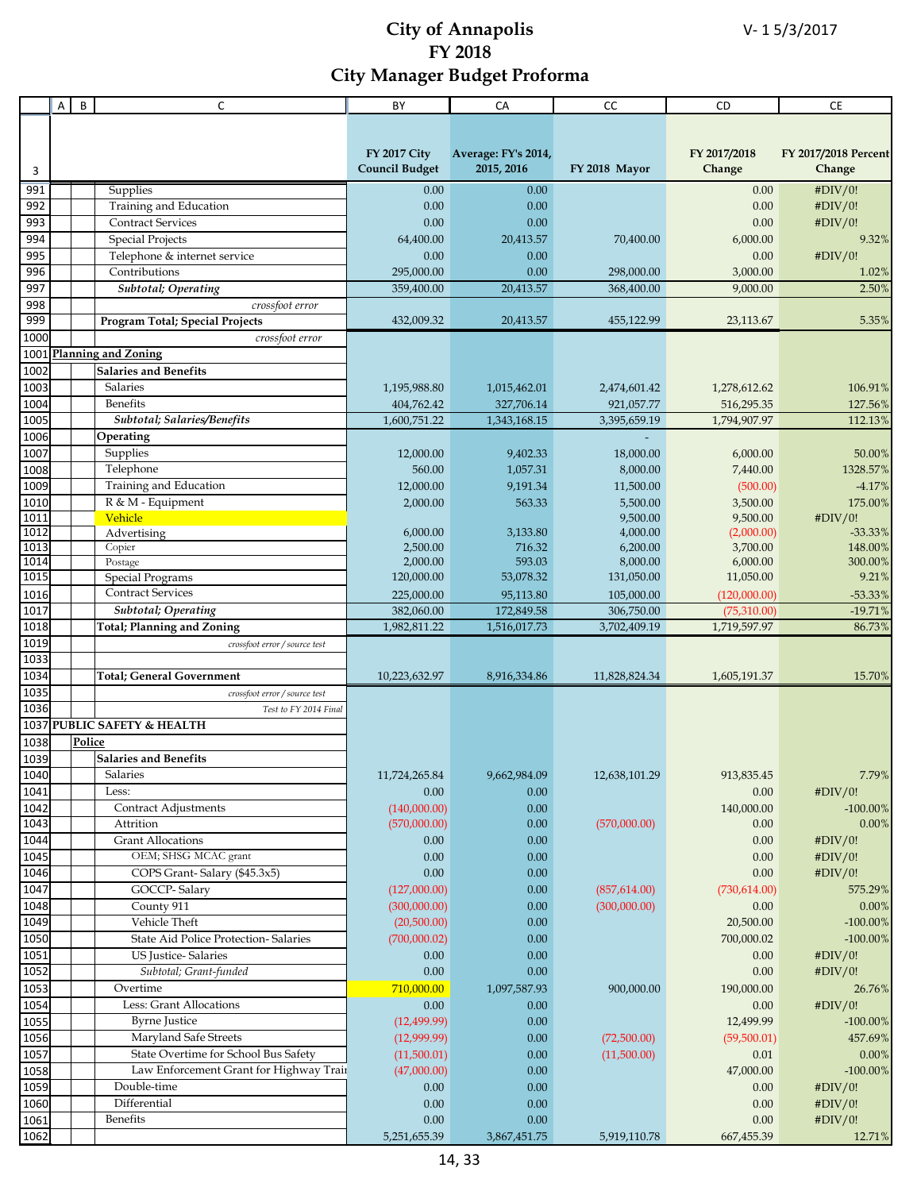|              | Α | B      | C                                                                  | BY                         | CA                   | cc                    | CD                   | <b>CE</b>            |
|--------------|---|--------|--------------------------------------------------------------------|----------------------------|----------------------|-----------------------|----------------------|----------------------|
|              |   |        |                                                                    |                            |                      |                       |                      |                      |
|              |   |        |                                                                    |                            |                      |                       |                      |                      |
|              |   |        |                                                                    | <b>FY 2017 City</b>        | Average: FY's 2014,  |                       | FY 2017/2018         | FY 2017/2018 Percent |
| 3            |   |        |                                                                    | <b>Council Budget</b>      | 2015, 2016           | FY 2018 Mayor         | Change               | Change               |
| 991          |   |        | <b>Supplies</b>                                                    | 0.00                       | 0.00                 |                       | 0.00                 | #DIV/0!              |
| 992          |   |        | Training and Education                                             | 0.00                       | 0.00                 |                       | 0.00                 | #DIV/0!              |
| 993          |   |        | <b>Contract Services</b>                                           | 0.00                       | 0.00                 |                       | 0.00                 | #DIV/0!              |
| 994          |   |        | <b>Special Projects</b>                                            | 64,400.00                  | 20,413.57            | 70,400.00             | 6,000.00             | 9.32%                |
| 995          |   |        | Telephone & internet service                                       | 0.00                       | 0.00                 |                       | 0.00                 | #DIV/0!              |
| 996          |   |        | Contributions                                                      | 295,000.00                 | 0.00                 | 298,000.00            | 3,000.00             | 1.02%                |
| 997          |   |        | <b>Subtotal</b> ; Operating                                        | 359,400.00                 | 20,413.57            | 368,400.00            | 9,000.00             | 2.50%                |
| 998          |   |        | crossfoot error                                                    |                            |                      |                       |                      |                      |
| 999          |   |        | Program Total; Special Projects                                    | 432,009.32                 | 20,413.57            | 455,122.99            | 23,113.67            | 5.35%                |
| 1000         |   |        | crossfoot error                                                    |                            |                      |                       |                      |                      |
|              |   |        | 1001 Planning and Zoning                                           |                            |                      |                       |                      |                      |
| 1002         |   |        | <b>Salaries and Benefits</b>                                       |                            |                      |                       |                      |                      |
| 1003         |   |        | <b>Salaries</b>                                                    | 1,195,988.80               | 1,015,462.01         | 2,474,601.42          | 1,278,612.62         | 106.91%              |
| 1004         |   |        | <b>Benefits</b>                                                    | 404,762.42                 | 327,706.14           | 921,057.77            | 516,295.35           | 127.56%              |
| 1005         |   |        | Subtotal; Salaries/Benefits                                        | 1,600,751.22               | 1,343,168.15         | 3,395,659.19          | 1,794,907.97         | 112.13%              |
| 1006<br>1007 |   |        | Operating<br>Supplies                                              |                            |                      |                       |                      |                      |
| 1008         |   |        | Telephone                                                          | 12,000.00<br>560.00        | 9,402.33<br>1,057.31 | 18,000.00<br>8,000.00 | 6,000.00<br>7,440.00 | 50.00%<br>1328.57%   |
| 1009         |   |        | Training and Education                                             | 12,000.00                  | 9,191.34             | 11,500.00             | (500.00)             | $-4.17%$             |
| 1010         |   |        | R & M - Equipment                                                  | 2,000.00                   | 563.33               | 5,500.00              | 3,500.00             | 175.00%              |
| 1011         |   |        | Vehicle                                                            |                            |                      | 9,500.00              | 9,500.00             | #DIV/0!              |
| 1012         |   |        | Advertising                                                        | 6,000.00                   | 3,133.80             | 4,000.00              | (2,000.00)           | $-33.33%$            |
| 1013         |   |        | Copier                                                             | 2,500.00                   | 716.32               | 6,200.00              | 3,700.00             | 148.00%              |
| 1014         |   |        | Postage                                                            | 2,000.00                   | 593.03               | 8,000.00              | 6,000.00             | 300.00%              |
| 1015         |   |        | <b>Special Programs</b>                                            | 120,000.00                 | 53,078.32            | 131,050.00            | 11,050.00            | 9.21%                |
| 1016         |   |        | <b>Contract Services</b>                                           | 225,000.00                 | 95,113.80            | 105,000.00            | (120,000.00)         | $-53.33%$            |
| 1017         |   |        | Subtotal; Operating                                                | 382,060.00                 | 172,849.58           | 306,750.00            | (75,310.00)          | $-19.71%$            |
| 1018         |   |        | <b>Total; Planning and Zoning</b>                                  | 1,982,811.22               | 1,516,017.73         | 3,702,409.19          | 1,719,597.97         | 86.73%               |
| 1019         |   |        | crossfoot error / source test                                      |                            |                      |                       |                      |                      |
| 1033<br>1034 |   |        |                                                                    |                            |                      |                       |                      |                      |
| 1035         |   |        | <b>Total</b> ; General Government<br>crossfoot error / source test | 10,223,632.97              | 8,916,334.86         | 11,828,824.34         | 1,605,191.37         | 15.70%               |
| 1036         |   |        | Test to FY 2014 Final                                              |                            |                      |                       |                      |                      |
|              |   |        | 1037 PUBLIC SAFETY & HEALTH                                        |                            |                      |                       |                      |                      |
| 1038         |   | Police |                                                                    |                            |                      |                       |                      |                      |
| 1039         |   |        | <b>Salaries and Benefits</b>                                       |                            |                      |                       |                      |                      |
| 1040         |   |        | Salaries                                                           | 11,724,265.84              | 9,662,984.09         | 12,638,101.29         | 913,835.45           | 7.79%                |
| 1041         |   |        | Less:                                                              | 0.00                       | 0.00                 |                       | 0.00                 | #DIV/0!              |
| 1042         |   |        | <b>Contract Adjustments</b>                                        | (140,000.00)               | 0.00                 |                       | 140,000.00           | $-100.00\%$          |
| 1043         |   |        | Attrition                                                          | (570,000.00)               | 0.00                 | (570,000.00)          | 0.00                 | 0.00%                |
| 1044         |   |        | <b>Grant Allocations</b>                                           | 0.00                       | 0.00                 |                       | 0.00                 | #DIV/0!              |
| 1045         |   |        | OEM; SHSG MCAC grant                                               | 0.00                       | 0.00                 |                       | 0.00                 | #DIV/0!              |
| 1046         |   |        | COPS Grant-Salary (\$45.3x5)                                       | 0.00                       | 0.00                 |                       | 0.00                 | #DIV/0!              |
| 1047         |   |        | GOCCP-Salary                                                       | (127,000.00)               | 0.00                 | (857, 614.00)         | (730, 614.00)        | 575.29%              |
| 1048         |   |        | County 911                                                         | (300,000.00)               | 0.00                 | (300,000.00)          | 0.00                 | 0.00%                |
| 1049         |   |        | Vehicle Theft                                                      | (20,500.00)                | 0.00                 |                       | 20,500.00            | $-100.00\%$          |
| 1050         |   |        | <b>State Aid Police Protection- Salaries</b>                       | (700,000.02)               | 0.00                 |                       | 700,000.02           | $-100.00\%$          |
| 1051         |   |        | US Justice-Salaries                                                | 0.00                       | 0.00                 |                       | 0.00                 | #DIV/0!              |
| 1052         |   |        | Subtotal; Grant-funded                                             | 0.00                       | 0.00                 |                       | 0.00                 | #DIV/0!              |
| 1053         |   |        | Overtime                                                           | 710,000.00                 | 1,097,587.93         | 900,000.00            | 190,000.00           | 26.76%               |
| 1054         |   |        | Less: Grant Allocations                                            | 0.00                       | 0.00                 |                       | 0.00                 | #DIV/0!              |
| 1055         |   |        | <b>Byrne Justice</b>                                               | (12, 499.99)               | 0.00                 |                       | 12,499.99            | $-100.00\%$          |
| 1056         |   |        | Maryland Safe Streets<br>State Overtime for School Bus Safety      | (12,999.99)                | 0.00                 | (72,500.00)           | (59,500.01)          | 457.69%              |
| 1057<br>1058 |   |        | Law Enforcement Grant for Highway Train                            | (11,500.01)<br>(47,000.00) | 0.00<br>0.00         | (11,500.00)           | 0.01<br>47,000.00    | 0.00%<br>$-100.00\%$ |
|              |   |        | Double-time                                                        | 0.00                       | 0.00                 |                       | 0.00                 | #DIV/0!              |
| 1059<br>1060 |   |        | Differential                                                       | $0.00\,$                   | 0.00                 |                       | $0.00\,$             | #DIV/0!              |
| 1061         |   |        | Benefits                                                           | $0.00\,$                   | 0.00                 |                       | 0.00                 | #DIV/0!              |
| 1062         |   |        |                                                                    | 5,251,655.39               | 3,867,451.75         | 5,919,110.78          | 667,455.39           | 12.71%               |
|              |   |        |                                                                    |                            |                      |                       |                      |                      |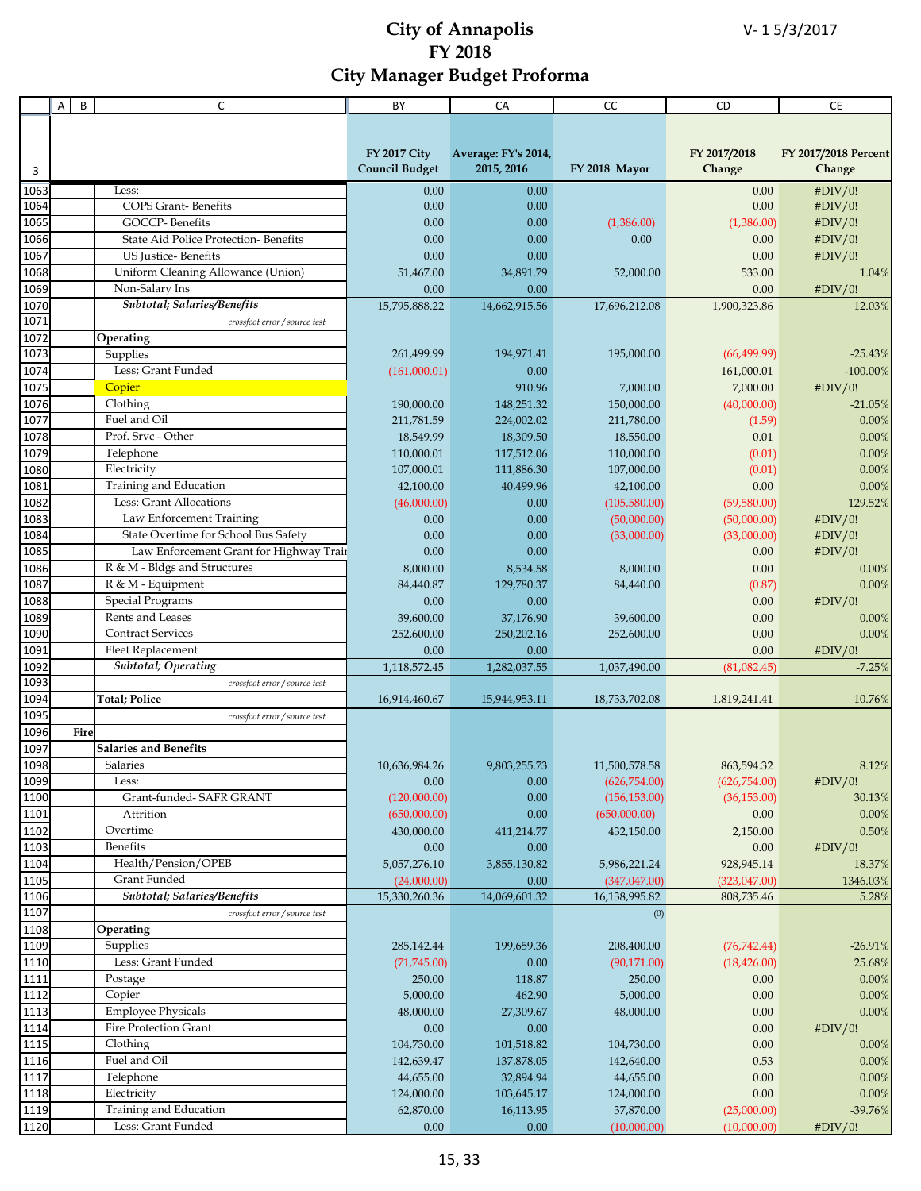|              | A | $\sf B$ | C                                            | BY                       | CA                   | CC                                  | CD                          | <b>CE</b>             |
|--------------|---|---------|----------------------------------------------|--------------------------|----------------------|-------------------------------------|-----------------------------|-----------------------|
|              |   |         |                                              |                          |                      |                                     |                             |                       |
|              |   |         |                                              |                          |                      |                                     |                             |                       |
|              |   |         |                                              | <b>FY 2017 City</b>      | Average: FY's 2014,  |                                     | FY 2017/2018                | FY 2017/2018 Percent  |
| 3            |   |         |                                              | <b>Council Budget</b>    | 2015, 2016           | FY 2018 Mayor                       | Change                      | Change                |
| 1063         |   |         | Less:                                        | 0.00                     | 0.00                 |                                     | 0.00                        | #DIV/0!               |
| 1064         |   |         | <b>COPS Grant-Benefits</b>                   | 0.00                     | 0.00                 |                                     | 0.00                        | #DIV/0!               |
| 1065         |   |         | <b>GOCCP-Benefits</b>                        | 0.00                     | 0.00                 | (1,386.00)                          | (1,386.00)                  | #DIV/0!               |
| 1066         |   |         | State Aid Police Protection-Benefits         | 0.00                     | 0.00                 | 0.00                                | 0.00                        | #DIV/0!               |
| 1067         |   |         | <b>US</b> Justice-Benefits                   | 0.00                     | 0.00                 |                                     | 0.00                        | #DIV/0!               |
| 1068         |   |         | Uniform Cleaning Allowance (Union)           | 51,467.00                | 34,891.79            | 52,000.00                           | 533.00                      | 1.04%                 |
| 1069         |   |         | Non-Salary Ins                               | 0.00                     | 0.00                 |                                     | 0.00                        | #DIV/0!               |
| 1070         |   |         | Subtotal; Salaries/Benefits                  | 15.795.888.22            | 14,662,915.56        | 17,696,212.08                       | 1,900,323.86                | 12.03%                |
| 1071         |   |         | crossfoot error / source test                |                          |                      |                                     |                             |                       |
| 1072<br>1073 |   |         | Operating                                    |                          |                      |                                     |                             |                       |
|              |   |         | Supplies                                     | 261,499.99               | 194,971.41           | 195,000.00                          | (66, 499.99)                | $-25.43%$             |
| 1074<br>1075 |   |         | Less; Grant Funded<br>Copier                 | (161,000.01)             | 0.00<br>910.96       |                                     | 161,000.01<br>7,000.00      | $-100.00\%$           |
| 1076         |   |         | Clothing                                     |                          | 148,251.32           | 7,000.00<br>150,000.00              |                             | #DIV/0!               |
| 1077         |   |         | Fuel and Oil                                 | 190,000.00<br>211,781.59 | 224,002.02           | 211,780.00                          | (40,000.00)                 | $-21.05%$<br>0.00%    |
| 1078         |   |         | Prof. Srvc - Other                           | 18,549.99                | 18,309.50            | 18,550.00                           | (1.59)<br>0.01              | 0.00%                 |
| 1079         |   |         | Telephone                                    | 110,000.01               | 117,512.06           | 110,000.00                          | (0.01)                      | 0.00%                 |
| 1080         |   |         | Electricity                                  | 107,000.01               | 111,886.30           | 107,000.00                          | (0.01)                      | 0.00%                 |
| 1081         |   |         | Training and Education                       | 42,100.00                | 40,499.96            | 42,100.00                           | 0.00                        | 0.00%                 |
| 1082         |   |         | Less: Grant Allocations                      | (46,000.00)              | 0.00                 | (105,580.00)                        | (59,580.00)                 | 129.52%               |
| 1083         |   |         | Law Enforcement Training                     | 0.00                     | 0.00                 | (50,000.00)                         | (50,000.00)                 | #DIV/0!               |
| 1084         |   |         | State Overtime for School Bus Safety         | 0.00                     | 0.00                 | (33,000.00)                         | (33,000.00)                 | #DIV/0!               |
| 1085         |   |         | Law Enforcement Grant for Highway Train      | 0.00                     | 0.00                 |                                     | 0.00                        | #DIV/0!               |
| 1086         |   |         | R & M - Bldgs and Structures                 | 8,000.00                 | 8,534.58             | 8,000.00                            | 0.00                        | 0.00%                 |
| 1087         |   |         | R & M - Equipment                            | 84,440.87                | 129,780.37           | 84,440.00                           | (0.87)                      | 0.00%                 |
| 1088         |   |         | <b>Special Programs</b>                      | 0.00                     | 0.00                 |                                     | 0.00                        | #DIV/0!               |
| 1089         |   |         | Rents and Leases                             | 39,600.00                | 37,176.90            | 39,600.00                           | 0.00                        | 0.00%                 |
| 1090         |   |         | <b>Contract Services</b>                     | 252,600.00               | 250,202.16           | 252,600.00                          | 0.00                        | 0.00%                 |
| 1091         |   |         | Fleet Replacement                            | 0.00                     | 0.00                 |                                     | 0.00                        | #DIV/0!               |
| 1092         |   |         | <b>Subtotal</b> ; Operating                  | 1,118,572.45             | 1,282,037.55         | 1,037,490.00                        | (81,082.45)                 | $-7.25%$              |
| 1093         |   |         | crossfoot error / source test                |                          |                      |                                     |                             |                       |
| 1094         |   |         | <b>Total; Police</b>                         | 16,914,460.67            | 15,944,953.11        | 18,733,702.08                       | 1,819,241.41                | 10.76%                |
| 1095         |   |         | crossfoot error / source test                |                          |                      |                                     |                             |                       |
| 1096<br>1097 |   | Fire    |                                              |                          |                      |                                     |                             |                       |
| 1098         |   |         | <b>Salaries and Benefits</b><br>Salaries     |                          |                      |                                     |                             | 8.12%                 |
| 1099         |   |         | Less:                                        | 10,636,984.26<br>0.00    | 9,803,255.73<br>0.00 | $11,\!500,\!578.58$<br>(626,754.00) | 863,594.32<br>(626, 754.00) | #DIV/0!               |
| 1100         |   |         | Grant-funded- SAFR GRANT                     | (120,000.00)             | 0.00                 | (156, 153.00)                       | (36, 153.00)                | 30.13%                |
| 1101         |   |         | Attrition                                    | (650,000.00)             | 0.00                 | (650,000.00)                        | $0.00\,$                    | $0.00\%$              |
| 1102         |   |         | Overtime                                     | 430,000.00               | 411,214.77           | 432,150.00                          | 2,150.00                    | $0.50\%$              |
| 1103         |   |         | Benefits                                     | 0.00                     | 0.00                 |                                     | $0.00\,$                    | #DIV/0!               |
| 1104         |   |         | Health/Pension/OPEB                          | 5,057,276.10             | 3,855,130.82         | 5,986,221.24                        | 928,945.14                  | 18.37%                |
| 1105         |   |         | Grant Funded                                 | (24,000.00)              | 0.00                 | (347, 047.00)                       | (323,047.00)                | 1346.03%              |
| 1106         |   |         | Subtotal; Salaries/Benefits                  | 15,330,260.36            | 14,069,601.32        | 16,138,995.82                       | 808,735.46                  | 5.28%                 |
| 1107         |   |         | crossfoot error / source test                |                          |                      | (0)                                 |                             |                       |
| 1108         |   |         | Operating                                    |                          |                      |                                     |                             |                       |
| 1109         |   |         | Supplies                                     | 285,142.44               | 199,659.36           | 208,400.00                          | (76, 742.44)                | $-26.91%$             |
| 1110         |   |         | Less: Grant Funded                           | (71, 745.00)             | 0.00                 | (90, 171.00)                        | (18, 426.00)                | 25.68%                |
| 1111         |   |         | Postage                                      | 250.00                   | 118.87               | 250.00                              | 0.00                        | $0.00\%$              |
| 1112         |   |         | Copier                                       | 5,000.00                 | 462.90               | 5,000.00                            | 0.00                        | $0.00\%$              |
| 1113         |   |         | <b>Employee Physicals</b>                    | 48,000.00                | 27,309.67            | 48,000.00                           | $0.00\,$                    | 0.00%                 |
| 1114         |   |         | Fire Protection Grant                        | 0.00                     | 0.00                 |                                     | $0.00\,$                    | #DIV/0!               |
| 1115         |   |         | Clothing                                     | 104,730.00               | 101,518.82           | 104,730.00                          | 0.00                        | 0.00%                 |
| 1116<br>1117 |   |         | Fuel and Oil                                 | 142,639.47               | 137,878.05           | 142,640.00                          | 0.53                        | 0.00%                 |
| 1118         |   |         | Telephone<br>Electricity                     | 44,655.00                | 32,894.94            | 44,655.00                           | $0.00\,$                    | 0.00%                 |
| 1119         |   |         |                                              | 124,000.00               | 103,645.17           | 124,000.00                          | $0.00\,$                    | $0.00\%$<br>$-39.76%$ |
|              |   |         | Training and Education<br>Less: Grant Funded | 62,870.00                | 16,113.95            | 37,870.00                           | (25,000.00)                 |                       |
| 1120         |   |         |                                              | 0.00                     | 0.00                 | (10,000.00)                         | (10,000.00)                 | #DIV/0!               |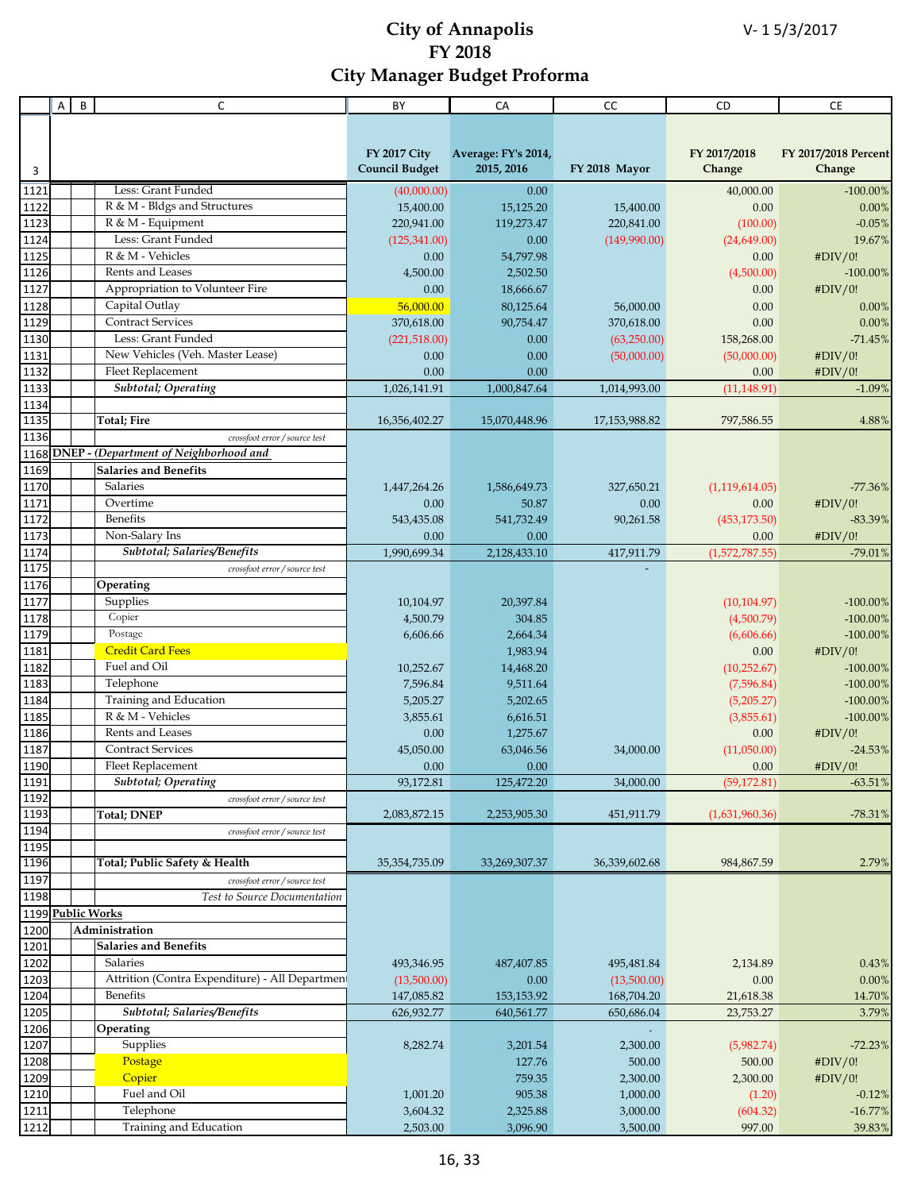|                   | Α | B | $\mathsf C$                                     | BY                    | CA                  | CC            | CD             | CE                   |
|-------------------|---|---|-------------------------------------------------|-----------------------|---------------------|---------------|----------------|----------------------|
|                   |   |   |                                                 |                       |                     |               |                |                      |
|                   |   |   |                                                 |                       |                     |               |                |                      |
|                   |   |   |                                                 | <b>FY 2017 City</b>   | Average: FY's 2014, |               | FY 2017/2018   | FY 2017/2018 Percent |
| 3                 |   |   |                                                 | <b>Council Budget</b> | 2015, 2016          | FY 2018 Mayor | Change         | Change               |
| 1121              |   |   | Less: Grant Funded                              | (40,000.00)           | 0.00                |               | 40,000.00      | $-100.00\%$          |
| 1122              |   |   | R & M - Bldgs and Structures                    | 15,400.00             | 15,125.20           | 15,400.00     | 0.00           | 0.00%                |
| 1123              |   |   | R & M - Equipment                               | 220,941.00            | 119,273.47          | 220,841.00    | (100.00)       | $-0.05%$             |
| 1124              |   |   | Less: Grant Funded                              | (125, 341.00)         | 0.00                | (149,990.00)  | (24,649.00)    | 19.67%               |
| 1125              |   |   | R & M - Vehicles                                | 0.00                  | 54,797.98           |               | 0.00           | #DIV/0!              |
| 1126              |   |   | Rents and Leases                                | 4,500.00              | 2,502.50            |               | (4,500.00)     | $-100.00\%$          |
| 1127              |   |   | Appropriation to Volunteer Fire                 | 0.00                  | 18,666.67           |               | 0.00           | #DIV/0!              |
| 1128              |   |   | Capital Outlay                                  | 56,000.00             | 80,125.64           | 56,000.00     | 0.00           | 0.00%                |
| 1129              |   |   | <b>Contract Services</b>                        | 370,618.00            | 90,754.47           | 370,618.00    | 0.00           | 0.00%                |
| 1130              |   |   | Less: Grant Funded                              | (221,518.00)          | 0.00                | (63,250.00)   | 158,268.00     | $-71.45%$            |
| 1131              |   |   | New Vehicles (Veh. Master Lease)                | 0.00                  | 0.00                | (50,000.00)   | (50,000.00)    | #DIV/0!              |
| 1132              |   |   | Fleet Replacement                               | 0.00                  | 0.00                |               | 0.00           | #DIV/0!              |
| 1133              |   |   | <b>Subtotal</b> ; Operating                     | 1,026,141.91          | 1,000,847.64        | 1,014,993.00  | (11, 148.91)   | $-1.09%$             |
| 1134              |   |   |                                                 |                       |                     |               |                |                      |
| 1135              |   |   | <b>Total; Fire</b>                              | 16,356,402.27         | 15,070,448.96       | 17,153,988.82 | 797,586.55     | 4.88%                |
| 1136              |   |   | crossfoot error / source test                   |                       |                     |               |                |                      |
| 1168              |   |   | DNEP - (Department of Neighborhood and          |                       |                     |               |                |                      |
| 1169              |   |   | <b>Salaries and Benefits</b>                    |                       |                     |               |                |                      |
| 1170              |   |   | Salaries                                        | 1,447,264.26          | 1,586,649.73        | 327,650.21    | (1,119,614.05) | $-77.36%$            |
| 1171              |   |   | Overtime                                        | 0.00                  | 50.87               | 0.00          | 0.00           | #DIV/0!              |
| 1172              |   |   | Benefits                                        | 543,435.08            | 541,732.49          | 90,261.58     | (453, 173.50)  | $-83.39\%$           |
| 1173              |   |   | Non-Salary Ins                                  | 0.00                  | 0.00                |               | 0.00           | #DIV/0!              |
| 1174              |   |   | Subtotal; Salaries/Benefits                     | 1,990,699.34          | 2,128,433.10        | 417,911.79    | (1,572,787.55) | $-79.01%$            |
| 1175              |   |   | crossfoot error / source test                   |                       |                     |               |                |                      |
| 1176              |   |   | Operating                                       |                       |                     |               |                |                      |
| 1177              |   |   | Supplies                                        | 10,104.97             | 20,397.84           |               | (10, 104.97)   | $-100.00\%$          |
| 1178              |   |   | Copier                                          | 4,500.79              | 304.85              |               | (4,500.79)     | $-100.00\%$          |
| 1179              |   |   | Postage                                         | 6,606.66              | 2,664.34            |               | (6,606.66)     | $-100.00\%$          |
| 1181              |   |   | <b>Credit Card Fees</b>                         |                       | 1,983.94            |               | 0.00           | #DIV/0!              |
| 1182              |   |   | Fuel and Oil                                    | 10,252.67             | 14,468.20           |               | (10, 252.67)   | $-100.00\%$          |
| 1183              |   |   | Telephone                                       | 7,596.84              | 9,511.64            |               | (7,596.84)     | $-100.00\%$          |
| 1184              |   |   | Training and Education                          | 5,205.27              | 5,202.65            |               | (5,205.27)     | $-100.00\%$          |
| 1185              |   |   | R & M - Vehicles                                | 3,855.61              | 6,616.51            |               | (3,855.61)     | $-100.00\%$          |
| 1186              |   |   | Rents and Leases                                | 0.00                  | 1,275.67            |               | 0.00           | #DIV/0!              |
| 1187              |   |   | <b>Contract Services</b>                        | 45,050.00             | 63,046.56           | 34,000.00     | (11,050.00)    | $-24.53%$            |
| 1190              |   |   | Fleet Replacement                               | $0.00\,$              | $0.00\,$            |               | 0.00           | #DIV/0!              |
| 1191              |   |   | Subtotal; Operating                             | 93,172.81             | 125,472.20          | 34,000.00     | (59, 172.81)   | $-63.51%$            |
| 1192              |   |   | crossfoot error / source test                   |                       |                     |               |                |                      |
| 1193              |   |   | <b>Total; DNEP</b>                              | 2,083,872.15          | 2,253,905.30        | 451,911.79    | (1,631,960.36) | $-78.31%$            |
| 1194              |   |   | crossfoot error / source test                   |                       |                     |               |                |                      |
| 1195              |   |   |                                                 |                       |                     |               |                |                      |
| 1196              |   |   | Total; Public Safety & Health                   | 35, 354, 735.09       | 33,269,307.37       | 36,339,602.68 | 984,867.59     | 2.79%                |
| 1197              |   |   | crossfoot error / source test                   |                       |                     |               |                |                      |
| 1198              |   |   | Test to Source Documentation                    |                       |                     |               |                |                      |
| 1199 Public Works |   |   |                                                 |                       |                     |               |                |                      |
| 1200              |   |   | Administration                                  |                       |                     |               |                |                      |
| 1201              |   |   | <b>Salaries and Benefits</b>                    |                       |                     |               |                |                      |
| 1202              |   |   | Salaries                                        | 493,346.95            | 487,407.85          | 495,481.84    | 2,134.89       | 0.43%                |
| 1203              |   |   | Attrition (Contra Expenditure) - All Department | (13,500.00)           | 0.00                | (13,500.00)   | 0.00           | $0.00\%$             |
| 1204              |   |   | Benefits                                        | 147,085.82            | 153, 153. 92        | 168,704.20    | 21,618.38      | 14.70%               |
| 1205              |   |   | Subtotal; Salaries/Benefits                     | 626,932.77            | 640,561.77          | 650,686.04    | 23,753.27      | 3.79%                |
| 1206              |   |   | Operating                                       |                       |                     |               |                |                      |
| 1207              |   |   | Supplies                                        | 8,282.74              | 3,201.54            | 2,300.00      | (5,982.74)     | $-72.23%$            |
| 1208              |   |   | Postage                                         |                       | 127.76              | 500.00        | 500.00         | #DIV/0!              |
| 1209              |   |   | Copier                                          |                       | 759.35              | 2,300.00      | 2,300.00       | #DIV/0!              |
| 1210              |   |   | Fuel and Oil                                    | 1,001.20              | 905.38              | 1,000.00      | (1.20)         | $-0.12%$             |
| 1211              |   |   | Telephone                                       | 3,604.32              | 2,325.88            | 3,000.00      | (604.32)       | $-16.77%$            |
| 1212              |   |   | Training and Education                          | 2,503.00              | 3,096.90            | 3,500.00      | 997.00         | 39.83%               |
|                   |   |   |                                                 |                       |                     |               |                |                      |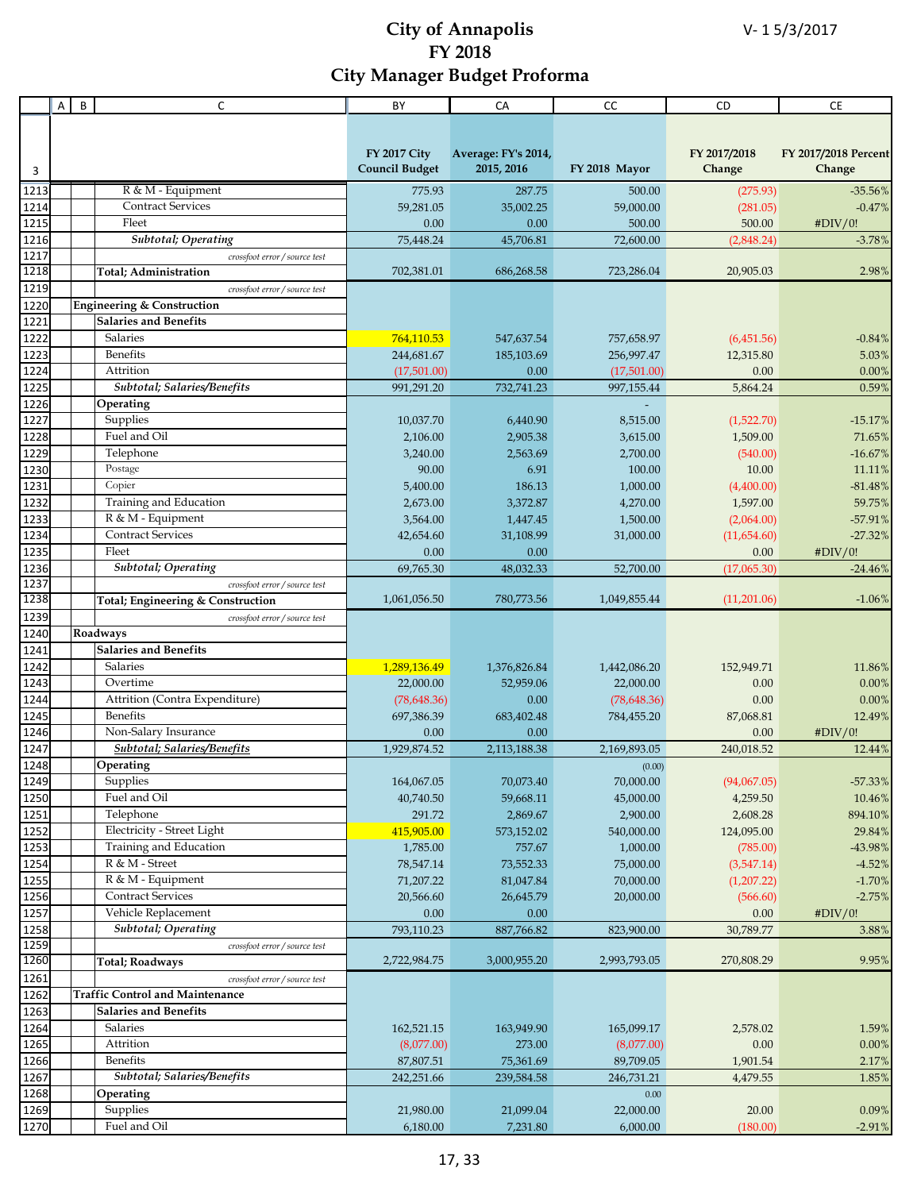|      | Α | B<br>C                                 | BY                    | CA                  | cc            | CD           | <b>CE</b>            |
|------|---|----------------------------------------|-----------------------|---------------------|---------------|--------------|----------------------|
|      |   |                                        |                       |                     |               |              |                      |
|      |   |                                        |                       |                     |               |              |                      |
|      |   |                                        | <b>FY 2017 City</b>   | Average: FY's 2014, |               | FY 2017/2018 | FY 2017/2018 Percent |
| 3    |   |                                        | <b>Council Budget</b> | 2015, 2016          | FY 2018 Mayor | Change       | Change               |
| 1213 |   | R & M - Equipment                      | 775.93                | 287.75              | 500.00        | (275.93)     | $-35.56%$            |
| 1214 |   | <b>Contract Services</b>               | 59,281.05             | 35,002.25           | 59,000.00     | (281.05)     | $-0.47%$             |
| 1215 |   | Fleet                                  | 0.00                  | 0.00                | 500.00        | 500.00       | #DIV/0!              |
| 1216 |   | <b>Subtotal</b> ; Operating            | 75,448.24             | 45,706.81           | 72,600.00     | (2,848.24)   | $-3.78%$             |
| 1217 |   | crossfoot error / source test          |                       |                     |               |              |                      |
| 1218 |   | <b>Total</b> ; Administration          | 702,381.01            | 686,268.58          | 723,286.04    | 20,905.03    | 2.98%                |
| 1219 |   | crossfoot error / source test          |                       |                     |               |              |                      |
| 1220 |   | <b>Engineering &amp; Construction</b>  |                       |                     |               |              |                      |
| 1221 |   | <b>Salaries and Benefits</b>           |                       |                     |               |              |                      |
| 1222 |   | Salaries                               | 764,110.53            | 547,637.54          | 757,658.97    | (6,451.56)   | $-0.84%$             |
| 1223 |   | Benefits                               | 244,681.67            | 185,103.69          | 256,997.47    | 12,315.80    | 5.03%                |
| 1224 |   | Attrition                              | (17,501.00)           | 0.00                | (17,501.00)   | 0.00         | 0.00%                |
| 1225 |   | Subtotal; Salaries/Benefits            | 991,291.20            | 732,741.23          | 997,155.44    | 5,864.24     | 0.59%                |
| 1226 |   | Operating                              |                       |                     |               |              |                      |
| 1227 |   | Supplies                               | 10,037.70             | 6,440.90            | 8,515.00      | (1,522.70)   | $-15.17%$            |
| 1228 |   | Fuel and Oil                           | 2,106.00              | 2,905.38            | 3,615.00      | 1,509.00     | 71.65%               |
| 1229 |   | Telephone                              | 3,240.00              | 2,563.69            | 2,700.00      | (540.00)     | $-16.67%$            |
| 1230 |   | Postage                                | 90.00                 | 6.91                | 100.00        | 10.00        | 11.11%               |
| 1231 |   | Copier                                 | 5,400.00              | 186.13              | 1,000.00      | (4,400.00)   | $-81.48%$            |
| 1232 |   | Training and Education                 | 2,673.00              | 3,372.87            | 4,270.00      | 1,597.00     | 59.75%               |
| 1233 |   | R & M - Equipment                      | 3,564.00              | 1,447.45            | 1,500.00      | (2,064.00)   | $-57.91%$            |
| 1234 |   | <b>Contract Services</b>               | 42,654.60             | 31,108.99           | 31,000.00     | (11,654.60)  | $-27.32%$            |
| 1235 |   | Fleet                                  | 0.00                  | 0.00                |               | 0.00         | #DIV/0!              |
| 1236 |   | <b>Subtotal</b> ; Operating            | 69,765.30             | 48,032.33           | 52,700.00     | (17,065.30)  | $-24.46%$            |
| 1237 |   | crossfoot error / source test          |                       |                     |               |              |                      |
| 1238 |   | Total; Engineering & Construction      | 1,061,056.50          | 780,773.56          | 1,049,855.44  | (11,201.06)  | $-1.06%$             |
| 1239 |   | crossfoot error / source test          |                       |                     |               |              |                      |
| 1240 |   | Roadways                               |                       |                     |               |              |                      |
| 1241 |   | <b>Salaries and Benefits</b>           |                       |                     |               |              |                      |
| 1242 |   | Salaries                               | 1,289,136.49          | 1,376,826.84        | 1,442,086.20  | 152,949.71   | 11.86%               |
| 1243 |   | Overtime                               | 22,000.00             | 52,959.06           | 22,000.00     | 0.00         | 0.00%                |
| 1244 |   | Attrition (Contra Expenditure)         | (78, 648.36)          | 0.00                | (78, 648.36)  | 0.00         | 0.00%                |
| 1245 |   | <b>Benefits</b>                        | 697,386.39            | 683,402.48          | 784,455.20    | 87,068.81    | 12.49%               |
| 1246 |   | Non-Salary Insurance                   | 0.00                  | 0.00                |               | 0.00         | #DIV/0!              |
| 1247 |   | Subtotal; Salaries/Benefits            | 1,929,874.52          | 2,113,188.38        | 2,169,893.05  | 240,018.52   | 12.44%               |
| 1248 |   | Operating                              |                       |                     | (0.00)        |              |                      |
| 1249 |   | Supplies                               | 164,067.05            | 70,073.40           | 70,000.00     | (94,067.05)  | $-57.33%$            |
| 1250 |   | Fuel and Oil                           | 40,740.50             | 59,668.11           | 45,000.00     | 4,259.50     | $10.46\%$            |
| 1251 |   | Telephone                              | 291.72                | 2,869.67            | 2,900.00      | 2,608.28     | 894.10%              |
| 1252 |   | Electricity - Street Light             | 415,905.00            | 573,152.02          | 540,000.00    | 124,095.00   | 29.84%               |
| 1253 |   | Training and Education                 | 1,785.00              | 757.67              | 1,000.00      | (785.00)     | -43.98%              |
| 1254 |   | R & M - Street                         | 78,547.14             | 73,552.33           | 75,000.00     | (3,547.14)   | $-4.52%$             |
| 1255 |   | R & M - Equipment                      | 71,207.22             | 81,047.84           | 70,000.00     | (1,207.22)   | $-1.70%$             |
| 1256 |   | <b>Contract Services</b>               | 20,566.60             | 26,645.79           | 20,000.00     | (566.60)     | $-2.75%$             |
| 1257 |   | Vehicle Replacement                    | 0.00                  | 0.00                |               | 0.00         | #DIV/0!              |
| 1258 |   | <b>Subtotal</b> ; Operating            | 793,110.23            | 887,766.82          | 823,900.00    | 30,789.77    | 3.88%                |
| 1259 |   | crossfoot error / source test          |                       |                     |               |              |                      |
| 1260 |   | <b>Total</b> ; Roadways                | 2,722,984.75          | 3,000,955.20        | 2,993,793.05  | 270,808.29   | 9.95%                |
| 1261 |   | crossfoot error / source test          |                       |                     |               |              |                      |
| 1262 |   | <b>Traffic Control and Maintenance</b> |                       |                     |               |              |                      |
| 1263 |   | <b>Salaries and Benefits</b>           |                       |                     |               |              |                      |
| 1264 |   | Salaries                               | 162,521.15            | 163,949.90          | 165,099.17    | 2,578.02     | 1.59%                |
| 1265 |   | Attrition                              | (8,077.00)            | 273.00              | (8,077.00)    | 0.00         | $0.00\%$             |
| 1266 |   | Benefits                               | 87,807.51             | 75,361.69           | 89,709.05     | 1,901.54     | 2.17%                |
| 1267 |   | Subtotal; Salaries/Benefits            | 242,251.66            | 239,584.58          | 246,731.21    | 4,479.55     | 1.85%                |
| 1268 |   | Operating                              |                       |                     | $0.00\,$      |              |                      |
| 1269 |   | Supplies                               | 21,980.00             | 21,099.04           | 22,000.00     | 20.00        | 0.09%                |
| 1270 |   | Fuel and Oil                           | 6,180.00              | 7,231.80            | 6,000.00      | (180.00)     | $-2.91%$             |
|      |   |                                        |                       |                     |               |              |                      |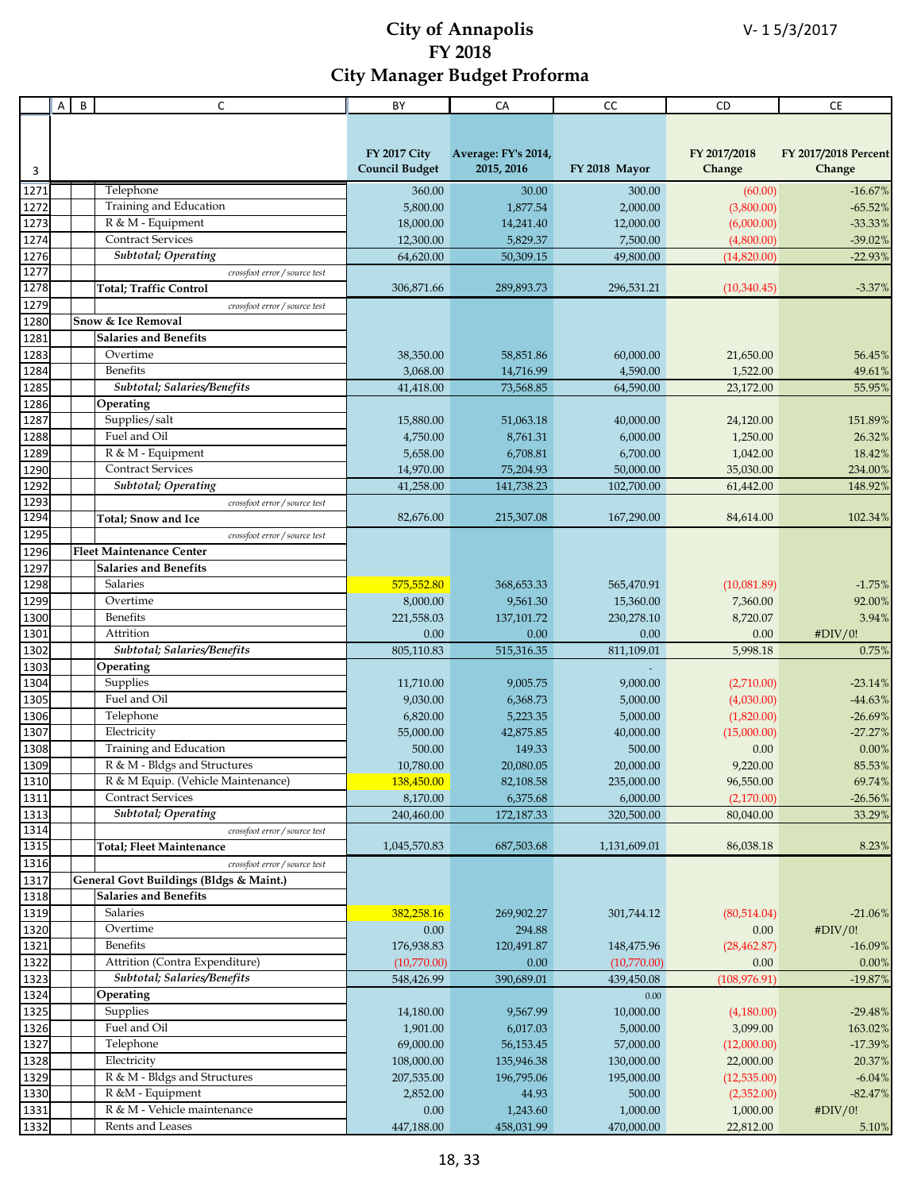|              | А | B | C                                       | BY                    | CA                  | CC            | CD            | <b>CE</b>            |
|--------------|---|---|-----------------------------------------|-----------------------|---------------------|---------------|---------------|----------------------|
|              |   |   |                                         |                       |                     |               |               |                      |
|              |   |   |                                         |                       |                     |               |               |                      |
|              |   |   |                                         | <b>FY 2017 City</b>   | Average: FY's 2014, |               | FY 2017/2018  | FY 2017/2018 Percent |
| 3            |   |   |                                         | <b>Council Budget</b> | 2015, 2016          | FY 2018 Mayor | Change        | Change               |
|              |   |   |                                         |                       |                     |               |               |                      |
| 1271         |   |   | Telephone                               | 360.00                | 30.00               | 300.00        | (60.00)       | $-16.67%$            |
| 1272         |   |   | Training and Education                  | 5,800.00              | 1,877.54            | 2,000.00      | (3,800.00)    | $-65.52%$            |
| 1273         |   |   | R & M - Equipment                       | 18,000.00             | 14,241.40           | 12,000.00     | (6,000.00)    | $-33.33%$            |
| 1274         |   |   | <b>Contract Services</b>                | 12,300.00             | 5,829.37            | 7,500.00      | (4,800.00)    | $-39.02%$            |
| 1276         |   |   | Subtotal; Operating                     | 64,620.00             | 50,309.15           | 49,800.00     | (14,820.00)   | $-22.93%$            |
| 1277         |   |   | crossfoot error / source test           |                       |                     |               |               |                      |
| 1278         |   |   | <b>Total; Traffic Control</b>           | 306,871.66            | 289,893.73          | 296,531.21    | (10,340.45)   | $-3.37%$             |
| 1279         |   |   | crossfoot error / source test           |                       |                     |               |               |                      |
| 1280         |   |   | Snow & Ice Removal                      |                       |                     |               |               |                      |
| 1281         |   |   | <b>Salaries and Benefits</b>            |                       |                     |               |               |                      |
| 1283         |   |   | Overtime                                | 38,350.00             | 58,851.86           | 60,000.00     | 21,650.00     | 56.45%               |
| 1284         |   |   | Benefits                                | 3,068.00              | 14,716.99           | 4,590.00      | 1,522.00      | 49.61%               |
| 1285         |   |   | Subtotal; Salaries/Benefits             | 41,418.00             | 73,568.85           | 64,590.00     | 23,172.00     | 55.95%               |
| 1286         |   |   | Operating                               |                       |                     |               |               |                      |
| 1287         |   |   | Supplies/salt                           | 15,880.00             | 51,063.18           | 40,000.00     | 24,120.00     | 151.89%              |
| 1288         |   |   | Fuel and Oil                            | 4,750.00              | 8,761.31            | 6,000.00      | 1,250.00      | 26.32%               |
| 1289         |   |   | R & M - Equipment                       | 5,658.00              | 6,708.81            | 6,700.00      | 1,042.00      | 18.42%               |
| 1290         |   |   | <b>Contract Services</b>                |                       |                     |               | 35,030.00     |                      |
| 1292         |   |   | <b>Subtotal</b> ; Operating             | 14,970.00             | 75,204.93           | 50,000.00     |               | 234.00%              |
|              |   |   |                                         | 41,258.00             | 141,738.23          | 102,700.00    | 61,442.00     | 148.92%              |
| 1293<br>1294 |   |   | crossfoot error / source test           |                       |                     |               |               |                      |
|              |   |   | <b>Total</b> ; Snow and Ice             | 82,676.00             | 215,307.08          | 167,290.00    | 84,614.00     | 102.34%              |
| 1295         |   |   | crossfoot error / source test           |                       |                     |               |               |                      |
| 1296         |   |   | <b>Fleet Maintenance Center</b>         |                       |                     |               |               |                      |
| 1297         |   |   | <b>Salaries and Benefits</b>            |                       |                     |               |               |                      |
| 1298         |   |   | Salaries                                | 575,552.80            | 368,653.33          | 565,470.91    | (10,081.89)   | $-1.75%$             |
| 1299         |   |   | Overtime                                | 8,000.00              | 9,561.30            | 15,360.00     | 7,360.00      | 92.00%               |
| 1300         |   |   | Benefits                                | 221,558.03            | 137,101.72          | 230,278.10    | 8,720.07      | 3.94%                |
| 1301         |   |   | Attrition                               | 0.00                  | 0.00                | 0.00          | 0.00          | #DIV/0!              |
| 1302         |   |   | Subtotal; Salaries/Benefits             | 805,110.83            | 515,316.35          | 811,109.01    | 5,998.18      | 0.75%                |
| 1303         |   |   | Operating                               |                       |                     |               |               |                      |
| 1304         |   |   | Supplies                                | 11,710.00             | 9,005.75            | 9,000.00      | (2,710.00)    | $-23.14\%$           |
| 1305         |   |   | Fuel and Oil                            | 9,030.00              | 6,368.73            | 5,000.00      | (4,030.00)    | $-44.63%$            |
| 1306         |   |   | Telephone                               | 6,820.00              | 5,223.35            | 5,000.00      | (1,820.00)    | $-26.69%$            |
| 1307         |   |   | Electricity                             | 55,000.00             | 42,875.85           | 40,000.00     | (15,000.00)   | $-27.27%$            |
| 1308         |   |   | Training and Education                  | 500.00                | 149.33              | 500.00        | 0.00          | 0.00%                |
| 1309         |   |   | R & M - Bldgs and Structures            | 10,780.00             | 20,080.05           | 20,000.00     | 9,220.00      | 85.53%               |
| 1310         |   |   | R & M Equip. (Vehicle Maintenance)      | 138,450.00            | 82,108.58           | 235,000.00    | 96,550.00     | 69.74%               |
| 1311         |   |   | <b>Contract Services</b>                | 8,170.00              | 6,375.68            | 6,000.00      | (2,170.00)    | $-26.56%$            |
| 1313         |   |   | Subtotal; Operating                     |                       |                     |               |               | 33.29%               |
| 1314         |   |   | crossfoot error / source test           | 240,460.00            | 172,187.33          | 320,500.00    | 80,040.00     |                      |
| 1315         |   |   |                                         | 1,045,570.83          | 687,503.68          | 1,131,609.01  | 86,038.18     | 8.23%                |
|              |   |   | <b>Total; Fleet Maintenance</b>         |                       |                     |               |               |                      |
| 1316         |   |   | crossfoot error / source test           |                       |                     |               |               |                      |
| 1317         |   |   | General Govt Buildings (Bldgs & Maint.) |                       |                     |               |               |                      |
| 1318         |   |   | <b>Salaries and Benefits</b>            |                       |                     |               |               |                      |
| 1319         |   |   | Salaries                                | 382,258.16            | 269,902.27          | 301,744.12    | (80,514.04)   | $-21.06%$            |
| 1320         |   |   | Overtime                                | 0.00                  | 294.88              |               | 0.00          | #DIV/0!              |
| 1321         |   |   | Benefits                                | 176,938.83            | 120,491.87          | 148,475.96    | (28, 462.87)  | $-16.09%$            |
| 1322         |   |   | Attrition (Contra Expenditure)          | (10,770.00)           | 0.00                | (10,770.00)   | 0.00          | 0.00%                |
| 1323         |   |   | Subtotal; Salaries/Benefits             | 548,426.99            | 390,689.01          | 439,450.08    | (108, 976.91) | $-19.87%$            |
| 1324         |   |   | Operating                               |                       |                     | 0.00          |               |                      |
| 1325         |   |   | Supplies                                | 14,180.00             | 9,567.99            | 10,000.00     | (4,180.00)    | $-29.48%$            |
| 1326         |   |   | Fuel and Oil                            | 1,901.00              | 6,017.03            | 5,000.00      | 3,099.00      | 163.02%              |
| 1327         |   |   | Telephone                               | 69,000.00             | 56,153.45           | 57,000.00     | (12,000.00)   | $-17.39%$            |
| 1328         |   |   | Electricity                             | 108,000.00            | 135,946.38          | 130,000.00    | 22,000.00     | 20.37%               |
| 1329         |   |   | R & M - Bldgs and Structures            | 207,535.00            | 196,795.06          | 195,000.00    | (12,535.00)   | $-6.04%$             |
| 1330         |   |   | R &M - Equipment                        | 2,852.00              | 44.93               | 500.00        | (2,352.00)    | $-82.47%$            |
| 1331         |   |   | R & M - Vehicle maintenance             | 0.00                  | 1,243.60            | 1,000.00      | 1,000.00      | #DIV/0!              |
|              |   |   | Rents and Leases                        |                       |                     |               |               |                      |
| 1332         |   |   |                                         | 447,188.00            | 458,031.99          | 470,000.00    | 22,812.00     | 5.10%                |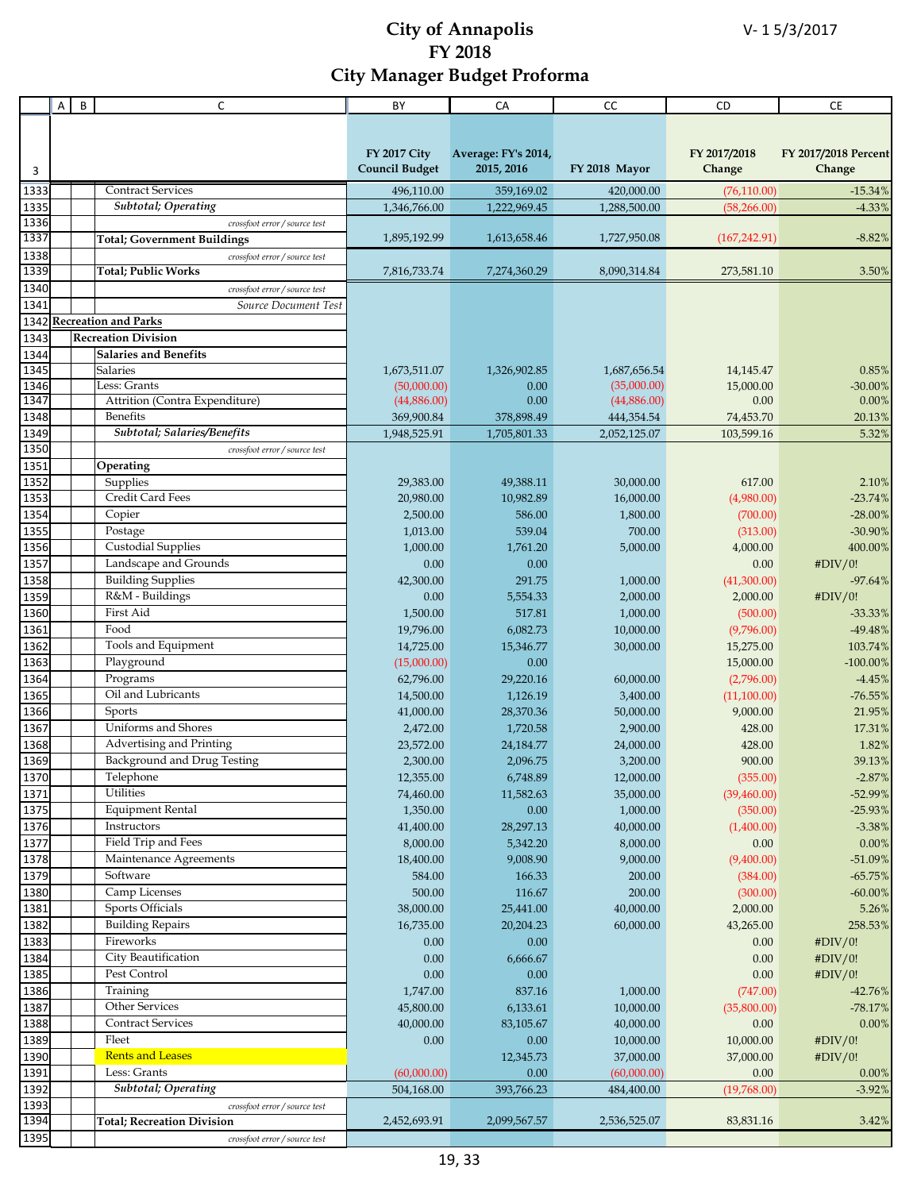|              | Α | B | C                                   | BY                    | CA                  | СC                 | <b>CD</b>              | <b>CE</b>                |
|--------------|---|---|-------------------------------------|-----------------------|---------------------|--------------------|------------------------|--------------------------|
|              |   |   |                                     |                       |                     |                    |                        |                          |
|              |   |   |                                     |                       |                     |                    |                        |                          |
|              |   |   |                                     | <b>FY 2017 City</b>   | Average: FY's 2014, |                    | FY 2017/2018           | FY 2017/2018 Percent     |
| 3            |   |   |                                     | <b>Council Budget</b> | 2015, 2016          | FY 2018 Mayor      | Change                 | Change                   |
| 1333         |   |   | <b>Contract Services</b>            | 496,110.00            | 359,169.02          | 420,000.00         | (76, 110.00)           | $-15.34%$                |
| 1335         |   |   | Subtotal; Operating                 | 1,346,766.00          | 1,222,969.45        | 1,288,500.00       | (58, 266.00)           | $-4.33%$                 |
| 1336         |   |   | crossfoot error / source test       |                       |                     |                    |                        |                          |
| 1337         |   |   | <b>Total</b> ; Government Buildings | 1,895,192.99          | 1,613,658.46        | 1,727,950.08       | (167, 242.91)          | $-8.82%$                 |
| 1338         |   |   | crossfoot error / source test       |                       |                     |                    |                        |                          |
| 1339         |   |   | <b>Total; Public Works</b>          | 7,816,733.74          | 7,274,360.29        | 8,090,314.84       | 273,581.10             | 3.50%                    |
| 1340         |   |   | crossfoot error / source test       |                       |                     |                    |                        |                          |
| 1341         |   |   | Source Document Test                |                       |                     |                    |                        |                          |
| 1342         |   |   | <b>Recreation and Parks</b>         |                       |                     |                    |                        |                          |
| 1343         |   |   | <b>Recreation Division</b>          |                       |                     |                    |                        |                          |
| 1344         |   |   | <b>Salaries and Benefits</b>        |                       |                     |                    |                        |                          |
| 1345         |   |   | <b>Salaries</b>                     | 1,673,511.07          | 1,326,902.85        | 1,687,656.54       | 14,145.47              | 0.85%                    |
| 1346         |   |   | Less: Grants                        | (50,000.00)           | 0.00                | (35,000.00)        | 15,000.00              | $-30.00\%$               |
| 1347         |   |   | Attrition (Contra Expenditure)      | (44,886.00)           | 0.00                | (44,886.00)        | 0.00                   | 0.00%                    |
| 1348         |   |   | <b>Benefits</b>                     | 369,900.84            | 378,898.49          | 444,354.54         | 74,453.70              | 20.13%                   |
| 1349         |   |   | Subtotal; Salaries/Benefits         | 1,948,525.91          | 1,705,801.33        | 2,052,125.07       | 103,599.16             | 5.32%                    |
| 1350         |   |   | crossfoot error / source test       |                       |                     |                    |                        |                          |
| 1351         |   |   | Operating                           |                       |                     |                    |                        |                          |
| 1352         |   |   | Supplies<br>Credit Card Fees        | 29,383.00             | 49,388.11           | 30,000.00          | 617.00                 | 2.10%                    |
| 1353<br>1354 |   |   | Copier                              | 20,980.00<br>2,500.00 | 10,982.89<br>586.00 | 16,000.00          | (4,980.00)<br>(700.00) | $-23.74%$                |
| 1355         |   |   | Postage                             | 1,013.00              | 539.04              | 1,800.00<br>700.00 | (313.00)               | $-28.00\%$<br>$-30.90\%$ |
| 1356         |   |   | Custodial Supplies                  | 1,000.00              | 1,761.20            | 5,000.00           | 4,000.00               | 400.00%                  |
| 1357         |   |   | Landscape and Grounds               | 0.00                  | 0.00                |                    | 0.00                   | #DIV/0!                  |
| 1358         |   |   | <b>Building Supplies</b>            | 42,300.00             | 291.75              | 1,000.00           | (41,300.00)            | $-97.64%$                |
| 1359         |   |   | R&M - Buildings                     | 0.00                  | 5,554.33            | 2,000.00           | 2,000.00               | #DIV/0!                  |
| 1360         |   |   | First Aid                           | 1,500.00              | 517.81              | 1,000.00           | (500.00)               | $-33.33%$                |
| 1361         |   |   | Food                                | 19,796.00             | 6,082.73            | 10,000.00          | (9,796.00)             | $-49.48%$                |
| 1362         |   |   | Tools and Equipment                 | 14,725.00             | 15,346.77           | 30,000.00          | 15,275.00              | 103.74%                  |
| 1363         |   |   | Playground                          | (15,000.00)           | 0.00                |                    | 15,000.00              | $-100.00\%$              |
| 1364         |   |   | Programs                            | 62,796.00             | 29,220.16           | 60,000.00          | (2,796.00)             | $-4.45%$                 |
| 1365         |   |   | Oil and Lubricants                  | 14,500.00             | 1,126.19            | 3,400.00           | (11,100.00)            | $-76.55%$                |
| 1366         |   |   | Sports                              | 41,000.00             | 28,370.36           | 50,000.00          | 9,000.00               | 21.95%                   |
| 1367         |   |   | Uniforms and Shores                 | 2,472.00              | 1,720.58            | 2,900.00           | 428.00                 | 17.31%                   |
| 1368         |   |   | Advertising and Printing            | 23,572.00             | 24,184.77           | 24,000.00          | 428.00                 | 1.82%                    |
| 1369         |   |   | Background and Drug Testing         | 2,300.00              | 2,096.75            | 3,200.00           | 900.00                 | 39.13%                   |
| 1370         |   |   | Telephone                           | 12,355.00             | 6,748.89            | 12,000.00          | (355.00)               | $-2.87%$                 |
| 1371         |   |   | Utilities                           | 74,460.00             | 11,582.63           | 35,000.00          | (39, 460.00)           | $-52.99%$                |
| 1375         |   |   | <b>Equipment Rental</b>             | 1,350.00              | 0.00                | 1,000.00           | (350.00)               | $-25.93%$                |
| 1376         |   |   | Instructors                         | 41,400.00             | 28,297.13           | 40,000.00          | (1,400.00)             | $-3.38%$                 |
| 1377         |   |   | Field Trip and Fees                 | 8,000.00              | 5,342.20            | 8,000.00           | 0.00                   | 0.00%                    |
| 1378         |   |   | Maintenance Agreements              | 18,400.00             | 9,008.90            | 9,000.00           | (9,400.00)             | $-51.09%$                |
| 1379         |   |   | Software                            | 584.00                | 166.33              | 200.00             | (384.00)               | $-65.75%$                |
| 1380         |   |   | Camp Licenses                       | 500.00                | 116.67              | 200.00             | (300.00)               | $-60.00\%$               |
| 1381         |   |   | Sports Officials                    | 38,000.00             | 25,441.00           | 40,000.00          | 2,000.00               | 5.26%                    |
| 1382         |   |   | <b>Building Repairs</b>             | 16,735.00             | 20,204.23           | 60,000.00          | 43,265.00              | 258.53%                  |
| 1383         |   |   | Fireworks<br>City Beautification    | 0.00                  | 0.00                |                    | 0.00                   | #DIV/0!                  |
| 1384<br>1385 |   |   | Pest Control                        | $0.00\,$              | 6,666.67<br>0.00    |                    | 0.00<br>0.00           | #DIV/0!                  |
| 1386         |   |   | Training                            | $0.00\,$<br>1,747.00  | 837.16              | 1,000.00           | (747.00)               | #DIV/0!<br>$-42.76%$     |
| 1387         |   |   | Other Services                      | 45,800.00             | 6,133.61            | 10,000.00          | (35,800.00)            | $-78.17%$                |
| 1388         |   |   | <b>Contract Services</b>            | 40,000.00             | 83,105.67           | 40,000.00          | 0.00                   | 0.00%                    |
| 1389         |   |   | Fleet                               | 0.00                  | 0.00                | 10,000.00          | 10,000.00              | #DIV/0!                  |
| 1390         |   |   | <b>Rents and Leases</b>             |                       | 12,345.73           | 37,000.00          | 37,000.00              | #DIV/0!                  |
| 1391         |   |   | Less: Grants                        | (60,000.00)           | 0.00                | (60,000.00)        | 0.00                   | 0.00%                    |
| 1392         |   |   | <b>Subtotal</b> ; Operating         | 504,168.00            | 393,766.23          | 484,400.00         | (19,768.00)            | $-3.92%$                 |
| 1393         |   |   | crossfoot error / source test       |                       |                     |                    |                        |                          |
| 1394         |   |   | <b>Total; Recreation Division</b>   | 2,452,693.91          | 2,099,567.57        | 2,536,525.07       | 83,831.16              | 3.42%                    |
| 1395         |   |   | crossfoot error / source test       |                       |                     |                    |                        |                          |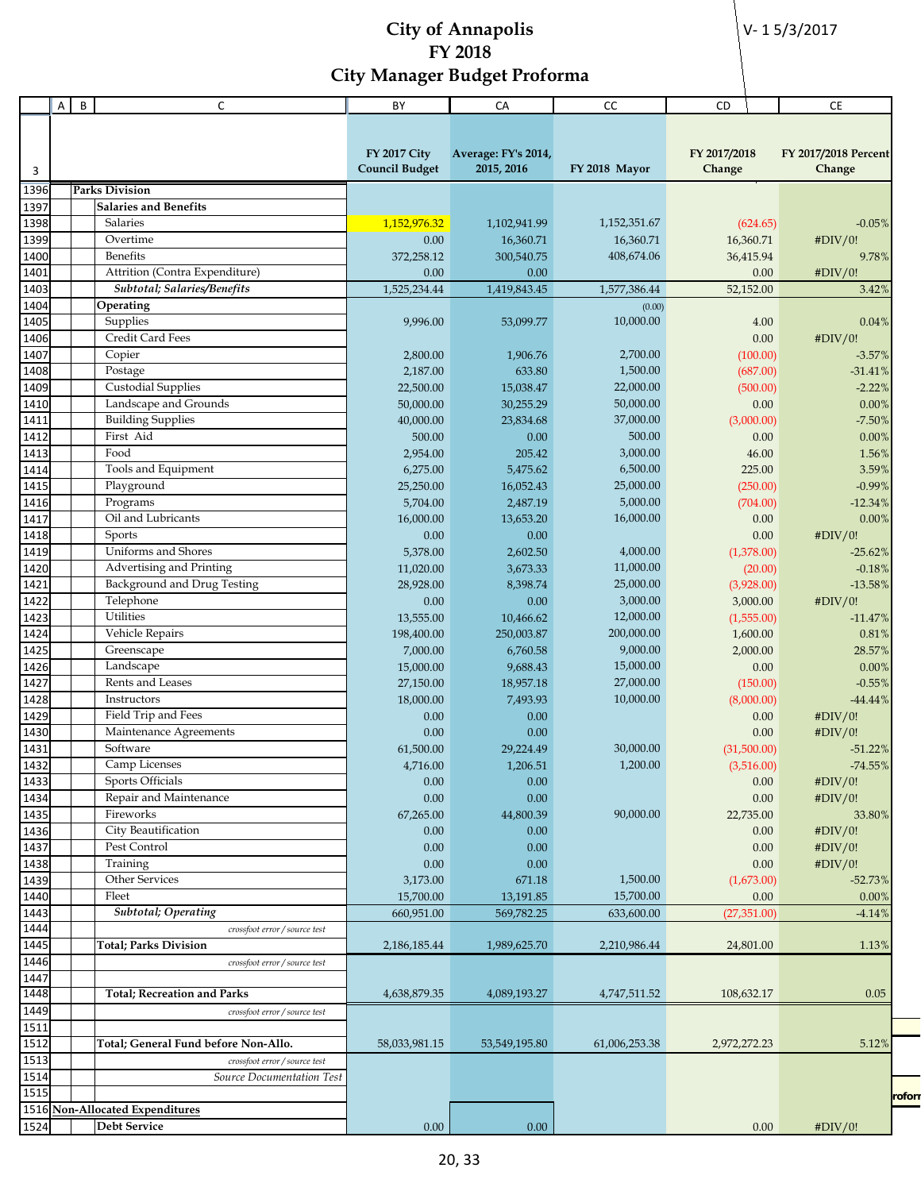V- 1 5/3/2017

|              | Α | B | C                                    | BY                     | CA                     | CC                    | CD                   | <b>CE</b>            |
|--------------|---|---|--------------------------------------|------------------------|------------------------|-----------------------|----------------------|----------------------|
|              |   |   |                                      |                        |                        |                       |                      |                      |
|              |   |   |                                      |                        |                        |                       |                      |                      |
|              |   |   |                                      | <b>FY 2017 City</b>    | Average: FY's 2014,    |                       | FY 2017/2018         | FY 2017/2018 Percent |
| 3            |   |   |                                      | <b>Council Budget</b>  | 2015, 2016             | FY 2018 Mayor         | Change               | Change               |
| 1396         |   |   | <b>Parks Division</b>                |                        |                        |                       |                      |                      |
| 1397         |   |   | <b>Salaries and Benefits</b>         |                        |                        |                       |                      |                      |
| 1398         |   |   | Salaries                             | 1,152,976.32           | 1,102,941.99           | 1,152,351.67          | (624.65)             | $-0.05%$             |
| 1399         |   |   | Overtime                             | 0.00                   | 16,360.71              | 16,360.71             | 16,360.71            | #DIV/0!              |
| 1400         |   |   | Benefits                             | 372,258.12             | 300,540.75             | 408,674.06            | 36,415.94            | 9.78%                |
| 1401         |   |   | Attrition (Contra Expenditure)       | 0.00                   | 0.00                   |                       | 0.00                 | #DIV/0!              |
| 1403         |   |   | Subtotal; Salaries/Benefits          | 1,525,234.44           | 1,419,843.45           | 1,577,386.44          | 52,152.00            | 3.42%                |
| 1404         |   |   | Operating                            |                        |                        | (0.00)                |                      |                      |
| 1405         |   |   | Supplies                             | 9,996.00               | 53,099.77              | 10,000.00             | 4.00                 | 0.04%                |
| 1406         |   |   | Credit Card Fees                     |                        |                        |                       | 0.00                 | #DIV/0!              |
| 1407         |   |   | Copier                               | 2,800.00               | 1,906.76               | 2,700.00              | (100.00)             | $-3.57%$             |
| 1408         |   |   | Postage                              | 2,187.00               | 633.80                 | 1,500.00              | (687.00)             | $-31.41%$            |
| 1409         |   |   | <b>Custodial Supplies</b>            | 22,500.00              | 15,038.47              | 22,000.00             | (500.00)             | $-2.22%$             |
| 1410         |   |   | Landscape and Grounds                | 50,000.00              | 30,255.29              | 50,000.00             | 0.00                 | $0.00\%$             |
| 1411         |   |   | <b>Building Supplies</b>             | 40,000.00              | 23,834.68              | 37,000.00             | (3,000.00)           | $-7.50%$             |
| 1412         |   |   | First Aid                            | 500.00                 | 0.00                   | 500.00                | 0.00                 | 0.00%                |
| 1413         |   |   | Food                                 | 2,954.00               | 205.42                 | 3,000.00              | 46.00                | 1.56%                |
| 1414         |   |   | Tools and Equipment                  | 6,275.00               | 5,475.62               | 6,500.00              | 225.00               | 3.59%                |
| 1415         |   |   | Playground                           | 25,250.00              | 16,052.43              | 25,000.00             | (250.00)             | $-0.99%$             |
| 1416         |   |   | Programs                             | 5,704.00               | 2,487.19               | 5,000.00              | (704.00)             | $-12.34%$            |
| 1417         |   |   | Oil and Lubricants                   | 16,000.00              | 13,653.20              | 16,000.00             | 0.00                 | 0.00%                |
| 1418         |   |   | Sports                               | 0.00                   | 0.00                   |                       | 0.00                 | #DIV/0!              |
| 1419         |   |   | Uniforms and Shores                  | 5,378.00               | 2,602.50               | 4,000.00              | (1,378.00)           | $-25.62\%$           |
| 1420         |   |   | Advertising and Printing             | 11,020.00              | 3,673.33               | 11,000.00             | (20.00)              | $-0.18%$             |
| 1421         |   |   | Background and Drug Testing          | 28,928.00              | 8,398.74               | 25,000.00             | (3,928.00)           | $-13.58%$            |
| 1422         |   |   | Telephone<br>Utilities               | 0.00                   | 0.00                   | 3,000.00<br>12,000.00 | 3,000.00             | #DIV/0!              |
| 1423<br>1424 |   |   | Vehicle Repairs                      | 13,555.00              | 10,466.62              | 200,000.00            | (1,555.00)           | $-11.47%$            |
| 1425         |   |   | Greenscape                           | 198,400.00<br>7,000.00 | 250,003.87<br>6,760.58 | 9,000.00              | 1,600.00<br>2,000.00 | 0.81%<br>28.57%      |
| 1426         |   |   | Landscape                            | 15,000.00              | 9,688.43               | 15,000.00             | 0.00                 | 0.00%                |
| 1427         |   |   | Rents and Leases                     | 27,150.00              | 18,957.18              | 27,000.00             | (150.00)             | $-0.55%$             |
| 1428         |   |   | Instructors                          | 18,000.00              | 7,493.93               | 10,000.00             | (8,000.00)           | $-44.44%$            |
| 1429         |   |   | Field Trip and Fees                  | 0.00                   | 0.00                   |                       | 0.00                 | #DIV/0!              |
| 1430         |   |   | Maintenance Agreements               | 0.00                   | 0.00                   |                       | 0.00                 | #DIV/0!              |
| 1431         |   |   | Software                             | 61,500.00              | 29,224.49              | 30,000.00             | (31,500.00)          | $-51.22%$            |
| 1432         |   |   | Camp Licenses                        | 4,716.00               | 1,206.51               | 1,200.00              | (3,516.00)           | $-74.55%$            |
| 1433         |   |   | Sports Officials                     | 0.00                   | 0.00                   |                       | 0.00                 | #DIV/0!              |
| 1434         |   |   | Repair and Maintenance               | 0.00                   | 0.00                   |                       | 0.00                 | #DIV/0!              |
| 1435         |   |   | Fireworks                            | 67,265.00              | 44,800.39              | 90,000.00             | 22,735.00            | 33.80%               |
| 1436         |   |   | City Beautification                  | 0.00                   | 0.00                   |                       | 0.00                 | #DIV/0!              |
| 1437         |   |   | Pest Control                         | 0.00                   | 0.00                   |                       | 0.00                 | #DIV/0!              |
| 1438         |   |   | Training                             | 0.00                   | 0.00                   |                       | 0.00                 | #DIV/0!              |
| 1439         |   |   | Other Services                       | 3,173.00               | 671.18                 | 1,500.00              | (1,673.00)           | $-52.73%$            |
| 1440         |   |   | Fleet                                | 15,700.00              | 13,191.85              | 15,700.00             | 0.00                 | 0.00%                |
| 1443         |   |   | <b>Subtotal</b> ; Operating          | 660,951.00             | 569,782.25             | 633,600.00            | (27, 351.00)         | $-4.14%$             |
| 1444         |   |   | crossfoot error / source test        |                        |                        |                       |                      |                      |
| 1445         |   |   | <b>Total; Parks Division</b>         | 2,186,185.44           | 1,989,625.70           | 2,210,986.44          | 24,801.00            | 1.13%                |
| 1446         |   |   | crossfoot error / source test        |                        |                        |                       |                      |                      |
| 1447         |   |   |                                      |                        |                        |                       |                      |                      |
| 1448         |   |   | <b>Total; Recreation and Parks</b>   | 4,638,879.35           | 4,089,193.27           | 4,747,511.52          | 108,632.17           | 0.05                 |
| 1449         |   |   | crossfoot error / source test        |                        |                        |                       |                      |                      |
| 1511         |   |   |                                      |                        |                        |                       |                      |                      |
| 1512         |   |   | Total; General Fund before Non-Allo. | 58,033,981.15          | 53,549,195.80          | 61,006,253.38         | 2,972,272.23         | 5.12%                |
| 1513         |   |   | crossfoot error / source test        |                        |                        |                       |                      |                      |
| 1514         |   |   | Source Documentation Test            |                        |                        |                       |                      |                      |
| 1515         |   |   |                                      |                        |                        |                       |                      | rofor                |
|              |   |   | 1516 Non-Allocated Expenditures      |                        |                        |                       |                      |                      |
| 1524         |   |   | Debt Service                         | 0.00                   | 0.00                   |                       | 0.00                 | #DIV/0!              |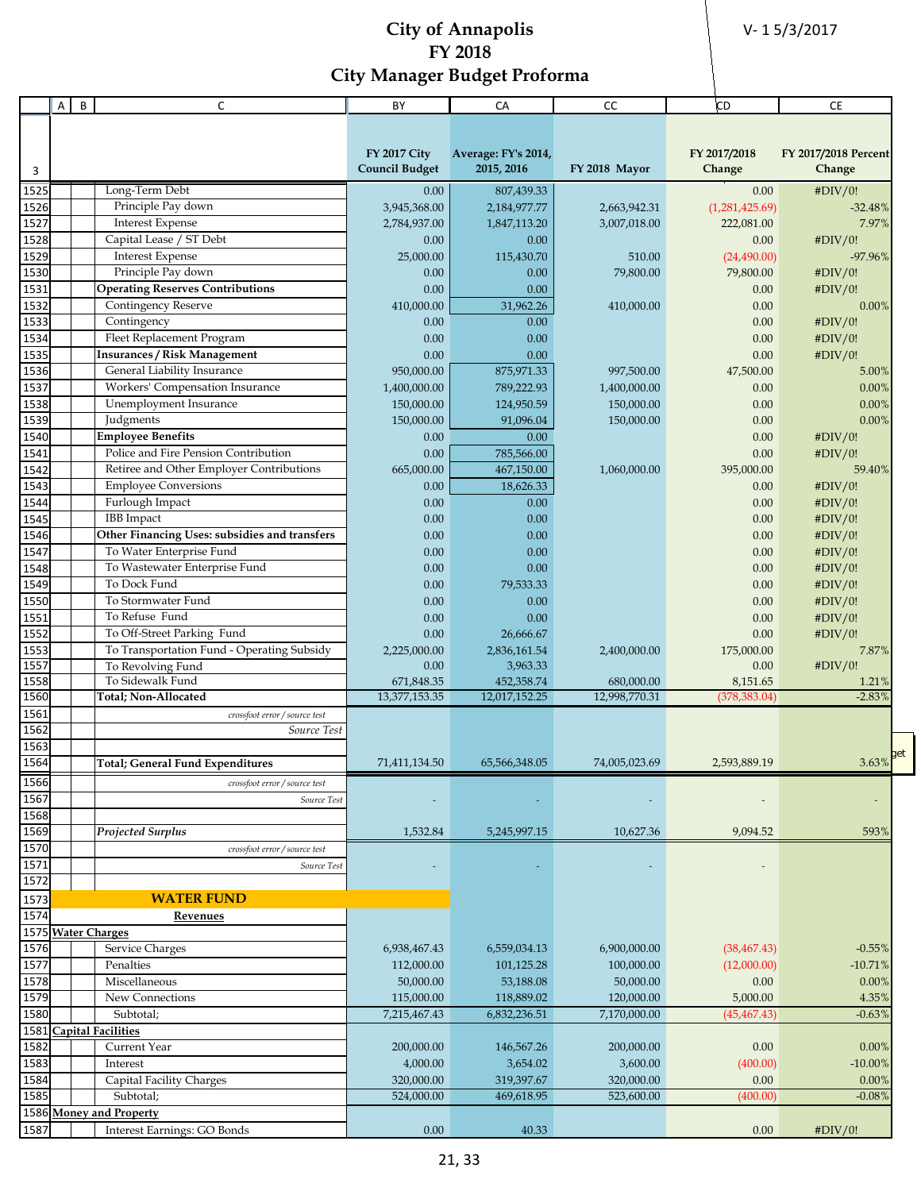V- 1 5/3/2017

|      | A | B | C                                                                | BY                         | CA                  | CC            | <b>CD</b>      | CE                   |
|------|---|---|------------------------------------------------------------------|----------------------------|---------------------|---------------|----------------|----------------------|
|      |   |   |                                                                  |                            |                     |               |                |                      |
|      |   |   |                                                                  |                            |                     |               |                |                      |
|      |   |   |                                                                  | <b>FY 2017 City</b>        | Average: FY's 2014, |               | FY 2017/2018   | FY 2017/2018 Percent |
| 3    |   |   |                                                                  | <b>Council Budget</b>      | 2015, 2016          | FY 2018 Mayor | Change         | Change               |
| 1525 |   |   | Long-Term Debt                                                   | 0.00                       | 807,439.33          |               | 0.00           | #DIV/0!              |
| 1526 |   |   | Principle Pay down                                               | 3,945,368.00               | 2,184,977.77        | 2,663,942.31  | (1,281,425.69) | $-32.48%$            |
| 1527 |   |   | <b>Interest Expense</b>                                          | 2,784,937.00               | 1,847,113.20        | 3,007,018.00  | 222,081.00     | 7.97%                |
| 1528 |   |   | Capital Lease / ST Debt                                          | 0.00                       | 0.00                |               | 0.00           | #DIV/0!              |
| 1529 |   |   | <b>Interest Expense</b>                                          | 25,000.00                  | 115,430.70          | 510.00        | (24,490.00)    | $-97.96%$            |
| 1530 |   |   | Principle Pay down                                               | 0.00                       | 0.00                | 79,800.00     | 79,800.00      | #DIV/0!              |
| 1531 |   |   | <b>Operating Reserves Contributions</b>                          | 0.00                       | 0.00                |               | 0.00           | #DIV/0!              |
| 1532 |   |   | Contingency Reserve                                              | 410,000.00                 | 31,962.26           | 410,000.00    | 0.00           | $0.00\%$             |
| 1533 |   |   | Contingency                                                      | 0.00                       | 0.00                |               | 0.00           | #DIV/0!              |
| 1534 |   |   | Fleet Replacement Program                                        | 0.00                       | 0.00                |               | 0.00           | #DIV/0!              |
| 1535 |   |   | <b>Insurances / Risk Management</b>                              | 0.00                       | 0.00                |               | 0.00           |                      |
|      |   |   |                                                                  |                            |                     |               |                | #DIV/0!              |
| 1536 |   |   | General Liability Insurance                                      | 950,000.00                 | 875,971.33          | 997,500.00    | 47,500.00      | 5.00%                |
| 1537 |   |   | Workers' Compensation Insurance                                  | 1,400,000.00<br>150,000.00 | 789,222.93          | 1,400,000.00  | 0.00           | 0.00%                |
| 1538 |   |   | Unemployment Insurance                                           |                            | 124,950.59          | 150,000.00    | 0.00           | 0.00%                |
| 1539 |   |   | Judgments                                                        | 150,000.00                 | 91,096.04           | 150,000.00    | 0.00           | 0.00%                |
| 1540 |   |   | <b>Employee Benefits</b><br>Police and Fire Pension Contribution | 0.00                       | 0.00                |               | 0.00           | #DIV/0!              |
| 1541 |   |   |                                                                  | 0.00                       | 785,566.00          |               | 0.00           | #DIV/0!              |
| 1542 |   |   | Retiree and Other Employer Contributions                         | 665,000.00                 | 467,150.00          | 1,060,000.00  | 395,000.00     | 59.40%               |
| 1543 |   |   | <b>Employee Conversions</b>                                      | 0.00                       | 18,626.33           |               | 0.00           | #DIV/0!              |
| 1544 |   |   | Furlough Impact                                                  | 0.00                       | 0.00                |               | 0.00           | #DIV/0!              |
| 1545 |   |   | <b>IBB</b> Impact                                                | 0.00                       | 0.00                |               | 0.00           | #DIV/0!              |
| 1546 |   |   | Other Financing Uses: subsidies and transfers                    | 0.00                       | 0.00                |               | 0.00           | #DIV/0!              |
| 1547 |   |   | To Water Enterprise Fund                                         | 0.00                       | 0.00                |               | 0.00           | #DIV/0!              |
| 1548 |   |   | To Wastewater Enterprise Fund                                    | 0.00                       | 0.00                |               | 0.00           | #DIV/0!              |
| 1549 |   |   | To Dock Fund                                                     | 0.00                       | 79,533.33           |               | 0.00           | #DIV/0!              |
| 1550 |   |   | To Stormwater Fund                                               | 0.00                       | 0.00                |               | 0.00           | #DIV/0!              |
| 1551 |   |   | To Refuse Fund                                                   | 0.00                       | 0.00                |               | 0.00           | #DIV/0!              |
| 1552 |   |   | To Off-Street Parking Fund                                       | 0.00                       | 26,666.67           |               | 0.00           | #DIV/0!              |
| 1553 |   |   | To Transportation Fund - Operating Subsidy                       | 2,225,000.00               | 2,836,161.54        | 2,400,000.00  | 175,000.00     | 7.87%                |
| 1557 |   |   | To Revolving Fund                                                | 0.00                       | 3,963.33            |               | 0.00           | #DIV/0!              |
| 1558 |   |   | To Sidewalk Fund                                                 | 671,848.35                 | 452,358.74          | 680,000.00    | 8,151.65       | 1.21%                |
| 1560 |   |   | Total; Non-Allocated                                             | 13,377,153.35              | 12,017,152.25       | 12,998,770.31 | (378,383.04)   | $-2.83%$             |
| 1561 |   |   | crossfoot error / source test                                    |                            |                     |               |                |                      |
| 1562 |   |   | Source Test                                                      |                            |                     |               |                |                      |
| 1563 |   |   |                                                                  |                            |                     |               |                | get                  |
| 1564 |   |   | <b>Total</b> ; General Fund Expenditures                         | 71,411,134.50              | 65,566,348.05       | 74,005,023.69 | 2,593,889.19   | 3.63%                |
| 1566 |   |   | crossfoot error / source test                                    |                            |                     |               |                |                      |
| 1567 |   |   | Source Test                                                      |                            |                     |               |                |                      |
| 1568 |   |   |                                                                  |                            |                     |               |                |                      |
| 1569 |   |   | Projected Surplus                                                | 1,532.84                   | 5,245,997.15        | 10,627.36     | 9,094.52       | 593%                 |
| 1570 |   |   | crossfoot error / source test                                    |                            |                     |               |                |                      |
| 1571 |   |   | Source Test                                                      |                            |                     |               |                |                      |
| 1572 |   |   |                                                                  |                            |                     |               |                |                      |
| 1573 |   |   | <b>WATER FUND</b>                                                |                            |                     |               |                |                      |
| 1574 |   |   | <b>Revenues</b>                                                  |                            |                     |               |                |                      |
|      |   |   | 1575 Water Charges                                               |                            |                     |               |                |                      |
| 1576 |   |   | Service Charges                                                  | 6,938,467.43               | 6,559,034.13        | 6,900,000.00  | (38, 467.43)   | $-0.55%$             |
| 1577 |   |   | Penalties                                                        | 112,000.00                 | 101,125.28          | 100,000.00    | (12,000.00)    | $-10.71%$            |
| 1578 |   |   | Miscellaneous                                                    | 50,000.00                  | 53,188.08           | 50,000.00     | 0.00           | 0.00%                |
| 1579 |   |   | New Connections                                                  | 115,000.00                 | 118,889.02          | 120,000.00    | 5,000.00       | 4.35%                |
| 1580 |   |   | Subtotal;                                                        | 7,215,467.43               | 6,832,236.51        | 7,170,000.00  | (45, 467.43)   | $-0.63%$             |
| 1581 |   |   | <b>Capital Facilities</b>                                        |                            |                     |               |                |                      |
| 1582 |   |   | Current Year                                                     | 200,000.00                 | 146,567.26          | 200,000.00    | 0.00           | 0.00%                |
| 1583 |   |   | Interest                                                         | 4,000.00                   | 3,654.02            | 3,600.00      | (400.00)       | $-10.00\%$           |
| 1584 |   |   | Capital Facility Charges                                         | 320,000.00                 | 319,397.67          | 320,000.00    | 0.00           | 0.00%                |
| 1585 |   |   | Subtotal;                                                        | 524,000.00                 | 469,618.95          | 523,600.00    | (400.00)       | $-0.08%$             |
|      |   |   | 1586 Money and Property                                          |                            |                     |               |                |                      |
| 1587 |   |   | Interest Earnings: GO Bonds                                      | 0.00                       | 40.33               |               | 0.00           | #DIV/0!              |
|      |   |   |                                                                  |                            |                     |               |                |                      |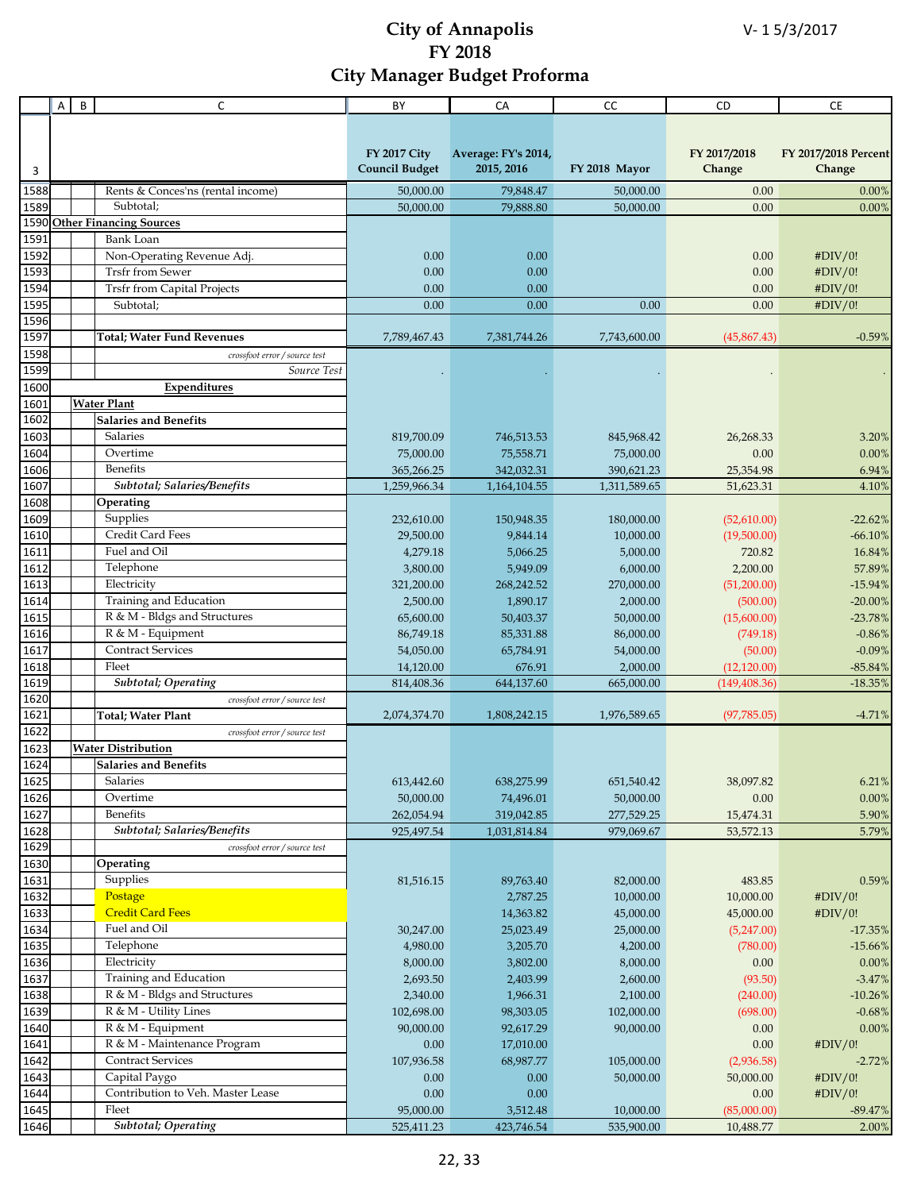|      | Α | B | C                                  | BY                    | CA                  | CC            | CD            | <b>CE</b>            |
|------|---|---|------------------------------------|-----------------------|---------------------|---------------|---------------|----------------------|
|      |   |   |                                    |                       |                     |               |               |                      |
|      |   |   |                                    |                       |                     |               |               |                      |
|      |   |   |                                    | <b>FY 2017 City</b>   | Average: FY's 2014, |               | FY 2017/2018  | FY 2017/2018 Percent |
| 3    |   |   |                                    | <b>Council Budget</b> | 2015, 2016          | FY 2018 Mayor | Change        | Change               |
| 1588 |   |   | Rents & Conces'ns (rental income)  | 50,000.00             | 79,848.47           | 50,000.00     | 0.00          | 0.00%                |
| 1589 |   |   | Subtotal;                          | 50,000.00             | 79,888.80           | 50,000.00     | 0.00          | 0.00%                |
| 1590 |   |   | <b>Other Financing Sources</b>     |                       |                     |               |               |                      |
| 1591 |   |   | <b>Bank Loan</b>                   |                       |                     |               |               |                      |
| 1592 |   |   | Non-Operating Revenue Adj.         | 0.00                  | 0.00                |               | 0.00          | #DIV/0!              |
| 1593 |   |   | <b>Trsfr from Sewer</b>            | 0.00                  | 0.00                |               | 0.00          | #DIV/0!              |
| 1594 |   |   | <b>Trsfr from Capital Projects</b> | 0.00                  | 0.00                |               | 0.00          | #DIV/0!              |
| 1595 |   |   | Subtotal;                          | 0.00                  | 0.00                | 0.00          | 0.00          | #DIV/0!              |
| 1596 |   |   |                                    |                       |                     |               |               |                      |
| 1597 |   |   | <b>Total; Water Fund Revenues</b>  | 7,789,467.43          | 7,381,744.26        | 7,743,600.00  | (45,867.43)   | $-0.59%$             |
| 1598 |   |   | crossfoot error / source test      |                       |                     |               |               |                      |
| 1599 |   |   | Source Test                        |                       |                     |               |               |                      |
| 1600 |   |   | Expenditures                       |                       |                     |               |               |                      |
| 1601 |   |   | <b>Water Plant</b>                 |                       |                     |               |               |                      |
| 1602 |   |   | <b>Salaries and Benefits</b>       |                       |                     |               |               |                      |
| 1603 |   |   | Salaries                           | 819,700.09            | 746,513.53          | 845,968.42    | 26,268.33     | 3.20%                |
| 1604 |   |   | Overtime                           | 75,000.00             | 75,558.71           | 75,000.00     | 0.00          | 0.00%                |
| 1606 |   |   | Benefits                           | 365,266.25            | 342,032.31          | 390,621.23    | 25,354.98     | 6.94%                |
| 1607 |   |   | Subtotal; Salaries/Benefits        | 1,259,966.34          | 1,164,104.55        | 1,311,589.65  | 51,623.31     | 4.10%                |
| 1608 |   |   | Operating                          |                       |                     |               |               |                      |
| 1609 |   |   | Supplies                           | 232,610.00            | 150,948.35          | 180,000.00    | (52,610.00)   | $-22.62%$            |
| 1610 |   |   | Credit Card Fees                   | 29,500.00             | 9,844.14            | 10,000.00     | (19,500.00)   | $-66.10\%$           |
| 1611 |   |   | Fuel and Oil                       | 4,279.18              | 5,066.25            | 5,000.00      | 720.82        | 16.84%               |
| 1612 |   |   | Telephone                          | 3,800.00              | 5,949.09            | 6,000.00      | 2,200.00      | 57.89%               |
| 1613 |   |   | Electricity                        | 321,200.00            | 268,242.52          | 270,000.00    | (51,200.00)   | $-15.94%$            |
| 1614 |   |   | Training and Education             | 2,500.00              | 1,890.17            | 2,000.00      | (500.00)      | $-20.00%$            |
| 1615 |   |   | R & M - Bldgs and Structures       | 65,600.00             | 50,403.37           | 50,000.00     | (15,600.00)   | $-23.78%$            |
| 1616 |   |   | R & M - Equipment                  | 86,749.18             | 85,331.88           | 86,000.00     | (749.18)      | $-0.86%$             |
| 1617 |   |   | <b>Contract Services</b>           | 54,050.00             | 65,784.91           | 54,000.00     | (50.00)       | $-0.09%$             |
| 1618 |   |   | Fleet                              | 14,120.00             | 676.91              | 2,000.00      | (12, 120.00)  | $-85.84%$            |
| 1619 |   |   | <b>Subtotal</b> ; Operating        | 814,408.36            | 644,137.60          | 665,000.00    | (149, 408.36) | $-18.35%$            |
| 1620 |   |   | crossfoot error / source test      |                       |                     |               |               |                      |
| 1621 |   |   | <b>Total; Water Plant</b>          | 2,074,374.70          | 1,808,242.15        | 1,976,589.65  | (97, 785.05)  | $-4.71%$             |
| 1622 |   |   | crossfoot error / source test      |                       |                     |               |               |                      |
| 1623 |   |   | <b>Water Distribution</b>          |                       |                     |               |               |                      |
| 1624 |   |   | <b>Salaries and Benefits</b>       |                       |                     |               |               |                      |
| 1625 |   |   | Salaries                           | 613,442.60            | 638,275.99          | 651,540.42    | 38,097.82     | $6.21\%$             |
| 1626 |   |   | Overtime                           | 50,000.00             | 74,496.01           | 50,000.00     | 0.00          | $0.00\%$             |
| 1627 |   |   | <b>Benefits</b>                    | 262,054.94            | 319,042.85          | 277,529.25    | 15,474.31     | 5.90%                |
| 1628 |   |   | Subtotal; Salaries/Benefits        | 925,497.54            | 1,031,814.84        | 979,069.67    | 53,572.13     | 5.79%                |
| 1629 |   |   | crossfoot error / source test      |                       |                     |               |               |                      |
| 1630 |   |   | Operating                          |                       |                     |               |               |                      |
| 1631 |   |   | Supplies                           | 81,516.15             | 89,763.40           | 82,000.00     | 483.85        | 0.59%                |
| 1632 |   |   | Postage                            |                       | 2,787.25            | 10,000.00     | 10,000.00     | #DIV/0!              |
| 1633 |   |   | <b>Credit Card Fees</b>            |                       | 14,363.82           | 45,000.00     | 45,000.00     | #DIV/0!              |
| 1634 |   |   | Fuel and Oil                       | 30,247.00             | 25,023.49           | 25,000.00     | (5,247.00)    | $-17.35%$            |
| 1635 |   |   | Telephone                          | 4,980.00              | 3,205.70            | 4,200.00      | (780.00)      | $-15.66%$            |
| 1636 |   |   | Electricity                        | 8,000.00              | 3,802.00            | 8,000.00      | 0.00          | 0.00%                |
| 1637 |   |   | Training and Education             | 2,693.50              | 2,403.99            | 2,600.00      | (93.50)       | $-3.47%$             |
| 1638 |   |   | R & M - Bldgs and Structures       | 2,340.00              | 1,966.31            | 2,100.00      | (240.00)      | $-10.26%$            |
| 1639 |   |   | R & M - Utility Lines              | 102,698.00            | 98,303.05           | 102,000.00    | (698.00)      | $-0.68%$             |
| 1640 |   |   | R & M - Equipment                  | 90,000.00             | 92,617.29           | 90,000.00     | 0.00          | 0.00%                |
| 1641 |   |   | R & M - Maintenance Program        | $0.00\,$              | 17,010.00           |               | 0.00          | #DIV/0!              |
| 1642 |   |   | <b>Contract Services</b>           | 107,936.58            | 68,987.77           | 105,000.00    | (2,936.58)    | $-2.72%$             |
| 1643 |   |   | Capital Paygo                      | 0.00                  | 0.00                | 50,000.00     | 50,000.00     | #DIV/0!              |
| 1644 |   |   | Contribution to Veh. Master Lease  | 0.00                  | 0.00                |               | 0.00          | #DIV/0!              |
| 1645 |   |   | Fleet                              | 95,000.00             | 3,512.48            | 10,000.00     | (85,000.00)   | $-89.47%$            |
| 1646 |   |   | Subtotal; Operating                |                       |                     |               |               |                      |
|      |   |   |                                    | 525,411.23            | 423,746.54          | 535,900.00    | 10,488.77     | 2.00%                |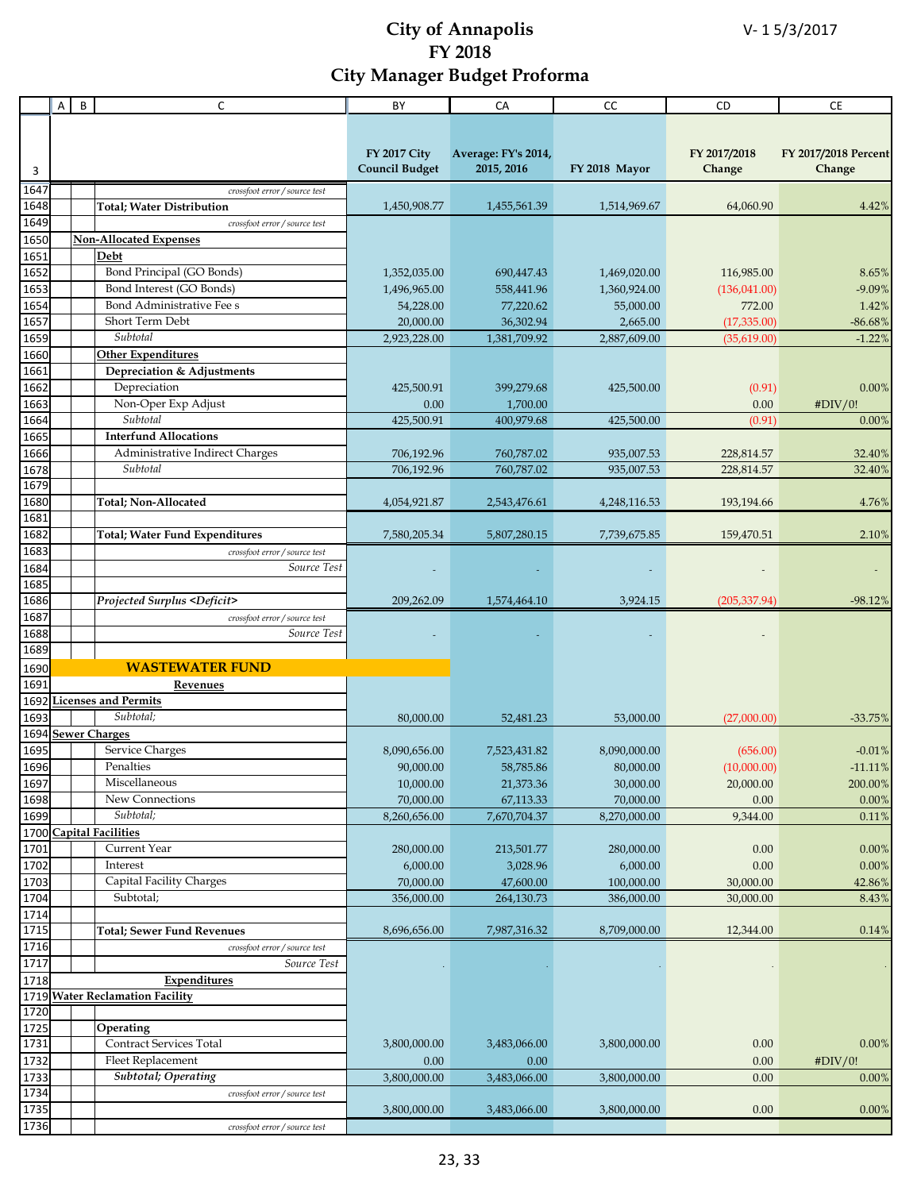|              | Α | B | C                                     | BY                                           | CA                                | CC            | CD                     | CE                             |
|--------------|---|---|---------------------------------------|----------------------------------------------|-----------------------------------|---------------|------------------------|--------------------------------|
|              |   |   |                                       |                                              |                                   |               |                        |                                |
|              |   |   |                                       |                                              |                                   |               |                        |                                |
| 3            |   |   |                                       | <b>FY 2017 City</b><br><b>Council Budget</b> | Average: FY's 2014,<br>2015, 2016 | FY 2018 Mayor | FY 2017/2018<br>Change | FY 2017/2018 Percent<br>Change |
| 1647         |   |   | crossfoot error / source test         |                                              |                                   |               |                        |                                |
| 1648         |   |   | <b>Total; Water Distribution</b>      | 1,450,908.77                                 | 1,455,561.39                      | 1,514,969.67  | 64,060.90              | 4.42%                          |
| 1649         |   |   | crossfoot error / source test         |                                              |                                   |               |                        |                                |
| 1650         |   |   | <b>Non-Allocated Expenses</b>         |                                              |                                   |               |                        |                                |
| 1651         |   |   | Debt                                  |                                              |                                   |               |                        |                                |
| 1652         |   |   | Bond Principal (GO Bonds)             | 1,352,035.00                                 | 690,447.43                        | 1,469,020.00  | 116,985.00             | 8.65%                          |
| 1653         |   |   | Bond Interest (GO Bonds)              | 1,496,965.00                                 | 558,441.96                        | 1,360,924.00  | (136, 041.00)          | $-9.09%$                       |
| 1654         |   |   | Bond Administrative Fee s             | 54,228.00                                    | 77,220.62                         | 55,000.00     | 772.00                 | 1.42%                          |
| 1657         |   |   | Short Term Debt                       | 20,000.00                                    | 36,302.94                         | 2,665.00      | (17,335.00)            | $-86.68%$                      |
| 1659         |   |   | Subtotal                              | 2,923,228.00                                 | 1,381,709.92                      | 2,887,609.00  | (35,619.00)            | $-1.22%$                       |
| 1660         |   |   | <b>Other Expenditures</b>             |                                              |                                   |               |                        |                                |
| 1661         |   |   | Depreciation & Adjustments            |                                              |                                   |               |                        |                                |
| 1662         |   |   | Depreciation                          | 425,500.91                                   | 399,279.68                        | 425,500.00    | (0.91)                 | 0.00%                          |
| 1663         |   |   | Non-Oper Exp Adjust                   | 0.00                                         | 1,700.00                          |               | 0.00                   | #DIV/0!                        |
| 1664         |   |   | Subtotal                              | 425,500.91                                   | 400,979.68                        | 425,500.00    | (0.91)                 | 0.00%                          |
| 1665         |   |   | <b>Interfund Allocations</b>          |                                              |                                   |               |                        |                                |
| 1666         |   |   | Administrative Indirect Charges       | 706,192.96                                   | 760,787.02                        | 935,007.53    | 228,814.57             | 32.40%                         |
| 1678         |   |   | Subtotal                              | 706,192.96                                   | 760,787.02                        | 935,007.53    | 228,814.57             | 32.40%                         |
| 1679         |   |   |                                       |                                              |                                   |               |                        |                                |
| 1680         |   |   | Total; Non-Allocated                  | 4,054,921.87                                 | 2,543,476.61                      | 4,248,116.53  | 193,194.66             | 4.76%                          |
| 1681         |   |   |                                       |                                              |                                   |               |                        |                                |
| 1682         |   |   | <b>Total; Water Fund Expenditures</b> | 7,580,205.34                                 | 5,807,280.15                      | 7,739,675.85  | 159,470.51             | 2.10%                          |
| 1683         |   |   | crossfoot error / source test         |                                              |                                   |               |                        |                                |
| 1684         |   |   | Source Test                           |                                              |                                   |               |                        |                                |
| 1685         |   |   |                                       |                                              |                                   |               |                        |                                |
| 1686         |   |   | Projected Surplus <deficit></deficit> | 209,262.09                                   | 1,574,464.10                      | 3,924.15      | (205, 337.94)          | $-98.12%$                      |
| 1687         |   |   | crossfoot error / source test         |                                              |                                   |               |                        |                                |
| 1688         |   |   | Source Test                           |                                              |                                   |               |                        |                                |
| 1689         |   |   |                                       |                                              |                                   |               |                        |                                |
| 1690         |   |   | <b>WASTEWATER FUND</b>                |                                              |                                   |               |                        |                                |
| 1691         |   |   | Revenues                              |                                              |                                   |               |                        |                                |
| 1692         |   |   | <b>Licenses and Permits</b>           |                                              |                                   |               |                        |                                |
| 1693         |   |   | Subtotal;                             | 80,000.00                                    | 52,481.23                         | 53,000.00     | (27,000.00)            | $-33.75%$                      |
|              |   |   | 1694 Sewer Charges                    |                                              |                                   |               |                        |                                |
| 1695         |   |   | Service Charges                       | 8,090,656.00                                 | 7,523,431.82                      | 8,090,000.00  | (656.00)               | $-0.01%$                       |
| 1696<br>1697 |   |   | Penalties                             | 90,000.00                                    | 58,785.86                         | 80,000.00     | (10,000.00)            | $-11.11%$                      |
|              |   |   | Miscellaneous                         | 10,000.00                                    | 21,373.36                         | 30,000.00     | 20,000.00              | 200.00%                        |
| 1698         |   |   | New Connections                       | 70,000.00                                    | 67,113.33                         | 70,000.00     | 0.00                   | 0.00%                          |
| 1699         |   |   | Subtotal;                             | 8,260,656.00                                 | 7,670,704.37                      | 8,270,000.00  | 9,344.00               | 0.11%                          |
|              |   |   | 1700 Capital Facilities               |                                              |                                   |               |                        |                                |
| 1701         |   |   | Current Year                          | 280,000.00                                   | 213,501.77                        | 280,000.00    | 0.00                   | 0.00%                          |
| 1702         |   |   | Interest                              | 6,000.00                                     | 3,028.96                          | 6,000.00      | 0.00                   | $0.00\%$                       |
| 1703         |   |   | Capital Facility Charges              | 70,000.00                                    | 47,600.00                         | 100,000.00    | 30,000.00              | 42.86%                         |
| 1704         |   |   | Subtotal;                             | 356,000.00                                   | 264,130.73                        | 386,000.00    | 30,000.00              | 8.43%                          |
| 1714<br>1715 |   |   |                                       |                                              |                                   |               |                        |                                |
|              |   |   | <b>Total</b> ; Sewer Fund Revenues    | 8,696,656.00                                 | 7,987,316.32                      | 8,709,000.00  | 12,344.00              | 0.14%                          |
| 1716         |   |   | crossfoot error / source test         |                                              |                                   |               |                        |                                |
| 1717         |   |   | Source Test                           |                                              |                                   |               |                        |                                |
| 1718         |   |   | <b>Expenditures</b>                   |                                              |                                   |               |                        |                                |
|              |   |   | 1719 Water Reclamation Facility       |                                              |                                   |               |                        |                                |
| 1720         |   |   |                                       |                                              |                                   |               |                        |                                |
| 1725         |   |   | Operating                             |                                              |                                   |               |                        |                                |
| 1731         |   |   | Contract Services Total               | 3,800,000.00                                 | 3,483,066.00                      | 3,800,000.00  | 0.00                   | 0.00%                          |
| 1732         |   |   | Fleet Replacement                     | 0.00                                         | 0.00                              |               | 0.00                   | #DIV/0!                        |
| 1733         |   |   | <b>Subtotal</b> ; Operating           | 3,800,000.00                                 | 3,483,066.00                      | 3,800,000.00  | 0.00                   | 0.00%                          |
| 1734         |   |   | crossfoot error / source test         |                                              |                                   |               |                        |                                |
| 1735         |   |   |                                       | 3,800,000.00                                 | 3,483,066.00                      | 3,800,000.00  | 0.00                   | 0.00%                          |
| 1736         |   |   | crossfoot error / source test         |                                              |                                   |               |                        |                                |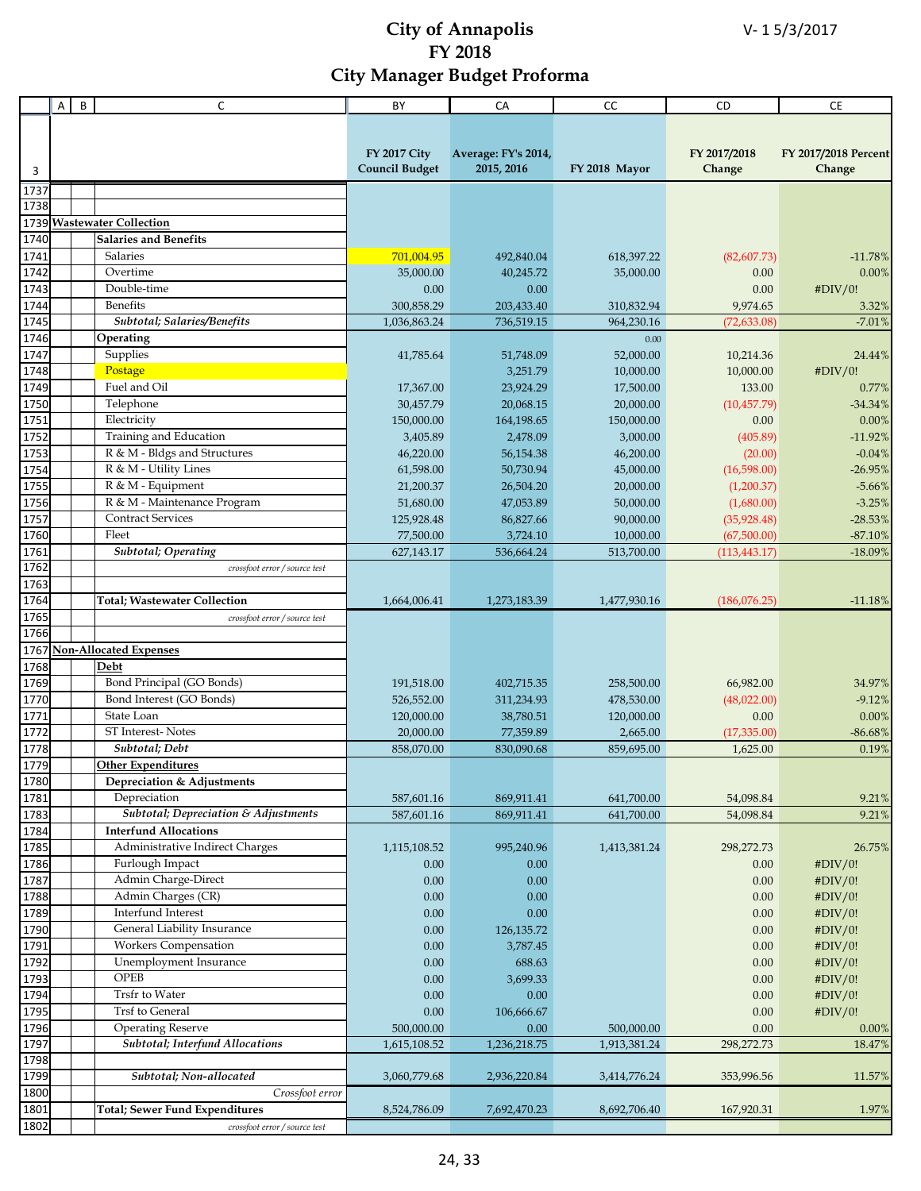|                | B<br>A | C                                       | BY                    | CA                  | cc            | CD            | CE                   |
|----------------|--------|-----------------------------------------|-----------------------|---------------------|---------------|---------------|----------------------|
|                |        |                                         |                       |                     |               |               |                      |
|                |        |                                         |                       |                     |               |               |                      |
|                |        |                                         | <b>FY 2017 City</b>   | Average: FY's 2014, |               | FY 2017/2018  | FY 2017/2018 Percent |
| 3              |        |                                         | <b>Council Budget</b> | 2015, 2016          | FY 2018 Mayor | Change        | Change               |
|                |        |                                         |                       |                     |               |               |                      |
| 1737           |        |                                         |                       |                     |               |               |                      |
| 1738           |        |                                         |                       |                     |               |               |                      |
|                |        | 1739 Wastewater Collection              |                       |                     |               |               |                      |
| 1740           |        | <b>Salaries and Benefits</b>            |                       |                     |               |               |                      |
| 1741           |        | Salaries                                | 701,004.95            | 492,840.04          | 618,397.22    | (82,607.73)   | $-11.78%$            |
| 1742           |        | Overtime                                | 35,000.00             | 40,245.72           | 35,000.00     | 0.00          | 0.00%                |
| 1743           |        | Double-time                             | 0.00                  | 0.00                |               | 0.00          | #DIV/0!              |
| 1744           |        | <b>Benefits</b>                         | 300,858.29            | 203,433.40          | 310,832.94    | 9,974.65      | 3.32%                |
| 1745           |        | Subtotal; Salaries/Benefits             | 1,036,863.24          | 736,519.15          | 964,230.16    | (72, 633.08)  | $-7.01%$             |
| 1746           |        | Operating                               |                       |                     | 0.00          |               |                      |
| 1747           |        | Supplies                                | 41,785.64             | 51,748.09           | 52,000.00     | 10,214.36     | 24.44%               |
| 1748           |        | Postage                                 |                       | 3,251.79            | 10,000.00     | 10,000.00     | #DIV/0!              |
| 1749           |        | Fuel and Oil                            | 17,367.00             | 23,924.29           | 17,500.00     | 133.00        | 0.77%                |
| 1750           |        | Telephone                               | 30,457.79             | 20,068.15           | 20,000.00     | (10, 457.79)  | $-34.34%$            |
| 1751           |        | Electricity                             | 150,000.00            | 164,198.65          | 150,000.00    | 0.00          | 0.00%                |
| 1752           |        | Training and Education                  | 3,405.89              | 2,478.09            | 3,000.00      | (405.89)      | $-11.92%$            |
| 1753           |        | R & M - Bldgs and Structures            | 46,220.00             | 56,154.38           | 46,200.00     | (20.00)       | $-0.04%$             |
| 1754           |        | R & M - Utility Lines                   | 61,598.00             | 50,730.94           | 45,000.00     | (16,598.00)   | $-26.95%$            |
| 1755           |        | R & M - Equipment                       | 21,200.37             | 26,504.20           | 20,000.00     | (1,200.37)    | $-5.66%$             |
| 1756           |        | R & M - Maintenance Program             | 51,680.00             | 47,053.89           | 50,000.00     | (1,680.00)    | $-3.25%$             |
| 1757           |        | <b>Contract Services</b>                | 125,928.48            | 86,827.66           | 90,000.00     | (35,928.48)   | $-28.53%$            |
|                |        | Fleet                                   |                       | 3,724.10            |               |               |                      |
| 1760           |        | <b>Subtotal</b> ; Operating             | 77,500.00             |                     | 10,000.00     | (67,500.00)   | $-87.10%$            |
| 1761           |        |                                         | 627,143.17            | 536,664.24          | 513,700.00    | (113, 443.17) | $-18.09%$            |
| 1762           |        | crossfoot error / source test           |                       |                     |               |               |                      |
| 1763<br>1764   |        |                                         |                       |                     |               |               |                      |
|                |        | <b>Total; Wastewater Collection</b>     | 1,664,006.41          | 1,273,183.39        | 1,477,930.16  | (186,076.25)  | $-11.18%$            |
| 1765           |        | crossfoot error / source test           |                       |                     |               |               |                      |
| 1766           |        |                                         |                       |                     |               |               |                      |
| 1767           |        | <b>Non-Allocated Expenses</b>           |                       |                     |               |               |                      |
| 1768           |        | Debt                                    |                       |                     |               |               |                      |
| 1769           |        | Bond Principal (GO Bonds)               | 191,518.00            | 402,715.35          | 258,500.00    | 66,982.00     | 34.97%               |
| 1770           |        | Bond Interest (GO Bonds)                | 526,552.00            | 311,234.93          | 478,530.00    | (48,022.00)   | $-9.12%$             |
| 1771           |        | State Loan                              | 120,000.00            | 38,780.51           | 120,000.00    | 0.00          | 0.00%                |
| 1772           |        | ST Interest-Notes                       | 20,000.00             | 77,359.89           | 2,665.00      | (17,335.00)   | $-86.68%$            |
| 1778           |        | Subtotal; Debt                          | 858,070.00            | 830,090.68          | 859,695.00    | 1,625.00      | 0.19%                |
| 1779           |        | <b>Other Expenditures</b>               |                       |                     |               |               |                      |
| $\boxed{1780}$ |        | Depreciation & Adjustments              |                       |                     |               |               |                      |
| 1781           |        | Depreciation                            | 587,601.16            | 869,911.41          | 641,700.00    | 54,098.84     | 9.21%                |
| 1783           |        | Subtotal; Depreciation & Adjustments    | 587,601.16            | 869,911.41          | 641,700.00    | 54,098.84     | 9.21%                |
| 1784           |        | <b>Interfund Allocations</b>            |                       |                     |               |               |                      |
| 1785           |        | Administrative Indirect Charges         | 1,115,108.52          | 995,240.96          | 1,413,381.24  | 298,272.73    | 26.75%               |
| 1786           |        | Furlough Impact                         | 0.00                  | 0.00                |               | 0.00          | #DIV/0!              |
| 1787           |        | Admin Charge-Direct                     | 0.00                  | 0.00                |               | 0.00          | #DIV/0!              |
| 1788           |        | Admin Charges (CR)                      | 0.00                  | 0.00                |               | 0.00          | #DIV/0!              |
| 1789           |        | Interfund Interest                      | 0.00                  | 0.00                |               | 0.00          | #DIV/0!              |
| 1790           |        | General Liability Insurance             | 0.00                  | 126, 135. 72        |               | 0.00          | #DIV/0!              |
| 1791           |        | <b>Workers Compensation</b>             | 0.00                  | 3,787.45            |               | 0.00          | #DIV/0!              |
| 1792           |        | Unemployment Insurance                  | 0.00                  | 688.63              |               | 0.00          | #DIV/0!              |
| 1793           |        | OPEB                                    | $0.00\,$              | 3,699.33            |               | 0.00          | #DIV/0!              |
| 1794           |        | Trsfr to Water                          | 0.00                  | 0.00                |               | 0.00          | #DIV/0!              |
| 1795           |        | Trsf to General                         | 0.00                  | 106,666.67          |               | 0.00          | #DIV/0!              |
| 1796           |        | <b>Operating Reserve</b>                | 500,000.00            | 0.00                | 500,000.00    | 0.00          | 0.00%                |
| 1797           |        | <b>Subtotal</b> ; Interfund Allocations | 1,615,108.52          |                     | 1,913,381.24  | 298,272.73    | 18.47%               |
| 1798           |        |                                         |                       | 1,236,218.75        |               |               |                      |
| 1799           |        | Subtotal; Non-allocated                 |                       | 2,936,220.84        |               | 353,996.56    |                      |
|                |        |                                         | 3,060,779.68          |                     | 3,414,776.24  |               | 11.57%               |
| 1800           |        | Crossfoot error                         |                       |                     |               |               |                      |
| 1801           |        | <b>Total; Sewer Fund Expenditures</b>   | 8,524,786.09          | 7,692,470.23        | 8,692,706.40  | 167,920.31    | 1.97%                |
| 1802           |        | crossfoot error / source test           |                       |                     |               |               |                      |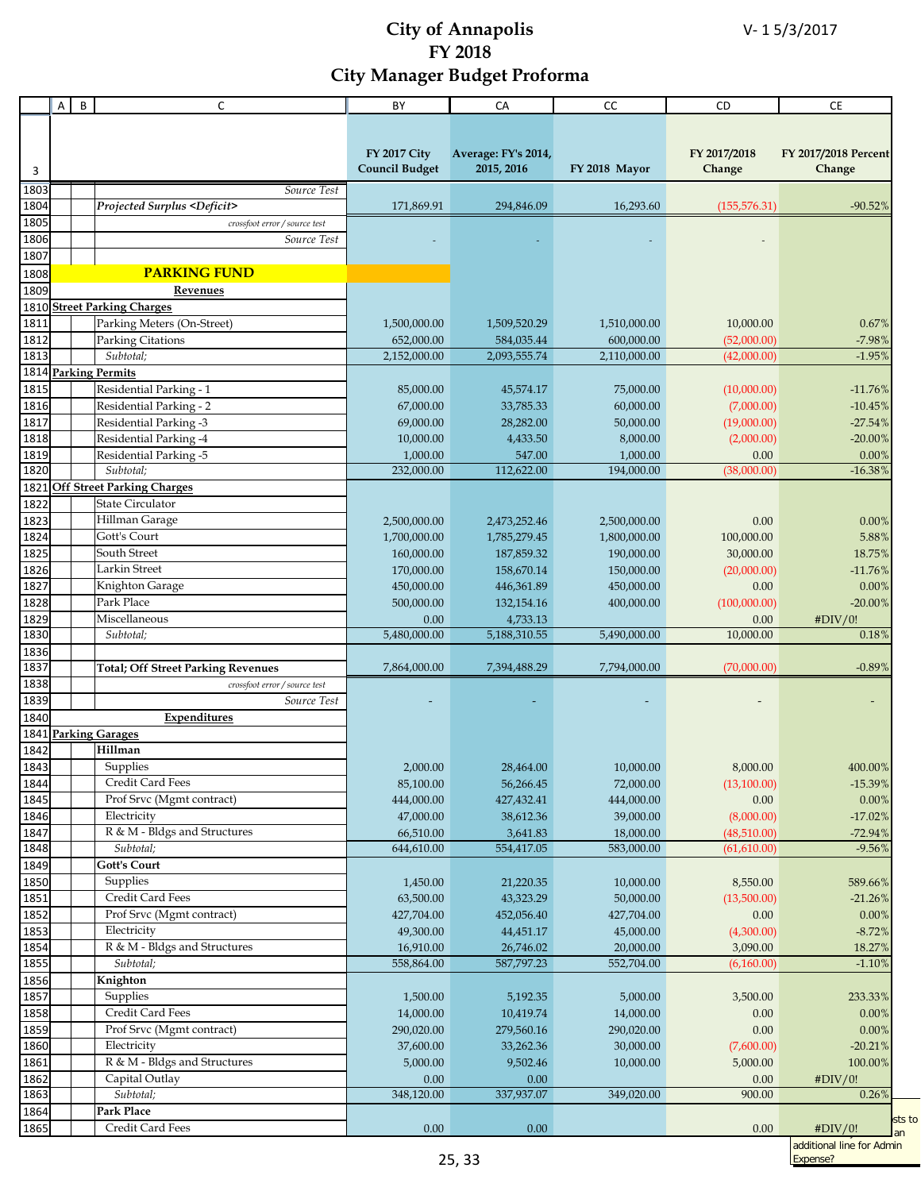|      | A | B<br>C                                       | BY                    | CA                  | cc            | CD            | <b>CE</b>                 |
|------|---|----------------------------------------------|-----------------------|---------------------|---------------|---------------|---------------------------|
|      |   |                                              |                       |                     |               |               |                           |
|      |   |                                              |                       |                     |               |               |                           |
|      |   |                                              | <b>FY 2017 City</b>   | Average: FY's 2014, |               | FY 2017/2018  | FY 2017/2018 Percent      |
| 3    |   |                                              | <b>Council Budget</b> | 2015, 2016          | FY 2018 Mayor | Change        | Change                    |
| 1803 |   | Source Test                                  |                       |                     |               |               |                           |
| 1804 |   | <b>Projected Surplus <deficit></deficit></b> | 171,869.91            | 294,846.09          | 16,293.60     | (155, 576.31) | $-90.52%$                 |
| 1805 |   | crossfoot error / source test                |                       |                     |               |               |                           |
| 1806 |   | Source Test                                  |                       |                     |               |               |                           |
| 1807 |   |                                              |                       |                     |               |               |                           |
| 1808 |   | <b>PARKING FUND</b>                          |                       |                     |               |               |                           |
| 1809 |   | Revenues                                     |                       |                     |               |               |                           |
| 1810 |   | <b>Street Parking Charges</b>                |                       |                     |               |               |                           |
| 1811 |   | Parking Meters (On-Street)                   | 1,500,000.00          | 1,509,520.29        | 1,510,000.00  | 10,000.00     | 0.67%                     |
| 1812 |   | Parking Citations                            | 652,000.00            | 584,035.44          | 600,000.00    | (52,000.00)   | $-7.98%$                  |
| 1813 |   | Subtotal;                                    | 2,152,000.00          | 2,093,555.74        | 2,110,000.00  | (42,000.00)   | $-1.95%$                  |
|      |   | 1814 Parking Permits                         |                       |                     |               |               |                           |
| 1815 |   | Residential Parking - 1                      | 85,000.00             | 45,574.17           | 75,000.00     | (10,000.00)   | $-11.76%$                 |
| 1816 |   | Residential Parking - 2                      | 67,000.00             | 33,785.33           | 60,000.00     | (7,000.00)    | $-10.45%$                 |
| 1817 |   | Residential Parking -3                       | 69,000.00             | 28,282.00           | 50,000.00     | (19,000.00)   | $-27.54%$                 |
| 1818 |   | Residential Parking -4                       | 10,000.00             | 4,433.50            | 8,000.00      | (2,000.00)    | $-20.00%$                 |
| 1819 |   | Residential Parking -5                       | 1,000.00              | 547.00              | 1,000.00      | 0.00          | 0.00%                     |
| 1820 |   | Subtotal;                                    | 232,000.00            | 112,622.00          | 194,000.00    | (38,000.00)   | $-16.38%$                 |
| 1821 |   | <b>Off Street Parking Charges</b>            |                       |                     |               |               |                           |
| 1822 |   | <b>State Circulator</b>                      |                       |                     |               |               |                           |
| 1823 |   | Hillman Garage                               | 2,500,000.00          | 2,473,252.46        | 2,500,000.00  | 0.00          | 0.00%                     |
| 1824 |   | Gott's Court                                 | 1,700,000.00          | 1,785,279.45        | 1,800,000.00  | 100,000.00    | 5.88%                     |
| 1825 |   | <b>South Street</b>                          | 160,000.00            | 187,859.32          | 190,000.00    | 30,000.00     | 18.75%                    |
| 1826 |   | Larkin Street                                | 170,000.00            | 158,670.14          | 150,000.00    | (20,000.00)   | $-11.76%$                 |
| 1827 |   | Knighton Garage                              | 450,000.00            | 446,361.89          | 450,000.00    | 0.00          | 0.00%                     |
| 1828 |   | Park Place                                   | 500,000.00            | 132,154.16          | 400,000.00    | (100,000.00)  | $-20.00\%$                |
| 1829 |   | Miscellaneous                                | 0.00                  | 4,733.13            |               | 0.00          | #DIV/0!                   |
| 1830 |   | Subtotal;                                    | 5,480,000.00          | 5,188,310.55        | 5,490,000.00  | 10,000.00     | 0.18%                     |
| 1836 |   |                                              |                       |                     |               |               |                           |
| 1837 |   | <b>Total; Off Street Parking Revenues</b>    | 7,864,000.00          | 7,394,488.29        | 7,794,000.00  | (70,000.00)   | $-0.89%$                  |
| 1838 |   | crossfoot error / source test                |                       |                     |               |               |                           |
| 1839 |   | Source Test                                  |                       |                     |               |               |                           |
| 1840 |   | Expenditures                                 |                       |                     |               |               |                           |
| 1841 |   | <b>Parking Garages</b>                       |                       |                     |               |               |                           |
| 1842 |   | Hillman                                      |                       |                     |               |               |                           |
| 1843 |   | Supplies                                     | 2,000.00              | 28,464.00           | 10,000.00     | 8,000.00      | $400.00\%$                |
| 1844 |   | Credit Card Fees                             | 85,100.00             | 56,266.45           | 72,000.00     | (13,100.00)   | $-15.39%$                 |
| 1845 |   | Prof Srvc (Mgmt contract)                    | 444,000.00            | 427,432.41          | 444,000.00    | 0.00          | 0.00%                     |
| 1846 |   | Electricity                                  | 47,000.00             | 38,612.36           | 39,000.00     | (8,000.00)    | $-17.02%$                 |
| 1847 |   | R & M - Bldgs and Structures                 | 66,510.00             | 3,641.83            | 18,000.00     | (48,510.00)   | $-72.94%$                 |
| 1848 |   | Subtotal;                                    | 644,610.00            | 554,417.05          | 583,000.00    | (61,610.00)   | $-9.56%$                  |
| 1849 |   | <b>Gott's Court</b>                          |                       |                     |               |               |                           |
| 1850 |   | Supplies                                     | 1,450.00              | 21,220.35           | 10,000.00     | 8,550.00      | 589.66%                   |
| 1851 |   | Credit Card Fees                             | 63,500.00             | 43,323.29           | 50,000.00     | (13,500.00)   | $-21.26%$                 |
| 1852 |   | Prof Srvc (Mgmt contract)                    | 427,704.00            | 452,056.40          | 427,704.00    | 0.00          | $0.00\%$                  |
| 1853 |   | Electricity                                  | 49,300.00             | 44,451.17           | 45,000.00     | (4,300.00)    | $-8.72%$                  |
| 1854 |   | R & M - Bldgs and Structures                 | 16,910.00             | 26,746.02           | 20,000.00     | 3,090.00      | 18.27%                    |
| 1855 |   | Subtotal;                                    | 558,864.00            | 587,797.23          | 552,704.00    | (6,160.00)    | $-1.10%$                  |
| 1856 |   | Knighton                                     |                       |                     |               |               |                           |
| 1857 |   | Supplies                                     | 1,500.00              | 5,192.35            | 5,000.00      | 3,500.00      | 233.33%                   |
| 1858 |   | Credit Card Fees                             | 14,000.00             | 10,419.74           | 14,000.00     | 0.00          | 0.00%                     |
| 1859 |   | Prof Srvc (Mgmt contract)                    | 290,020.00            | 279,560.16          | 290,020.00    | 0.00          | 0.00%                     |
| 1860 |   | Electricity                                  | 37,600.00             | 33,262.36           | 30,000.00     | (7,600.00)    | $-20.21%$                 |
| 1861 |   | R & M - Bldgs and Structures                 | 5,000.00              | 9,502.46            | 10,000.00     | 5,000.00      | 100.00%                   |
| 1862 |   | Capital Outlay                               | 0.00                  | 0.00                |               | 0.00          | #DIV/0!                   |
| 1863 |   | Subtotal;                                    | 348,120.00            | 337,937.07          | 349,020.00    | 900.00        | 0.26%                     |
| 1864 |   | Park Place                                   |                       |                     |               |               | sts to                    |
| 1865 |   | Credit Card Fees                             | 0.00                  | 0.00                |               | 0.00          | #DIV/0!<br>an             |
|      |   |                                              |                       |                     |               |               | additional line for Admin |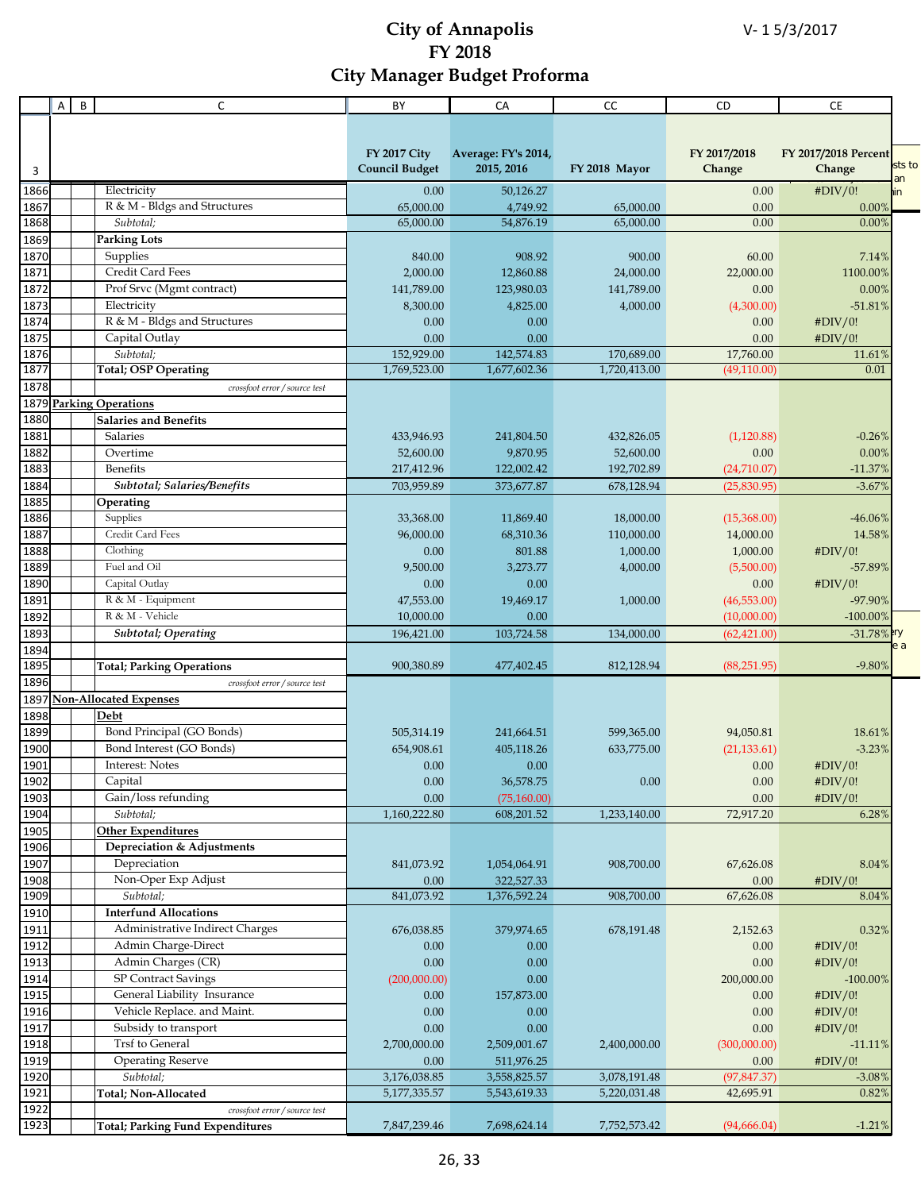|      | Α | B | C                                       | BY                    | CA                  | CC            | CD           | CE                   |        |
|------|---|---|-----------------------------------------|-----------------------|---------------------|---------------|--------------|----------------------|--------|
|      |   |   |                                         |                       |                     |               |              |                      |        |
|      |   |   |                                         |                       |                     |               |              |                      |        |
|      |   |   |                                         | <b>FY 2017 City</b>   | Average: FY's 2014, |               | FY 2017/2018 | FY 2017/2018 Percent |        |
| 3    |   |   |                                         | <b>Council Budget</b> | 2015, 2016          | FY 2018 Mayor | Change       | Change               | sts to |
| 1866 |   |   | Electricity                             | 0.00                  | 50,126.27           |               | 0.00         | #DIV/0!<br>in        | an     |
| 1867 |   |   | R & M - Bldgs and Structures            | 65,000.00             | 4,749.92            | 65,000.00     | 0.00         | 0.00%                |        |
| 1868 |   |   | Subtotal:                               | 65,000.00             | 54,876.19           | 65,000.00     | 0.00         | 0.00%                |        |
| 1869 |   |   | <b>Parking Lots</b>                     |                       |                     |               |              |                      |        |
| 1870 |   |   | Supplies                                | 840.00                | 908.92              | 900.00        | 60.00        | 7.14%                |        |
| 1871 |   |   | Credit Card Fees                        | 2,000.00              | 12,860.88           | 24,000.00     | 22,000.00    | 1100.00%             |        |
| 1872 |   |   | Prof Srvc (Mgmt contract)               | 141,789.00            | 123,980.03          | 141,789.00    | 0.00         | 0.00%                |        |
| 1873 |   |   | Electricity                             | 8,300.00              | 4,825.00            | 4,000.00      | (4,300.00)   | $-51.81%$            |        |
| 1874 |   |   | R & M - Bldgs and Structures            | 0.00                  | 0.00                |               | 0.00         | #DIV/0!              |        |
| 1875 |   |   | Capital Outlay                          | 0.00                  | 0.00                |               | 0.00         | #DIV/0!              |        |
| 1876 |   |   | Subtotal;                               | 152,929.00            | 142,574.83          | 170,689.00    | 17,760.00    | 11.61%               |        |
| 1877 |   |   | Total; OSP Operating                    | 1,769,523.00          | 1,677,602.36        | 1,720,413.00  | (49,110.00)  | 0.01                 |        |
| 1878 |   |   | crossfoot error / source test           |                       |                     |               |              |                      |        |
|      |   |   | 1879 Parking Operations                 |                       |                     |               |              |                      |        |
| 1880 |   |   | <b>Salaries and Benefits</b>            |                       |                     |               |              |                      |        |
| 1881 |   |   | <b>Salaries</b>                         | 433,946.93            | 241,804.50          | 432,826.05    | (1,120.88)   | $-0.26%$             |        |
| 1882 |   |   | Overtime                                | 52,600.00             | 9,870.95            | 52,600.00     | 0.00         | 0.00%                |        |
| 1883 |   |   | <b>Benefits</b>                         | 217,412.96            | 122,002.42          | 192,702.89    | (24,710.07)  | $-11.37%$            |        |
| 1884 |   |   | Subtotal; Salaries/Benefits             | 703,959.89            | 373,677.87          |               | (25,830.95)  |                      |        |
| 1885 |   |   | Operating                               |                       |                     | 678,128.94    |              | $-3.67%$             |        |
| 1886 |   |   | Supplies                                | 33,368.00             | 11,869.40           | 18,000.00     | (15,368.00)  | $-46.06\%$           |        |
| 1887 |   |   | Credit Card Fees                        | 96,000.00             | 68,310.36           | 110,000.00    | 14,000.00    | 14.58%               |        |
| 1888 |   |   | Clothing                                | 0.00                  | 801.88              | 1,000.00      | 1,000.00     | #DIV/0!              |        |
| 1889 |   |   | Fuel and Oil                            | 9,500.00              | 3,273.77            | 4,000.00      | (5,500.00)   | -57.89%              |        |
| 1890 |   |   | Capital Outlay                          | 0.00                  | 0.00                |               | 0.00         | #DIV/0!              |        |
| 1891 |   |   | R & M - Equipment                       | 47,553.00             | 19,469.17           | 1,000.00      | (46, 553.00) | -97.90%              |        |
| 1892 |   |   | R & M - Vehicle                         | 10,000.00             | 0.00                |               | (10,000.00)  | $-100.00\%$          |        |
| 1893 |   |   | <b>Subtotal</b> ; Operating             |                       | 103,724.58          | 134,000.00    | (62, 421.00) | $-31.78\%$ iry       |        |
| 1894 |   |   |                                         | 196,421.00            |                     |               |              | e a                  |        |
| 1895 |   |   | <b>Total; Parking Operations</b>        | 900,380.89            | 477,402.45          | 812,128.94    | (88, 251.95) | $-9.80%$             |        |
| 1896 |   |   | crossfoot error / source test           |                       |                     |               |              |                      |        |
| 1897 |   |   | <b>Non-Allocated Expenses</b>           |                       |                     |               |              |                      |        |
| 1898 |   |   | Debt                                    |                       |                     |               |              |                      |        |
| 1899 |   |   | Bond Principal (GO Bonds)               | 505,314.19            | 241,664.51          | 599,365.00    | 94,050.81    | 18.61%               |        |
| 1900 |   |   | Bond Interest (GO Bonds)                | 654,908.61            | 405,118.26          | 633,775.00    | (21, 133.61) | $-3.23%$             |        |
| 1901 |   |   | Interest: Notes                         | 0.00                  | 0.00                |               | 0.00         | #DIV/0!              |        |
| 1902 |   |   | Capital                                 | 0.00                  | 36,578.75           | $0.00\,$      | 0.00         | #DIV/0!              |        |
| 1903 |   |   | Gain/loss refunding                     | 0.00                  | (75, 160.00)        |               | 0.00         | #DIV/0!              |        |
| 1904 |   |   | Subtotal;                               | 1,160,222.80          | 608,201.52          | 1,233,140.00  | 72,917.20    | 6.28%                |        |
| 1905 |   |   | <b>Other Expenditures</b>               |                       |                     |               |              |                      |        |
| 1906 |   |   | Depreciation & Adjustments              |                       |                     |               |              |                      |        |
| 1907 |   |   | Depreciation                            | 841,073.92            | 1,054,064.91        | 908,700.00    | 67,626.08    | 8.04%                |        |
| 1908 |   |   | Non-Oper Exp Adjust                     | 0.00                  | 322,527.33          |               | 0.00         | #DIV/0!              |        |
| 1909 |   |   | Subtotal;                               | 841,073.92            | 1,376,592.24        | 908,700.00    | 67,626.08    | 8.04%                |        |
| 1910 |   |   | <b>Interfund Allocations</b>            |                       |                     |               |              |                      |        |
| 1911 |   |   | Administrative Indirect Charges         | 676,038.85            | 379,974.65          | 678,191.48    | 2,152.63     | 0.32%                |        |
| 1912 |   |   | Admin Charge-Direct                     | 0.00                  | 0.00                |               | 0.00         | #DIV/0!              |        |
| 1913 |   |   | Admin Charges (CR)                      | 0.00                  | 0.00                |               | 0.00         | #DIV/0!              |        |
| 1914 |   |   | SP Contract Savings                     | (200,000.00)          | 0.00                |               | 200,000.00   | $-100.00\%$          |        |
| 1915 |   |   | General Liability Insurance             | 0.00                  | 157,873.00          |               | 0.00         | #DIV/0!              |        |
| 1916 |   |   | Vehicle Replace. and Maint.             | 0.00                  | 0.00                |               | 0.00         | #DIV/0!              |        |
|      |   |   | Subsidy to transport                    | 0.00                  |                     |               |              |                      |        |
| 1917 |   |   |                                         |                       | 0.00                |               | 0.00         | #DIV/0!              |        |
| 1918 |   |   | <b>Trsf to General</b>                  | 2,700,000.00          | 2,509,001.67        | 2,400,000.00  | (300,000.00) | $-11.11%$            |        |
| 1919 |   |   | <b>Operating Reserve</b>                | 0.00                  | 511,976.25          |               | 0.00         | #DIV/0!              |        |
| 1920 |   |   | Subtotal;                               | 3,176,038.85          | 3,558,825.57        | 3,078,191.48  | (97, 847.37) | $-3.08%$             |        |
| 1921 |   |   | Total; Non-Allocated                    | 5,177,335.57          | 5,543,619.33        | 5,220,031.48  | 42,695.91    | 0.82%                |        |
| 1922 |   |   | crossfoot error / source test           |                       |                     |               |              |                      |        |
| 1923 |   |   | <b>Total; Parking Fund Expenditures</b> | 7,847,239.46          | 7,698,624.14        | 7,752,573.42  | (94,666.04)  | $-1.21%$             |        |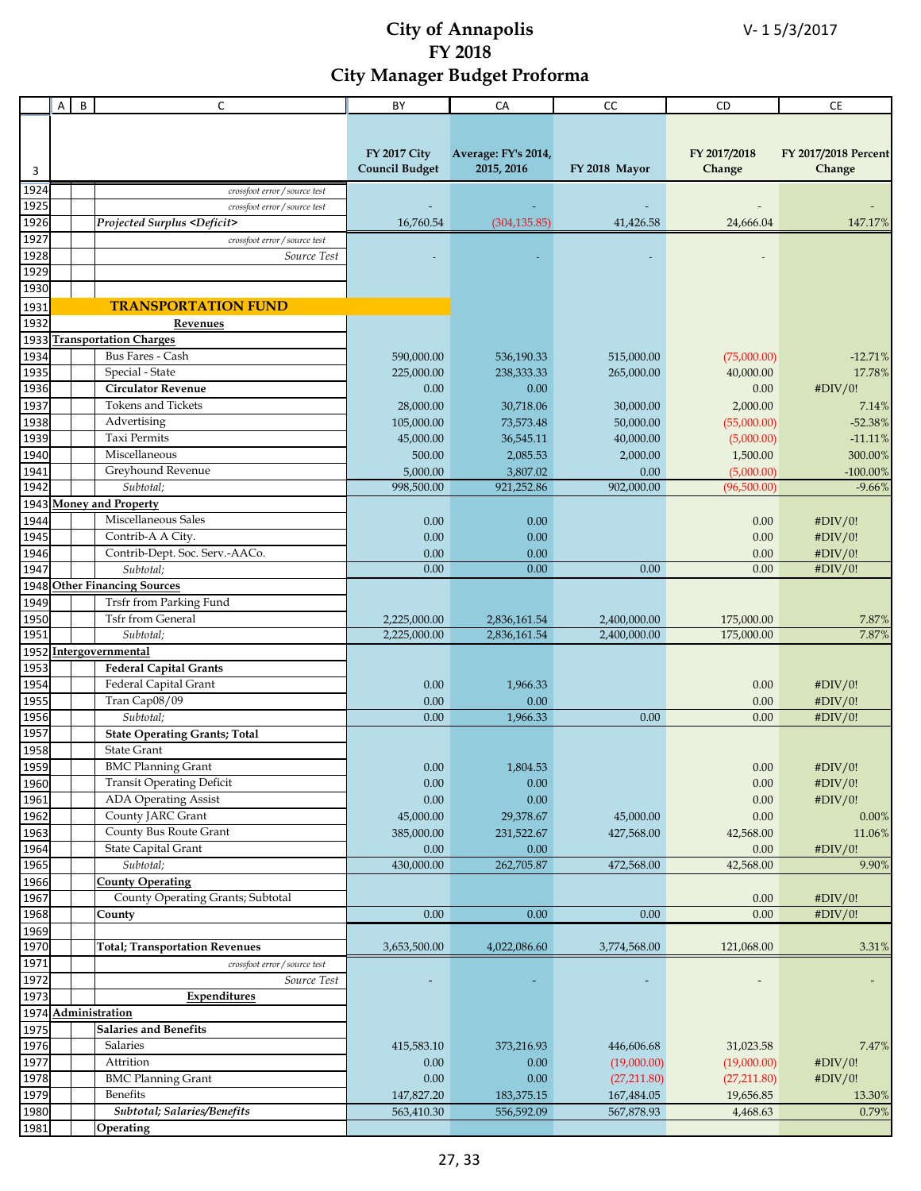|              | Α | B | $\mathsf C$                             | BY                     | CA                     | cc                 | CD                        | <b>CE</b>               |
|--------------|---|---|-----------------------------------------|------------------------|------------------------|--------------------|---------------------------|-------------------------|
|              |   |   |                                         |                        |                        |                    |                           |                         |
|              |   |   |                                         |                        |                        |                    |                           |                         |
|              |   |   |                                         | <b>FY 2017 City</b>    | Average: FY's 2014,    |                    | FY 2017/2018              | FY 2017/2018 Percent    |
| 3            |   |   |                                         | <b>Council Budget</b>  | 2015, 2016             | FY 2018 Mayor      | Change                    | Change                  |
| 1924         |   |   | crossfoot error / source test           |                        |                        |                    |                           |                         |
| 1925         |   |   | crossfoot error / source test           |                        |                        |                    |                           |                         |
| 1926         |   |   | Projected Surplus <deficit></deficit>   | 16,760.54              | (304, 135.85)          | 41,426.58          | 24,666.04                 | 147.17%                 |
| 1927         |   |   | crossfoot error / source test           |                        |                        |                    |                           |                         |
| 1928         |   |   | Source Test                             |                        |                        |                    |                           |                         |
| 1929         |   |   |                                         |                        |                        |                    |                           |                         |
| 1930         |   |   |                                         |                        |                        |                    |                           |                         |
| 1931         |   |   | <b>TRANSPORTATION FUND</b>              |                        |                        |                    |                           |                         |
| 1932         |   |   | Revenues                                |                        |                        |                    |                           |                         |
| 1933         |   |   | <b>Transportation Charges</b>           |                        |                        |                    |                           |                         |
| 1934         |   |   | Bus Fares - Cash                        | 590,000.00             | 536,190.33             | 515,000.00         | (75,000.00)               | $-12.71%$               |
| 1935         |   |   | Special - State                         | 225,000.00             | 238,333.33             | 265,000.00         | 40,000.00                 | 17.78%                  |
| 1936         |   |   | <b>Circulator Revenue</b>               | 0.00                   | 0.00                   |                    | 0.00                      | #DIV/0!                 |
| 1937         |   |   | <b>Tokens and Tickets</b>               | 28,000.00              | 30,718.06              | 30,000.00          | 2,000.00                  | 7.14%                   |
| 1938         |   |   | Advertising                             | 105,000.00             | 73,573.48              | 50,000.00          | (55,000.00)               | $-52.38%$               |
| 1939         |   |   | <b>Taxi Permits</b>                     | 45,000.00              | 36,545.11              | 40,000.00          | (5,000.00)                | $-11.11%$               |
| 1940         |   |   | Miscellaneous                           | 500.00                 | 2,085.53               | 2,000.00           | 1,500.00                  | 300.00%                 |
| 1941<br>1942 |   |   | Greyhound Revenue<br>Subtotal;          | 5,000.00<br>998,500.00 | 3,807.02<br>921,252.86 | 0.00<br>902,000.00 | (5,000.00)<br>(96,500.00) | $-100.00\%$<br>$-9.66%$ |
| 1943         |   |   | <b>Money and Property</b>               |                        |                        |                    |                           |                         |
| 1944         |   |   | Miscellaneous Sales                     | 0.00                   | 0.00                   |                    | 0.00                      | #DIV/0!                 |
| 1945         |   |   | Contrib-A A City.                       | 0.00                   | 0.00                   |                    | 0.00                      | #DIV/0!                 |
| 1946         |   |   | Contrib-Dept. Soc. Serv.-AACo.          | 0.00                   | 0.00                   |                    | 0.00                      | #DIV/0!                 |
| 1947         |   |   | Subtotal;                               | 0.00                   | 0.00                   | 0.00               | 0.00                      | #DIV/0!                 |
| 1948         |   |   | <b>Other Financing Sources</b>          |                        |                        |                    |                           |                         |
| 1949         |   |   | Trsfr from Parking Fund                 |                        |                        |                    |                           |                         |
| 1950         |   |   | <b>Tsfr from General</b>                | 2,225,000.00           | 2,836,161.54           | 2,400,000.00       | 175,000.00                | 7.87%                   |
| 1951         |   |   | Subtotal;                               | 2,225,000.00           | 2,836,161.54           | 2,400,000.00       | 175,000.00                | 7.87%                   |
|              |   |   | 1952 Intergovernmental                  |                        |                        |                    |                           |                         |
| 1953         |   |   | <b>Federal Capital Grants</b>           |                        |                        |                    |                           |                         |
| 1954         |   |   | Federal Capital Grant                   | 0.00                   | 1,966.33               |                    | 0.00                      | #DIV/0!                 |
| 1955         |   |   | Tran Cap08/09                           | 0.00                   | 0.00                   |                    | 0.00                      | #DIV/0!                 |
| 1956         |   |   | Subtotal:                               | 0.00                   | 1,966.33               | 0.00               | 0.00                      | #DIV/0!                 |
| 1957         |   |   | <b>State Operating Grants; Total</b>    |                        |                        |                    |                           |                         |
| 1958         |   |   | <b>State Grant</b>                      |                        |                        |                    |                           |                         |
| 1959         |   |   | <b>BMC</b> Planning Grant               | 0.00                   | 1,804.53               |                    | $0.00\,$                  | #DIV/0!                 |
| 1960         |   |   | <b>Transit Operating Deficit</b>        | 0.00                   | 0.00                   |                    | $0.00\,$                  | #DIV/0!                 |
| 1961         |   |   | <b>ADA Operating Assist</b>             | $0.00\,$               | 0.00                   |                    | $0.00\,$                  | #DIV/0!                 |
| 1962         |   |   | County JARC Grant                       | 45,000.00              | 29,378.67              | 45,000.00          | $0.00\,$                  | 0.00%                   |
| 1963         |   |   | County Bus Route Grant                  | 385,000.00             | 231,522.67             | 427,568.00         | 42,568.00                 | 11.06%                  |
| 1964<br>1965 |   |   | <b>State Capital Grant</b><br>Subtotal; | 0.00<br>430,000.00     | 0.00<br>262,705.87     | 472,568.00         | 0.00<br>42,568.00         | #DIV/0!<br>9.90%        |
| 1966         |   |   | <b>County Operating</b>                 |                        |                        |                    |                           |                         |
| 1967         |   |   | County Operating Grants; Subtotal       |                        |                        |                    | 0.00                      | #DIV/0!                 |
| 1968         |   |   | County                                  | 0.00                   | 0.00                   | 0.00               | 0.00                      | #DIV/0!                 |
| 1969         |   |   |                                         |                        |                        |                    |                           |                         |
| 1970         |   |   | <b>Total; Transportation Revenues</b>   | 3,653,500.00           | 4,022,086.60           | 3,774,568.00       | 121,068.00                | 3.31%                   |
| 1971         |   |   | crossfoot error / source test           |                        |                        |                    |                           |                         |
| 1972         |   |   | Source Test                             |                        |                        |                    |                           |                         |
| 1973         |   |   | Expenditures                            |                        |                        |                    |                           |                         |
|              |   |   | 1974 Administration                     |                        |                        |                    |                           |                         |
| 1975         |   |   | <b>Salaries and Benefits</b>            |                        |                        |                    |                           |                         |
| 1976         |   |   | Salaries                                | 415,583.10             | 373,216.93             | 446,606.68         | 31,023.58                 | 7.47%                   |
| 1977         |   |   | Attrition                               | 0.00                   | 0.00                   | (19,000.00)        | (19,000.00)               | #DIV/0!                 |
| 1978         |   |   | <b>BMC Planning Grant</b>               | 0.00                   | 0.00                   | (27,211.80)        | (27,211.80)               | #DIV/0!                 |
| 1979         |   |   | Benefits                                | 147,827.20             | 183,375.15             | 167,484.05         | 19,656.85                 | 13.30%                  |
| 1980         |   |   | Subtotal; Salaries/Benefits             | 563,410.30             | 556,592.09             | 567,878.93         | 4,468.63                  | 0.79%                   |
| 1981         |   |   | Operating                               |                        |                        |                    |                           |                         |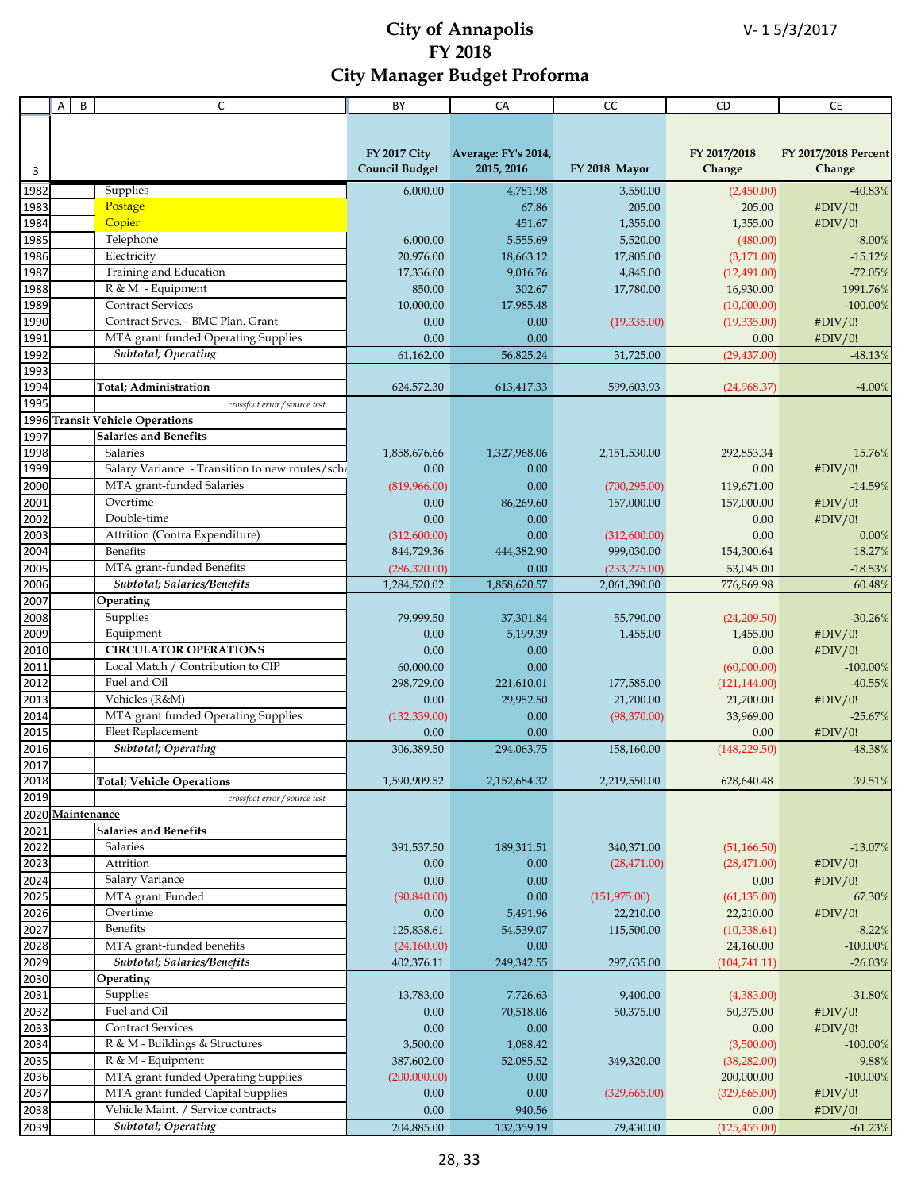|                  | Α | B | C                                               | BY                    | CA                  | CC            | CD.           | <b>CE</b>            |
|------------------|---|---|-------------------------------------------------|-----------------------|---------------------|---------------|---------------|----------------------|
|                  |   |   |                                                 |                       |                     |               |               |                      |
|                  |   |   |                                                 |                       |                     |               |               |                      |
|                  |   |   |                                                 | <b>FY 2017 City</b>   | Average: FY's 2014, |               | FY 2017/2018  | FY 2017/2018 Percent |
| 3                |   |   |                                                 | <b>Council Budget</b> | 2015, 2016          | FY 2018 Mayor | Change        | Change               |
|                  |   |   |                                                 |                       |                     |               |               |                      |
| 1982             |   |   | Supplies                                        | 6,000.00              | 4,781.98            | 3,550.00      | (2,450.00)    | $-40.83%$            |
| 1983             |   |   | Postage                                         |                       | 67.86               | 205.00        | 205.00        | #DIV/0!              |
| 1984             |   |   | Copier                                          |                       | 451.67              | 1,355.00      | 1,355.00      | #DIV/0!              |
| 1985             |   |   | Telephone                                       | 6,000.00              | 5,555.69            | 5,520.00      | (480.00)      | $-8.00\%$            |
| 1986             |   |   | Electricity                                     | 20,976.00             | 18,663.12           | 17,805.00     | (3,171.00)    | $-15.12%$            |
| 1987             |   |   | Training and Education                          | 17,336.00             | 9,016.76            | 4,845.00      | (12, 491.00)  | $-72.05%$            |
| 1988             |   |   | R & M - Equipment                               | 850.00                | 302.67              | 17,780.00     | 16,930.00     | 1991.76%             |
| 1989             |   |   | <b>Contract Services</b>                        | 10,000.00             | 17,985.48           |               | (10,000.00)   | $-100.00\%$          |
| 1990             |   |   | Contract Srvcs. - BMC Plan. Grant               | 0.00                  | 0.00                | (19,335.00)   | (19, 335.00)  | #DIV/0!              |
| 1991             |   |   | MTA grant funded Operating Supplies             | 0.00                  | 0.00                |               | 0.00          | #DIV/0!              |
| 1992             |   |   | Subtotal; Operating                             | 61,162.00             | 56,825.24           | 31,725.00     | (29, 437.00)  | $-48.13%$            |
| 1993             |   |   |                                                 |                       |                     |               |               |                      |
| 1994             |   |   | <b>Total</b> ; Administration                   | 624,572.30            | 613,417.33          | 599,603.93    | (24,968.37)   | $-4.00%$             |
| 1995             |   |   | crossfoot error / source test                   |                       |                     |               |               |                      |
| 1996             |   |   | <b>Transit Vehicle Operations</b>               |                       |                     |               |               |                      |
| 1997             |   |   | <b>Salaries and Benefits</b>                    |                       |                     |               |               |                      |
| 1998             |   |   | Salaries                                        | 1,858,676.66          | 1,327,968.06        | 2,151,530.00  | 292.853.34    | 15.76%               |
| 1999             |   |   | Salary Variance - Transition to new routes/sche | 0.00                  | 0.00                |               | 0.00          | #DIV/0!              |
| 2000             |   |   | MTA grant-funded Salaries                       | (819,966.00)          | 0.00                | (700, 295.00) | 119,671.00    | $-14.59%$            |
| 2001             |   |   | Overtime                                        | 0.00                  | 86,269.60           | 157,000.00    | 157,000.00    | #DIV/0!              |
| 2002             |   |   | Double-time                                     | 0.00                  |                     |               |               |                      |
|                  |   |   |                                                 |                       | 0.00                |               | 0.00          | #DIV/0!              |
| 2003             |   |   | Attrition (Contra Expenditure)                  | (312,600.00)          | 0.00                | (312,600.00)  | 0.00          | 0.00%                |
| 2004             |   |   | <b>Benefits</b>                                 | 844,729.36            | 444,382.90          | 999,030.00    | 154,300.64    | 18.27%               |
| 2005             |   |   | MTA grant-funded Benefits                       | (286,320.00)          | 0.00                | (233, 275.00) | 53,045.00     | $-18.53%$            |
| 2006             |   |   | Subtotal; Salaries/Benefits                     | 1,284,520.02          | 1,858,620.57        | 2,061,390.00  | 776,869.98    | 60.48%               |
| 2007             |   |   | Operating                                       |                       |                     |               |               |                      |
| 2008             |   |   | Supplies                                        | 79,999.50             | 37,301.84           | 55,790.00     | (24,209.50)   | $-30.26%$            |
| 2009             |   |   | Equipment                                       | 0.00                  | 5,199.39            | 1,455.00      | 1,455.00      | #DIV/0!              |
| 2010             |   |   | <b>CIRCULATOR OPERATIONS</b>                    | 0.00                  | 0.00                |               | 0.00          | #DIV/0!              |
| 2011             |   |   | Local Match / Contribution to CIP               | 60,000.00             | 0.00                |               | (60,000.00)   | $-100.00\%$          |
| 2012             |   |   | Fuel and Oil                                    | 298,729.00            | 221,610.01          | 177,585.00    | (121, 144.00) | $-40.55%$            |
| 2013             |   |   | Vehicles (R&M)                                  | 0.00                  | 29,952.50           | 21,700.00     | 21,700.00     | #DIV/0!              |
| 2014             |   |   | MTA grant funded Operating Supplies             | (132, 339.00)         | 0.00                | (98,370.00)   | 33,969.00     | $-25.67%$            |
| 2015             |   |   | Fleet Replacement                               | 0.00                  | 0.00                |               | 0.00          | #DIV/0!              |
| 2016             |   |   | <b>Subtotal</b> ; Operating                     | 306,389.50            | 294,063.75          | 158,160.00    | (148, 229.50) | -48.38%              |
| 2017             |   |   |                                                 |                       |                     |               |               |                      |
| 2018             |   |   | <b>Total; Vehicle Operations</b>                | 1,590,909.52          | 2,152,684.32        | 2,219,550.00  | 628,640.48    | 39.51%               |
| 2019             |   |   | crossfoot error / source test                   |                       |                     |               |               |                      |
| 2020 Maintenance |   |   |                                                 |                       |                     |               |               |                      |
| 2021             |   |   | <b>Salaries and Benefits</b>                    |                       |                     |               |               |                      |
| 2022             |   |   | Salaries                                        | 391,537.50            | 189,311.51          | 340,371.00    | (51, 166.50)  | $-13.07%$            |
| 2023             |   |   | Attrition                                       | 0.00                  | 0.00                | (28, 471.00)  | (28, 471.00)  | #DIV/0!              |
| 2024             |   |   | Salary Variance                                 | 0.00                  | 0.00                |               | 0.00          | #DIV/0!              |
| 2025             |   |   |                                                 | (90, 840.00)          |                     |               | (61, 135.00)  |                      |
|                  |   |   | MTA grant Funded<br>Overtime                    |                       | 0.00                | (151, 975.00) |               | 67.30%               |
| 2026             |   |   |                                                 | 0.00                  | 5,491.96            | 22,210.00     | 22,210.00     | #DIV/0!              |
| 2027             |   |   | Benefits                                        | 125,838.61            | 54,539.07           | 115,500.00    | (10, 338.61)  | $-8.22%$             |
| 2028             |   |   | MTA grant-funded benefits                       | (24,160.00)           | 0.00                |               | 24,160.00     | $-100.00\%$          |
| 2029             |   |   | Subtotal; Salaries/Benefits                     | 402,376.11            | 249,342.55          | 297,635.00    | (104, 741.11) | $-26.03%$            |
| 2030             |   |   | Operating                                       |                       |                     |               |               |                      |
| 2031             |   |   | Supplies                                        | 13,783.00             | 7,726.63            | 9,400.00      | (4,383.00)    | $-31.80\%$           |
| 2032             |   |   | Fuel and Oil                                    | 0.00                  | 70,518.06           | 50,375.00     | 50,375.00     | #DIV/0!              |
| 2033             |   |   | <b>Contract Services</b>                        | 0.00                  | 0.00                |               | 0.00          | #DIV/0!              |
| 2034             |   |   | R & M - Buildings & Structures                  | 3,500.00              | 1,088.42            |               | (3,500.00)    | $-100.00\%$          |
| 2035             |   |   | R & M - Equipment                               | 387,602.00            | 52,085.52           | 349,320.00    | (38, 282.00)  | $-9.88%$             |
| 2036             |   |   | MTA grant funded Operating Supplies             | (200,000.00)          | 0.00                |               | 200,000.00    | $-100.00\%$          |
| 2037             |   |   | MTA grant funded Capital Supplies               | 0.00                  | 0.00                | (329, 665.00) | (329, 665.00) | #DIV/0!              |
| 2038             |   |   | Vehicle Maint. / Service contracts              | 0.00                  | 940.56              |               | 0.00          | #DIV/0!              |
| 2039             |   |   | Subtotal; Operating                             | 204,885.00            | 132,359.19          | 79,430.00     | (125, 455.00) | $\textbf{-61.23}\%$  |
|                  |   |   |                                                 |                       |                     |               |               |                      |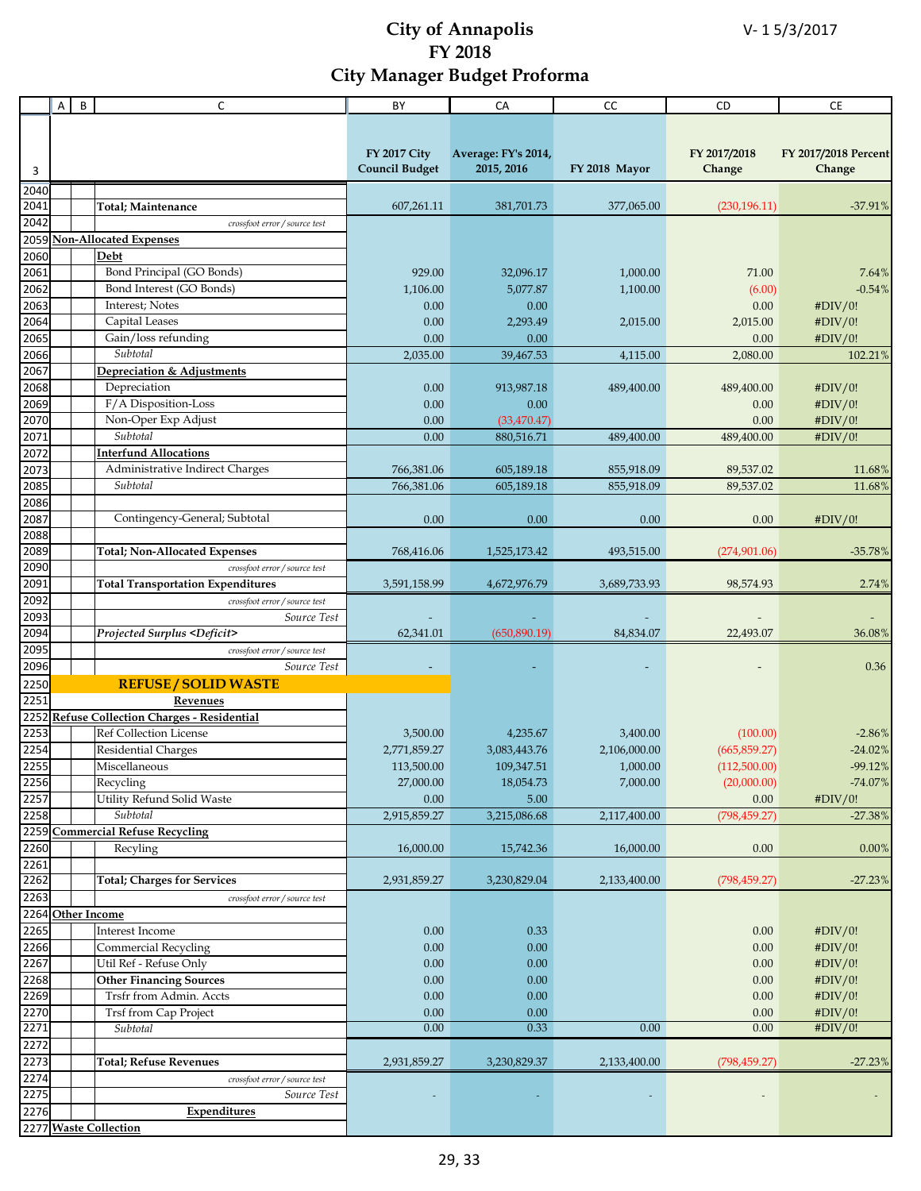|      | A | B | $\mathsf{C}$                                 | BY                    | CA                  | cc            | CD            | <b>CE</b>            |
|------|---|---|----------------------------------------------|-----------------------|---------------------|---------------|---------------|----------------------|
|      |   |   |                                              |                       |                     |               |               |                      |
|      |   |   |                                              |                       |                     |               |               |                      |
|      |   |   |                                              | <b>FY 2017 City</b>   | Average: FY's 2014, |               | FY 2017/2018  | FY 2017/2018 Percent |
| 3    |   |   |                                              | <b>Council Budget</b> | 2015, 2016          | FY 2018 Mayor | Change        | Change               |
|      |   |   |                                              |                       |                     |               |               |                      |
| 2040 |   |   |                                              |                       |                     |               |               |                      |
| 2041 |   |   | <b>Total</b> ; Maintenance                   | 607,261.11            | 381,701.73          | 377,065.00    | (230, 196.11) | $-37.91%$            |
| 2042 |   |   | crossfoot error / source test                |                       |                     |               |               |                      |
| 2059 |   |   | <b>Non-Allocated Expenses</b>                |                       |                     |               |               |                      |
| 2060 |   |   | Debt                                         |                       |                     |               |               |                      |
| 2061 |   |   | Bond Principal (GO Bonds)                    | 929.00                | 32,096.17           | 1,000.00      | 71.00         | 7.64%                |
| 2062 |   |   | Bond Interest (GO Bonds)                     | 1,106.00              | 5,077.87            | 1,100.00      | (6.00)        | $-0.54%$             |
| 2063 |   |   | Interest; Notes                              | 0.00                  | 0.00                |               | 0.00          | #DIV/0!              |
| 2064 |   |   | Capital Leases                               | 0.00                  | 2,293.49            | 2,015.00      | 2,015.00      | #DIV/0!              |
| 2065 |   |   | Gain/loss refunding                          | 0.00                  | 0.00                |               | 0.00          | #DIV/0!              |
| 2066 |   |   | Subtotal                                     | 2,035.00              | 39,467.53           | 4,115.00      | 2,080.00      | 102.21%              |
| 2067 |   |   | Depreciation & Adjustments                   |                       |                     |               |               |                      |
| 2068 |   |   | Depreciation                                 | 0.00                  | 913,987.18          | 489,400.00    | 489,400.00    | #DIV/0!              |
| 2069 |   |   | F/A Disposition-Loss                         |                       | 0.00                |               |               |                      |
|      |   |   |                                              | 0.00                  |                     |               | 0.00          | #DIV/0!              |
| 2070 |   |   | Non-Oper Exp Adjust                          | 0.00                  | (33, 470.47)        |               | 0.00          | #DIV/0!              |
| 2071 |   |   | Subtotal                                     | 0.00                  | 880,516.71          | 489,400.00    | 489,400.00    | #DIV/0!              |
| 2072 |   |   | <b>Interfund Allocations</b>                 |                       |                     |               |               |                      |
| 2073 |   |   | Administrative Indirect Charges              | 766,381.06            | 605,189.18          | 855,918.09    | 89,537.02     | 11.68%               |
| 2085 |   |   | Subtotal                                     | 766,381.06            | 605,189.18          | 855,918.09    | 89,537.02     | 11.68%               |
| 2086 |   |   |                                              |                       |                     |               |               |                      |
| 2087 |   |   | Contingency-General; Subtotal                | 0.00                  | 0.00                | 0.00          | 0.00          | #DIV/0!              |
| 2088 |   |   |                                              |                       |                     |               |               |                      |
| 2089 |   |   | <b>Total; Non-Allocated Expenses</b>         | 768,416.06            | 1,525,173.42        | 493,515.00    | (274,901.06)  | $-35.78%$            |
| 2090 |   |   | crossfoot error / source test                |                       |                     |               |               |                      |
| 2091 |   |   | <b>Total Transportation Expenditures</b>     | 3,591,158.99          | 4,672,976.79        | 3,689,733.93  | 98,574.93     | 2.74%                |
| 2092 |   |   | crossfoot error / source test                |                       |                     |               |               |                      |
| 2093 |   |   | Source Test                                  |                       |                     |               |               |                      |
| 2094 |   |   | Projected Surplus <deficit></deficit>        | 62,341.01             | (650, 890.19)       | 84,834.07     | 22,493.07     | 36.08%               |
|      |   |   |                                              |                       |                     |               |               |                      |
| 2095 |   |   | crossfoot error / source test                |                       |                     |               |               |                      |
| 2096 |   |   | Source Test                                  |                       |                     |               |               | 0.36                 |
| 2250 |   |   | <b>REFUSE / SOLID WASTE</b>                  |                       |                     |               |               |                      |
| 2251 |   |   | Revenues                                     |                       |                     |               |               |                      |
|      |   |   | 2252 Refuse Collection Charges - Residential |                       |                     |               |               |                      |
| 2253 |   |   | <b>Ref Collection License</b>                | 3,500.00              | 4,235.67            | 3,400.00      | (100.00)      | $-2.86%$             |
| 2254 |   |   | Residential Charges                          | 2,771,859.27          | 3,083,443.76        | 2,106,000.00  | (665, 859.27) | $-24.02%$            |
| 2255 |   |   | Miscellaneous                                | 113,500.00            | 109,347.51          | 1,000.00      | (112,500.00)  | $-99.12%$            |
| 2256 |   |   | Recycling                                    | 27,000.00             | 18,054.73           | 7,000.00      | (20,000.00)   | $-74.07%$            |
| 2257 |   |   | Utility Refund Solid Waste                   | 0.00                  | 5.00                |               | 0.00          | #DIV/0!              |
| 2258 |   |   | Subtotal                                     | 2,915,859.27          | 3,215,086.68        | 2,117,400.00  | (798, 459.27) | $-27.38%$            |
|      |   |   | 2259 Commercial Refuse Recycling             |                       |                     |               |               |                      |
| 2260 |   |   | Recyling                                     | 16,000.00             | 15,742.36           | 16,000.00     | 0.00          | 0.00%                |
| 2261 |   |   |                                              |                       |                     |               |               |                      |
| 2262 |   |   | <b>Total; Charges for Services</b>           | 2,931,859.27          | 3,230,829.04        | 2,133,400.00  | (798, 459.27) | $-27.23%$            |
|      |   |   |                                              |                       |                     |               |               |                      |
| 2263 |   |   | crossfoot error / source test                |                       |                     |               |               |                      |
|      |   |   | 2264 Other Income                            |                       |                     |               |               |                      |
| 2265 |   |   | Interest Income                              | $0.00\,$              | 0.33                |               | 0.00          | #DIV/0!              |
| 2266 |   |   | Commercial Recycling                         | 0.00                  | 0.00                |               | 0.00          | #DIV/0!              |
| 2267 |   |   | Util Ref - Refuse Only                       | 0.00                  | 0.00                |               | 0.00          | #DIV/0!              |
| 2268 |   |   | <b>Other Financing Sources</b>               | $0.00\,$              | 0.00                |               | 0.00          | #DIV/0!              |
| 2269 |   |   | Trsfr from Admin. Accts                      | 0.00                  | 0.00                |               | 0.00          | #DIV/0!              |
| 2270 |   |   | Trsf from Cap Project                        | 0.00                  | 0.00                |               | 0.00          | #DIV/0!              |
| 2271 |   |   | Subtotal                                     | 0.00                  | 0.33                | 0.00          | 0.00          | #DIV/0!              |
| 2272 |   |   |                                              |                       |                     |               |               |                      |
| 2273 |   |   | Total; Refuse Revenues                       | 2,931,859.27          | 3,230,829.37        | 2,133,400.00  | (798, 459.27) | $-27.23%$            |
| 2274 |   |   | crossfoot error / source test                |                       |                     |               |               |                      |
| 2275 |   |   | Source Test                                  |                       |                     |               |               |                      |
| 2276 |   |   | Expenditures                                 |                       |                     |               |               |                      |
|      |   |   | 2277 Waste Collection                        |                       |                     |               |               |                      |
|      |   |   |                                              |                       |                     |               |               |                      |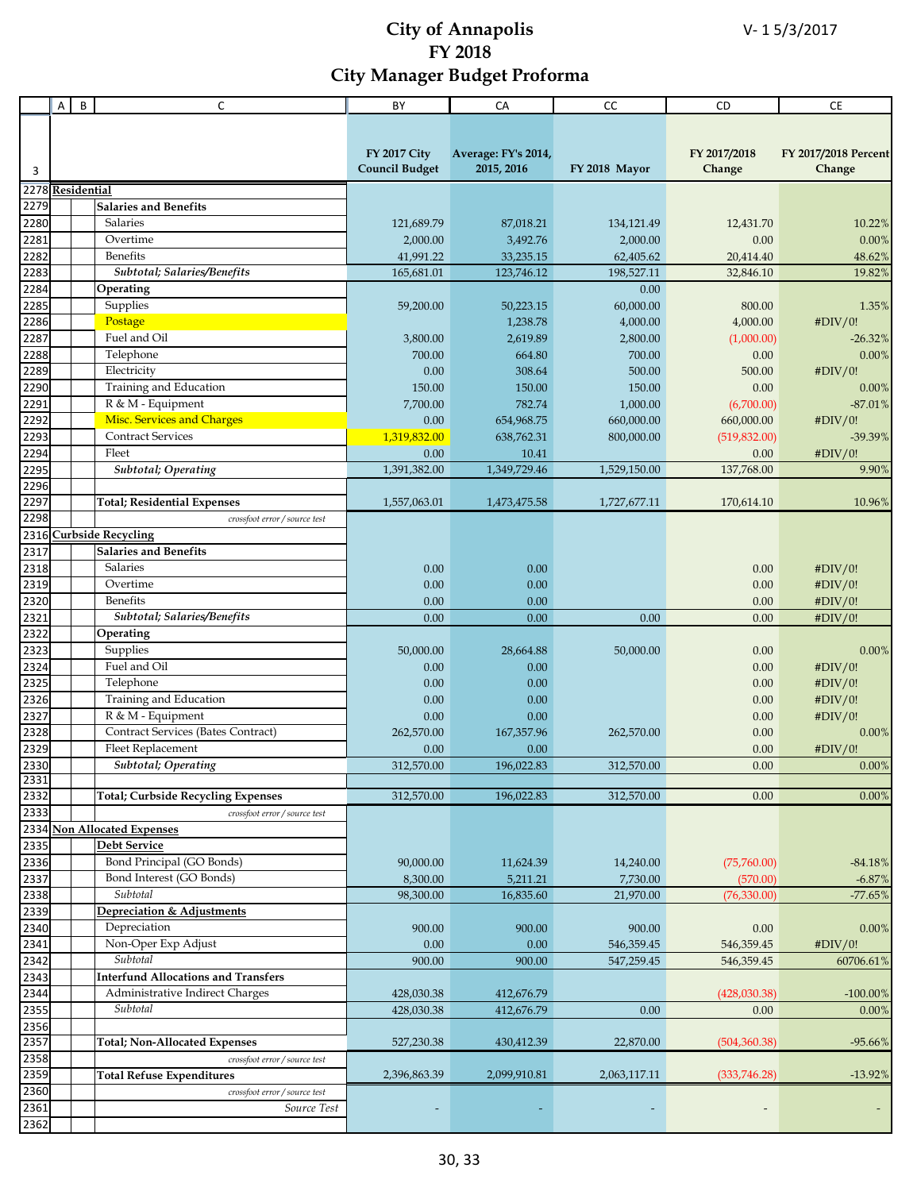|                  | A | B | C                                                             | BY                    | CA                    | cc            | CD                 | <b>CE</b>            |
|------------------|---|---|---------------------------------------------------------------|-----------------------|-----------------------|---------------|--------------------|----------------------|
|                  |   |   |                                                               |                       |                       |               |                    |                      |
|                  |   |   |                                                               |                       |                       |               |                    |                      |
|                  |   |   |                                                               | <b>FY 2017 City</b>   | Average: FY's 2014,   |               | FY 2017/2018       | FY 2017/2018 Percent |
| 3                |   |   |                                                               | <b>Council Budget</b> | 2015, 2016            | FY 2018 Mayor | Change             | Change               |
| 2278 Residential |   |   |                                                               |                       |                       |               |                    |                      |
| 2279             |   |   | <b>Salaries and Benefits</b>                                  |                       |                       |               |                    |                      |
| 2280             |   |   | Salaries                                                      | 121,689.79            | 87,018.21             | 134,121.49    | 12,431.70          | 10.22%               |
| 2281             |   |   | Overtime                                                      | 2,000.00              | 3,492.76              | 2,000.00      | 0.00               | 0.00%                |
| 2282             |   |   | Benefits                                                      | 41,991.22             | 33,235.15             | 62,405.62     | 20,414.40          | 48.62%               |
| 2283             |   |   | Subtotal; Salaries/Benefits                                   | 165,681.01            | 123,746.12            | 198,527.11    | 32,846.10          | 19.82%               |
| 2284             |   |   | Operating                                                     |                       |                       | 0.00          |                    |                      |
| 2285             |   |   | Supplies                                                      | 59,200.00             | 50,223.15             | 60,000.00     | 800.00             | 1.35%                |
| 2286             |   |   | Postage                                                       |                       | 1,238.78              | 4,000.00      | 4,000.00           | #DIV/0!              |
| 2287             |   |   | Fuel and Oil                                                  | 3,800.00              | 2,619.89              | 2,800.00      | (1,000.00)         | -26.32%              |
| 2288             |   |   | Telephone                                                     | 700.00                | 664.80                | 700.00        | 0.00               | 0.00%                |
| 2289             |   |   | Electricity                                                   | 0.00                  | 308.64                | 500.00        | 500.00             | #DIV/0!              |
| 2290             |   |   | Training and Education                                        | 150.00                | 150.00                | 150.00        | 0.00               | 0.00%                |
| 2291             |   |   | R & M - Equipment                                             | 7,700.00              | 782.74                | 1,000.00      | (6,700.00)         | $-87.01%$            |
| 2292             |   |   | <b>Misc. Services and Charges</b><br><b>Contract Services</b> | 0.00                  | 654,968.75            | 660,000.00    | 660,000.00         | #DIV/0!              |
| 2293             |   |   | Fleet                                                         | 1,319,832.00          | 638,762.31            | 800,000.00    | (519, 832.00)      | -39.39%              |
| 2294<br>2295     |   |   | <b>Subtotal</b> ; Operating                                   | 0.00<br>1,391,382.00  | 10.41<br>1,349,729.46 | 1,529,150.00  | 0.00<br>137,768.00 | #DIV/0!              |
| 2296             |   |   |                                                               |                       |                       |               |                    | 9.90%                |
| 2297             |   |   | <b>Total</b> ; Residential Expenses                           | 1,557,063.01          | 1,473,475.58          | 1,727,677.11  | 170,614.10         | 10.96%               |
| 2298             |   |   | crossfoot error / source test                                 |                       |                       |               |                    |                      |
|                  |   |   | 2316 Curbside Recycling                                       |                       |                       |               |                    |                      |
| 2317             |   |   | <b>Salaries and Benefits</b>                                  |                       |                       |               |                    |                      |
| 2318             |   |   | Salaries                                                      | 0.00                  | 0.00                  |               | 0.00               | #DIV/0!              |
| 2319             |   |   | Overtime                                                      | 0.00                  | 0.00                  |               | 0.00               | #DIV/0!              |
| 2320             |   |   | Benefits                                                      | 0.00                  | 0.00                  |               | 0.00               | #DIV/0!              |
| 2321             |   |   | Subtotal; Salaries/Benefits                                   | 0.00                  | 0.00                  | 0.00          | 0.00               | #DIV/0!              |
| 2322             |   |   | Operating                                                     |                       |                       |               |                    |                      |
| 2323             |   |   | Supplies                                                      | 50,000.00             | 28,664.88             | 50,000.00     | 0.00               | $0.00\%$             |
| 2324             |   |   | Fuel and Oil                                                  | 0.00                  | 0.00                  |               | 0.00               | #DIV/0!              |
| 2325             |   |   | Telephone                                                     | 0.00                  | 0.00                  |               | 0.00               | #DIV/0!              |
| 2326             |   |   | Training and Education                                        | 0.00                  | 0.00                  |               | 0.00               | #DIV/0!              |
| 2327             |   |   | R & M - Equipment                                             | 0.00                  | 0.00                  |               | 0.00               | #DIV/0!              |
| 2328             |   |   | Contract Services (Bates Contract)                            | 262,570.00            | 167,357.96            | 262,570.00    | 0.00               | $0.00\%$             |
| 2329<br>2330     |   |   | Fleet Replacement                                             | 0.00                  | 0.00                  |               | 0.00               | #DIV/0!              |
| 2331             |   |   | Subtotal; Operating                                           | 312,570.00            | 196,022.83            | 312,570.00    | 0.00               | $0.00\%$             |
| 2332             |   |   | <b>Total</b> ; Curbside Recycling Expenses                    | 312,570.00            | 196,022.83            | 312,570.00    | 0.00               | 0.00%                |
| 2333             |   |   | crossfoot error / source test                                 |                       |                       |               |                    |                      |
| 2334             |   |   | <b>Non Allocated Expenses</b>                                 |                       |                       |               |                    |                      |
| 2335             |   |   | <b>Debt Service</b>                                           |                       |                       |               |                    |                      |
| 2336             |   |   | Bond Principal (GO Bonds)                                     | 90,000.00             | 11,624.39             | 14,240.00     | (75,760.00)        | $-84.18%$            |
| 2337             |   |   | Bond Interest (GO Bonds)                                      | 8,300.00              | 5,211.21              | 7,730.00      | (570.00)           | $-6.87%$             |
| 2338             |   |   | Subtotal                                                      | 98,300.00             | 16,835.60             | 21,970.00     | (76, 330.00)       | $-77.65%$            |
| 2339             |   |   | <b>Depreciation &amp; Adjustments</b>                         |                       |                       |               |                    |                      |
| 2340             |   |   | Depreciation                                                  | 900.00                | 900.00                | 900.00        | 0.00               | 0.00%                |
| 2341             |   |   | Non-Oper Exp Adjust                                           | 0.00                  | 0.00                  | 546,359.45    | 546,359.45         | #DIV/0!              |
| 2342             |   |   | Subtotal                                                      | 900.00                | 900.00                | 547,259.45    | 546,359.45         | 60706.61%            |
| 2343             |   |   | <b>Interfund Allocations and Transfers</b>                    |                       |                       |               |                    |                      |
| 2344             |   |   | Administrative Indirect Charges                               | 428,030.38            | 412,676.79            |               | (428,030.38)       | $-100.00\%$          |
| 2355             |   |   | Subtotal                                                      | 428,030.38            | 412,676.79            | 0.00          | 0.00               | 0.00%                |
| 2356             |   |   |                                                               |                       |                       |               |                    |                      |
| 2357             |   |   | <b>Total; Non-Allocated Expenses</b>                          | 527,230.38            | 430,412.39            | 22,870.00     | (504, 360.38)      | $-95.66%$            |
| 2358             |   |   | crossfoot error / source test                                 |                       |                       |               |                    |                      |
| 2359             |   |   | <b>Total Refuse Expenditures</b>                              | 2,396,863.39          | 2,099,910.81          | 2,063,117.11  | (333,746.28)       | $-13.92%$            |
| 2360<br>2361     |   |   | crossfoot error / source test<br>Source Test                  |                       |                       |               |                    |                      |
| 2362             |   |   |                                                               |                       |                       |               |                    |                      |
|                  |   |   |                                                               |                       |                       |               |                    |                      |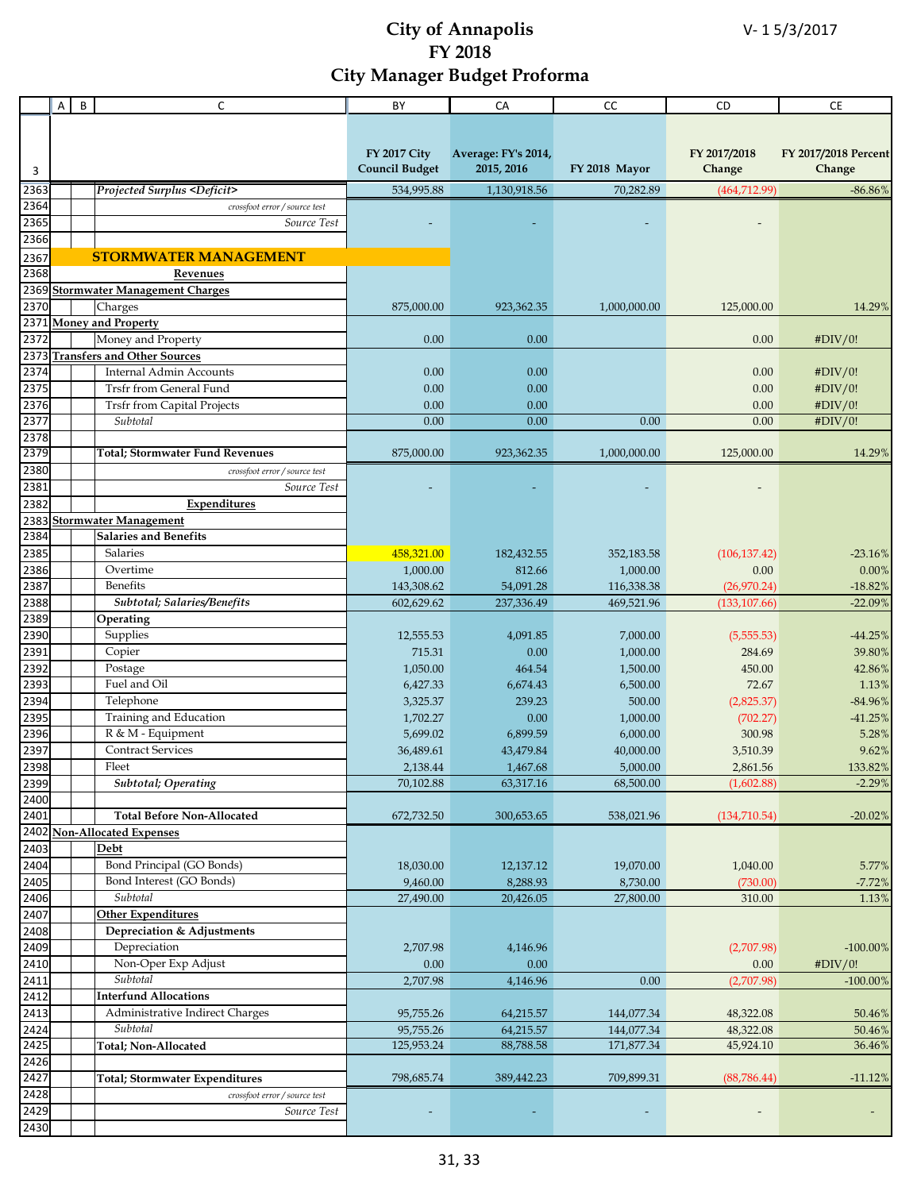|      | A | B | C                                           | BY                    | CA                  | cc            | CD            | $\mathsf{CE}$        |
|------|---|---|---------------------------------------------|-----------------------|---------------------|---------------|---------------|----------------------|
|      |   |   |                                             |                       |                     |               |               |                      |
|      |   |   |                                             |                       |                     |               |               |                      |
|      |   |   |                                             | <b>FY 2017 City</b>   | Average: FY's 2014, |               | FY 2017/2018  | FY 2017/2018 Percent |
| 3    |   |   |                                             | <b>Council Budget</b> | 2015, 2016          | FY 2018 Mayor | Change        | Change               |
|      |   |   |                                             |                       |                     |               |               |                      |
| 2363 |   |   | Projected Surplus <deficit></deficit>       | 534,995.88            | 1,130,918.56        | 70,282.89     | (464, 712.99) | $-86.86%$            |
| 2364 |   |   | crossfoot error / source test               |                       |                     |               |               |                      |
| 2365 |   |   | Source Test                                 |                       |                     |               |               |                      |
| 2366 |   |   |                                             |                       |                     |               |               |                      |
| 2367 |   |   | <b>STORMWATER MANAGEMENT</b>                |                       |                     |               |               |                      |
| 2368 |   |   | Revenues                                    |                       |                     |               |               |                      |
| 2369 |   |   | <b>Stormwater Management Charges</b>        |                       |                     |               |               |                      |
| 2370 |   |   | Charges                                     | 875,000.00            | 923,362.35          | 1,000,000.00  | 125,000.00    | 14.29%               |
|      |   |   | 2371 Money and Property                     |                       |                     |               |               |                      |
| 2372 |   |   | Money and Property                          | 0.00                  | 0.00                |               | 0.00          | #DIV/0!              |
|      |   |   | 2373 Transfers and Other Sources            |                       |                     |               |               |                      |
| 2374 |   |   | Internal Admin Accounts                     | 0.00                  | 0.00                |               | 0.00          | #DIV/0!              |
| 2375 |   |   | Trsfr from General Fund                     | 0.00                  | 0.00                |               | 0.00          | #DIV/0!              |
| 2376 |   |   | <b>Trsfr from Capital Projects</b>          | 0.00                  | 0.00                |               | 0.00          | #DIV/0!              |
| 2377 |   |   | Subtotal                                    | 0.00                  | 0.00                | 0.00          | 0.00          | #DIV/0!              |
| 2378 |   |   |                                             |                       |                     |               |               |                      |
| 2379 |   |   | <b>Total; Stormwater Fund Revenues</b>      | 875,000.00            | 923,362.35          | 1,000,000.00  | 125,000.00    | 14.29%               |
| 2380 |   |   | crossfoot error / source test               |                       |                     |               |               |                      |
| 2381 |   |   |                                             |                       |                     |               |               |                      |
|      |   |   | Source Test                                 |                       |                     |               |               |                      |
| 2382 |   |   | Expenditures                                |                       |                     |               |               |                      |
| 2383 |   |   | <b>Stormwater Management</b>                |                       |                     |               |               |                      |
| 2384 |   |   | <b>Salaries and Benefits</b>                |                       |                     |               |               |                      |
| 2385 |   |   | Salaries                                    | 458,321.00            | 182,432.55          | 352,183.58    | (106, 137.42) | $-23.16%$            |
| 2386 |   |   | Overtime                                    | 1,000.00              | 812.66              | 1,000.00      | 0.00          | 0.00%                |
| 2387 |   |   | <b>Benefits</b>                             | 143,308.62            | 54,091.28           | 116,338.38    | (26,970.24)   | $-18.82%$            |
| 2388 |   |   | Subtotal; Salaries/Benefits                 | 602,629.62            | 237,336.49          | 469,521.96    | (133, 107.66) | $-22.09%$            |
| 2389 |   |   | Operating                                   |                       |                     |               |               |                      |
| 2390 |   |   | Supplies                                    | 12,555.53             | 4,091.85            | 7,000.00      | (5,555.53)    | $-44.25%$            |
| 2391 |   |   | Copier                                      | 715.31                | 0.00                | 1,000.00      | 284.69        | 39.80%               |
| 2392 |   |   | Postage                                     | 1,050.00              | 464.54              | 1,500.00      | 450.00        | 42.86%               |
| 2393 |   |   | Fuel and Oil                                | 6,427.33              | 6,674.43            | 6,500.00      | 72.67         | 1.13%                |
| 2394 |   |   | Telephone                                   | 3,325.37              | 239.23              | 500.00        | (2,825.37)    | $-84.96%$            |
| 2395 |   |   | Training and Education                      | 1,702.27              | 0.00                | 1,000.00      | (702.27)      | $-41.25%$            |
| 2396 |   |   | R & M - Equipment                           | 5,699.02              | 6,899.59            | 6,000.00      | 300.98        | 5.28%                |
| 2397 |   |   | <b>Contract Services</b>                    | 36,489.61             | 43,479.84           | 40,000.00     | 3,510.39      | 9.62%                |
| 2398 |   |   | Fleet                                       | 2.138.44              | 1,467.68            | 5,000.00      | 2.861.56      | 133.82%              |
| 2399 |   |   | <b>Subtotal</b> ; Operating                 | 70,102.88             | 63,317.16           | 68,500.00     | (1,602.88)    | $-2.29%$             |
| 2400 |   |   |                                             |                       |                     |               |               |                      |
| 2401 |   |   | <b>Total Before Non-Allocated</b>           | 672,732.50            | 300,653.65          | 538,021.96    | (134, 710.54) | $-20.02%$            |
| 2402 |   |   | <b>Non-Allocated Expenses</b>               |                       |                     |               |               |                      |
| 2403 |   |   | Debt                                        |                       |                     |               |               |                      |
| 2404 |   |   | Bond Principal (GO Bonds)                   | 18,030.00             | 12,137.12           | 19,070.00     | 1,040.00      | 5.77%                |
| 2405 |   |   | Bond Interest (GO Bonds)                    | 9,460.00              | 8,288.93            | 8,730.00      | (730.00)      | $-7.72%$             |
| 2406 |   |   | Subtotal                                    | 27,490.00             | 20,426.05           | 27,800.00     | 310.00        | 1.13%                |
| 2407 |   |   | <b>Other Expenditures</b>                   |                       |                     |               |               |                      |
| 2408 |   |   | Depreciation & Adjustments                  |                       |                     |               |               |                      |
| 2409 |   |   |                                             |                       |                     |               |               |                      |
|      |   |   | Depreciation                                | 2,707.98              | 4,146.96            |               | (2,707.98)    | $-100.00\%$          |
| 2410 |   |   | Non-Oper Exp Adjust                         | 0.00                  | 0.00                |               | 0.00          | #DIV/0!              |
| 2411 |   |   | Subtotal                                    | 2,707.98              | 4,146.96            | 0.00          | (2,707.98)    | $-100.00%$           |
| 2412 |   |   | <b>Interfund Allocations</b>                |                       |                     |               |               |                      |
| 2413 |   |   | Administrative Indirect Charges             | 95,755.26             | 64,215.57           | 144,077.34    | 48,322.08     | 50.46%               |
| 2424 |   |   | Subtotal                                    | 95,755.26             | 64,215.57           | 144,077.34    | 48,322.08     | 50.46%               |
| 2425 |   |   | Total; Non-Allocated                        | 125,953.24            | 88,788.58           | 171,877.34    | 45,924.10     | 36.46%               |
| 2426 |   |   |                                             |                       |                     |               |               |                      |
| 2427 |   |   | <b>Total; Stormwater Expenditures</b>       | 798,685.74            | 389,442.23          | 709,899.31    | (88, 786.44)  | $-11.12%$            |
| 2428 |   |   | $\emph{crossfoot error}/\emph{source test}$ |                       |                     |               |               |                      |
| 2429 |   |   | Source Test                                 |                       |                     |               |               |                      |
| 2430 |   |   |                                             |                       |                     |               |               |                      |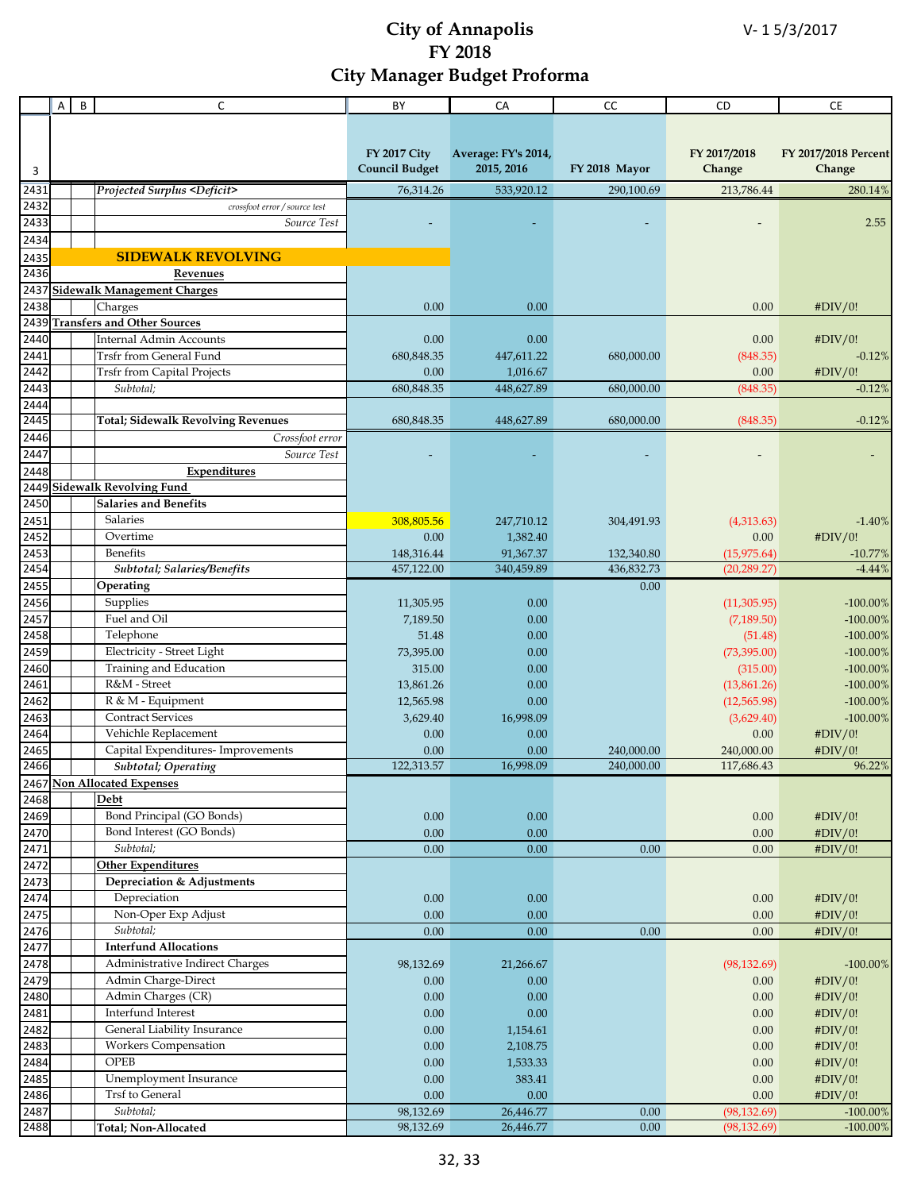|              | Α | B | C                                                     | BY                                           | CA                                | CC                       | CD                           | <b>CE</b>                      |
|--------------|---|---|-------------------------------------------------------|----------------------------------------------|-----------------------------------|--------------------------|------------------------------|--------------------------------|
|              |   |   |                                                       |                                              |                                   |                          |                              |                                |
|              |   |   |                                                       |                                              |                                   |                          |                              |                                |
|              |   |   |                                                       | <b>FY 2017 City</b><br><b>Council Budget</b> | Average: FY's 2014,<br>2015, 2016 | FY 2018 Mayor            | FY 2017/2018<br>Change       | FY 2017/2018 Percent<br>Change |
| 3            |   |   |                                                       |                                              |                                   |                          |                              |                                |
| 2431         |   |   | <b>Projected Surplus <deficit></deficit></b>          | 76,314.26                                    | 533,920.12                        | 290,100.69               | 213,786.44                   | 280.14%                        |
| 2432<br>2433 |   |   | crossfoot error / source test                         |                                              |                                   |                          |                              |                                |
|              |   |   | Source Test                                           |                                              |                                   |                          |                              | 2.55                           |
| 2434         |   |   | <b>SIDEWALK REVOLVING</b>                             |                                              |                                   |                          |                              |                                |
| 2435<br>2436 |   |   |                                                       |                                              |                                   |                          |                              |                                |
|              |   |   | <b>Revenues</b><br>2437 Sidewalk Management Charges   |                                              |                                   |                          |                              |                                |
| 2438         |   |   | Charges                                               | 0.00                                         | 0.00                              |                          | 0.00                         | #DIV/0!                        |
| 2439         |   |   | <b>Transfers and Other Sources</b>                    |                                              |                                   |                          |                              |                                |
| 2440         |   |   | <b>Internal Admin Accounts</b>                        | 0.00                                         | 0.00                              |                          | 0.00                         | #DIV/0!                        |
| 2441         |   |   | Trsfr from General Fund                               | 680,848.35                                   | 447,611.22                        | 680,000.00               | (848.35)                     | $-0.12%$                       |
| 2442         |   |   | <b>Trsfr from Capital Projects</b>                    | 0.00                                         | 1,016.67                          |                          | 0.00                         | #DIV/0!                        |
| 2443         |   |   | Subtotal;                                             | 680, 848.35                                  | 448,627.89                        | 680,000.00               | (848.35)                     | $-0.12%$                       |
| 2444         |   |   |                                                       |                                              |                                   |                          |                              |                                |
| 2445         |   |   | <b>Total; Sidewalk Revolving Revenues</b>             | 680,848.35                                   | 448,627.89                        | 680,000.00               | (848.35)                     | $-0.12%$                       |
| 2446         |   |   | Crossfoot error                                       |                                              |                                   |                          |                              |                                |
| 2447         |   |   | Source Test                                           |                                              |                                   |                          |                              |                                |
| 2448         |   |   | Expenditures                                          |                                              |                                   |                          |                              |                                |
|              |   |   | 2449 Sidewalk Revolving Fund                          |                                              |                                   |                          |                              |                                |
| 2450         |   |   | <b>Salaries and Benefits</b>                          |                                              |                                   |                          |                              |                                |
| 2451         |   |   | <b>Salaries</b>                                       | 308,805.56                                   | 247,710.12                        | 304,491.93               | (4,313.63)                   | $-1.40%$                       |
| 2452         |   |   | Overtime                                              | 0.00                                         | 1,382.40                          |                          | 0.00                         | #DIV/0!                        |
| 2453<br>2454 |   |   | <b>Benefits</b><br>Subtotal; Salaries/Benefits        | 148,316.44<br>457,122.00                     | 91,367.37<br>340,459.89           | 132,340.80<br>436,832.73 | (15, 975.64)<br>(20, 289.27) | $-10.77%$<br>$-4.44%$          |
| 2455         |   |   | Operating                                             |                                              |                                   | 0.00                     |                              |                                |
| 2456         |   |   | Supplies                                              | 11,305.95                                    | 0.00                              |                          | (11, 305.95)                 | $-100.00\%$                    |
| 2457         |   |   | Fuel and Oil                                          | 7,189.50                                     | 0.00                              |                          | (7, 189.50)                  | $-100.00\%$                    |
| 2458         |   |   | Telephone                                             | 51.48                                        | 0.00                              |                          | (51.48)                      | $-100.00\%$                    |
| 2459         |   |   | Electricity - Street Light                            | 73,395.00                                    | 0.00                              |                          | (73, 395.00)                 | $-100.00\%$                    |
| 2460         |   |   | Training and Education                                | 315.00                                       | 0.00                              |                          | (315.00)                     | $-100.00\%$                    |
| 2461         |   |   | R&M - Street                                          | 13,861.26                                    | 0.00                              |                          | (13,861.26)                  | $-100.00\%$                    |
| 2462         |   |   | R & M - Equipment                                     | 12,565.98                                    | 0.00                              |                          | (12,565.98)                  | $-100.00\%$                    |
| 2463         |   |   | <b>Contract Services</b>                              | 3,629.40                                     | 16,998.09                         |                          | (3,629.40)                   | $-100.00\%$                    |
| 2464         |   |   | Vehichle Replacement                                  | 0.00                                         | 0.00                              |                          | 0.00                         | #DIV/0!                        |
| 2465         |   |   | Capital Expenditures- Improvements                    | 0.00                                         | 0.00                              | 240,000.00               | 240,000.00                   | #DIV/0!                        |
| 2466         |   |   | <b>Subtotal; Operating</b>                            | 122,313.57                                   | 16,998.09                         | 240,000.00               | 117,686.43                   | 96.22%                         |
|              |   |   | 2467 Non Allocated Expenses                           |                                              |                                   |                          |                              |                                |
| 2468         |   |   | Debt                                                  |                                              |                                   |                          |                              |                                |
| 2469<br>2470 |   |   | Bond Principal (GO Bonds)<br>Bond Interest (GO Bonds) | $0.00\,$                                     | $0.00\,$<br>0.00                  |                          | $0.00\,$                     | #DIV/0!                        |
| 2471         |   |   | Subtotal;                                             | $0.00\,$<br>0.00                             | 0.00                              | 0.00                     | $0.00\,$<br>0.00             | #DIV/0!<br>#DIV/0!             |
| 2472         |   |   | <b>Other Expenditures</b>                             |                                              |                                   |                          |                              |                                |
| 2473         |   |   | Depreciation & Adjustments                            |                                              |                                   |                          |                              |                                |
| 2474         |   |   | Depreciation                                          | $0.00\,$                                     | $0.00\,$                          |                          | $0.00\,$                     | #DIV/0!                        |
| 2475         |   |   | Non-Oper Exp Adjust                                   | 0.00                                         | 0.00                              |                          | 0.00                         | #DIV/0!                        |
| 2476         |   |   | Subtotal;                                             | 0.00                                         | 0.00                              | 0.00                     | 0.00                         | #DIV/0!                        |
| 2477         |   |   | <b>Interfund Allocations</b>                          |                                              |                                   |                          |                              |                                |
| 2478         |   |   | Administrative Indirect Charges                       | 98,132.69                                    | 21,266.67                         |                          | (98, 132.69)                 | $-100.00\%$                    |
| 2479         |   |   | Admin Charge-Direct                                   | $0.00\,$                                     | 0.00                              |                          | 0.00                         | #DIV/0!                        |
| 2480         |   |   | Admin Charges (CR)                                    | $0.00\,$                                     | 0.00                              |                          | $0.00\,$                     | #DIV/0!                        |
| 2481         |   |   | Interfund Interest                                    | $0.00\,$                                     | 0.00                              |                          | $0.00\,$                     | #DIV/0!                        |
| 2482         |   |   | General Liability Insurance                           | $0.00\,$                                     | 1,154.61                          |                          | $0.00\,$                     | #DIV/0!                        |
| 2483         |   |   | Workers Compensation                                  | $0.00\,$                                     | 2,108.75                          |                          | $0.00\,$                     | #DIV/0!                        |
| 2484         |   |   | OPEB                                                  | $0.00\,$                                     | 1,533.33                          |                          | $0.00\,$                     | #DIV/0!                        |
| 2485         |   |   | Unemployment Insurance<br><b>Trsf</b> to General      | 0.00<br>0.00                                 | 383.41<br>0.00                    |                          | $0.00\,$                     | #DIV/0!                        |
| 2486<br>2487 |   |   | Subtotal;                                             | 98,132.69                                    | 26,446.77                         | 0.00                     | 0.00<br>(98, 132.69)         | #DIV/0!<br>$-100.00\%$         |
| 2488         |   |   | Total; Non-Allocated                                  | 98,132.69                                    | 26,446.77                         | 0.00                     | (98, 132.69)                 | $-100.00\%$                    |
|              |   |   |                                                       |                                              |                                   |                          |                              |                                |